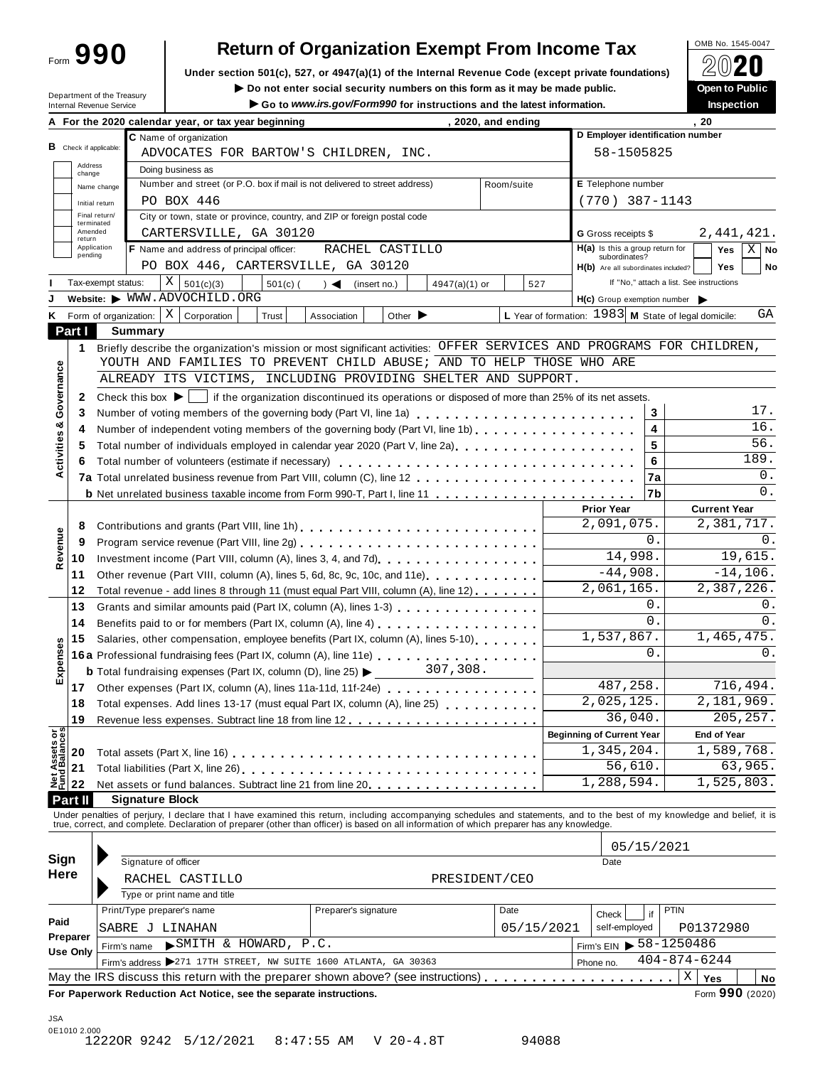Form **990**

## **Return of Organization Exempt From Income Tax**  $\frac{1000 \text{ NLO. 1545-0047}}{000 \text{ NLO.}}$

**Under section 501(c), 527, or 4947(a)(1) of the Internal Revenue Code (except private foundations)** À¾¶´

Department of the Treasury

I **Do not enter social security numbers on this form as it may be made public. Open to Public** Go to www.irs.gov/Form990 for instructions and the latest information.

| C Name of organization<br><b>B</b> Check if applicable:<br>ADVOCATES FOR BARTOW'S CHILDREN, INC.<br>Doing business as<br>Number and street (or P.O. box if mail is not delivered to street address)<br>Name change<br>PO BOX 446<br>Initial return<br>Final return/<br>City or town, state or province, country, and ZIP or foreign postal code<br>CARTERSVILLE, GA 30120<br>F Name and address of principal officer:<br>RACHEL CASTILLO<br>PO BOX 446, CARTERSVILLE, GA 30120<br>X   501(c)(3)<br>Tax-exempt status:<br>$501(c)$ (<br>$\rightarrow$<br>(insert no.)<br>4947(a)(1) or<br>Website: WWW.ADVOCHILD.ORG<br>Form of organization: $\mid X \mid$ Corporation<br>Trust<br>Association<br>Other $\blacktriangleright$<br>Summary<br>Briefly describe the organization's mission or most significant activities: OFFER SERVICES AND PROGRAMS FOR CHILDREN,<br>YOUTH AND FAMILIES TO PREVENT CHILD ABUSE; AND TO HELP THOSE WHO ARE<br>ALREADY ITS VICTIMS, INCLUDING PROVIDING SHELTER AND SUPPORT.<br>Check this box $\blacktriangleright$   if the organization discontinued its operations or disposed of more than 25% of its net assets.<br>Number of voting members of the governing body (Part VI, line 1a)<br>Number of independent voting members of the governing body (Part VI, line 1b)<br>Total number of individuals employed in calendar year 2020 (Part V, line 2a)<br>Contributions and grants (Part VIII, line 1h) | Room/suite<br>527                                                                                                                                               | D Employer identification number<br>58-1505825<br>E Telephone number<br>$(770)$ 387-1143<br><b>G</b> Gross receipts \$<br>H(a) Is this a group return for<br>subordinates?<br>H(b) Are all subordinates included?<br>$H(c)$ Group exemption number<br>L Year of formation: $1983$ M State of legal domicile:<br>3<br>5<br>6<br> 7a | 2,441,421.<br>Yes<br>$X \mid No$<br>Yes<br>No<br>If "No," attach a list. See instructions<br>GА<br>17.<br>16.<br>4<br>$\overline{56}$ .<br>189.                                                                                                                                                                                                                                                                                                                                                                                  |
|---------------------------------------------------------------------------------------------------------------------------------------------------------------------------------------------------------------------------------------------------------------------------------------------------------------------------------------------------------------------------------------------------------------------------------------------------------------------------------------------------------------------------------------------------------------------------------------------------------------------------------------------------------------------------------------------------------------------------------------------------------------------------------------------------------------------------------------------------------------------------------------------------------------------------------------------------------------------------------------------------------------------------------------------------------------------------------------------------------------------------------------------------------------------------------------------------------------------------------------------------------------------------------------------------------------------------------------------------------------------------------------------------------------------------------------------|-----------------------------------------------------------------------------------------------------------------------------------------------------------------|------------------------------------------------------------------------------------------------------------------------------------------------------------------------------------------------------------------------------------------------------------------------------------------------------------------------------------|----------------------------------------------------------------------------------------------------------------------------------------------------------------------------------------------------------------------------------------------------------------------------------------------------------------------------------------------------------------------------------------------------------------------------------------------------------------------------------------------------------------------------------|
|                                                                                                                                                                                                                                                                                                                                                                                                                                                                                                                                                                                                                                                                                                                                                                                                                                                                                                                                                                                                                                                                                                                                                                                                                                                                                                                                                                                                                                             |                                                                                                                                                                 |                                                                                                                                                                                                                                                                                                                                    |                                                                                                                                                                                                                                                                                                                                                                                                                                                                                                                                  |
|                                                                                                                                                                                                                                                                                                                                                                                                                                                                                                                                                                                                                                                                                                                                                                                                                                                                                                                                                                                                                                                                                                                                                                                                                                                                                                                                                                                                                                             |                                                                                                                                                                 |                                                                                                                                                                                                                                                                                                                                    |                                                                                                                                                                                                                                                                                                                                                                                                                                                                                                                                  |
|                                                                                                                                                                                                                                                                                                                                                                                                                                                                                                                                                                                                                                                                                                                                                                                                                                                                                                                                                                                                                                                                                                                                                                                                                                                                                                                                                                                                                                             |                                                                                                                                                                 |                                                                                                                                                                                                                                                                                                                                    |                                                                                                                                                                                                                                                                                                                                                                                                                                                                                                                                  |
|                                                                                                                                                                                                                                                                                                                                                                                                                                                                                                                                                                                                                                                                                                                                                                                                                                                                                                                                                                                                                                                                                                                                                                                                                                                                                                                                                                                                                                             |                                                                                                                                                                 |                                                                                                                                                                                                                                                                                                                                    |                                                                                                                                                                                                                                                                                                                                                                                                                                                                                                                                  |
|                                                                                                                                                                                                                                                                                                                                                                                                                                                                                                                                                                                                                                                                                                                                                                                                                                                                                                                                                                                                                                                                                                                                                                                                                                                                                                                                                                                                                                             |                                                                                                                                                                 |                                                                                                                                                                                                                                                                                                                                    |                                                                                                                                                                                                                                                                                                                                                                                                                                                                                                                                  |
|                                                                                                                                                                                                                                                                                                                                                                                                                                                                                                                                                                                                                                                                                                                                                                                                                                                                                                                                                                                                                                                                                                                                                                                                                                                                                                                                                                                                                                             |                                                                                                                                                                 |                                                                                                                                                                                                                                                                                                                                    |                                                                                                                                                                                                                                                                                                                                                                                                                                                                                                                                  |
|                                                                                                                                                                                                                                                                                                                                                                                                                                                                                                                                                                                                                                                                                                                                                                                                                                                                                                                                                                                                                                                                                                                                                                                                                                                                                                                                                                                                                                             |                                                                                                                                                                 |                                                                                                                                                                                                                                                                                                                                    |                                                                                                                                                                                                                                                                                                                                                                                                                                                                                                                                  |
|                                                                                                                                                                                                                                                                                                                                                                                                                                                                                                                                                                                                                                                                                                                                                                                                                                                                                                                                                                                                                                                                                                                                                                                                                                                                                                                                                                                                                                             |                                                                                                                                                                 |                                                                                                                                                                                                                                                                                                                                    |                                                                                                                                                                                                                                                                                                                                                                                                                                                                                                                                  |
|                                                                                                                                                                                                                                                                                                                                                                                                                                                                                                                                                                                                                                                                                                                                                                                                                                                                                                                                                                                                                                                                                                                                                                                                                                                                                                                                                                                                                                             |                                                                                                                                                                 |                                                                                                                                                                                                                                                                                                                                    |                                                                                                                                                                                                                                                                                                                                                                                                                                                                                                                                  |
|                                                                                                                                                                                                                                                                                                                                                                                                                                                                                                                                                                                                                                                                                                                                                                                                                                                                                                                                                                                                                                                                                                                                                                                                                                                                                                                                                                                                                                             |                                                                                                                                                                 |                                                                                                                                                                                                                                                                                                                                    |                                                                                                                                                                                                                                                                                                                                                                                                                                                                                                                                  |
|                                                                                                                                                                                                                                                                                                                                                                                                                                                                                                                                                                                                                                                                                                                                                                                                                                                                                                                                                                                                                                                                                                                                                                                                                                                                                                                                                                                                                                             |                                                                                                                                                                 |                                                                                                                                                                                                                                                                                                                                    |                                                                                                                                                                                                                                                                                                                                                                                                                                                                                                                                  |
|                                                                                                                                                                                                                                                                                                                                                                                                                                                                                                                                                                                                                                                                                                                                                                                                                                                                                                                                                                                                                                                                                                                                                                                                                                                                                                                                                                                                                                             |                                                                                                                                                                 |                                                                                                                                                                                                                                                                                                                                    |                                                                                                                                                                                                                                                                                                                                                                                                                                                                                                                                  |
|                                                                                                                                                                                                                                                                                                                                                                                                                                                                                                                                                                                                                                                                                                                                                                                                                                                                                                                                                                                                                                                                                                                                                                                                                                                                                                                                                                                                                                             |                                                                                                                                                                 |                                                                                                                                                                                                                                                                                                                                    |                                                                                                                                                                                                                                                                                                                                                                                                                                                                                                                                  |
|                                                                                                                                                                                                                                                                                                                                                                                                                                                                                                                                                                                                                                                                                                                                                                                                                                                                                                                                                                                                                                                                                                                                                                                                                                                                                                                                                                                                                                             |                                                                                                                                                                 |                                                                                                                                                                                                                                                                                                                                    |                                                                                                                                                                                                                                                                                                                                                                                                                                                                                                                                  |
|                                                                                                                                                                                                                                                                                                                                                                                                                                                                                                                                                                                                                                                                                                                                                                                                                                                                                                                                                                                                                                                                                                                                                                                                                                                                                                                                                                                                                                             |                                                                                                                                                                 |                                                                                                                                                                                                                                                                                                                                    |                                                                                                                                                                                                                                                                                                                                                                                                                                                                                                                                  |
|                                                                                                                                                                                                                                                                                                                                                                                                                                                                                                                                                                                                                                                                                                                                                                                                                                                                                                                                                                                                                                                                                                                                                                                                                                                                                                                                                                                                                                             |                                                                                                                                                                 |                                                                                                                                                                                                                                                                                                                                    |                                                                                                                                                                                                                                                                                                                                                                                                                                                                                                                                  |
|                                                                                                                                                                                                                                                                                                                                                                                                                                                                                                                                                                                                                                                                                                                                                                                                                                                                                                                                                                                                                                                                                                                                                                                                                                                                                                                                                                                                                                             |                                                                                                                                                                 |                                                                                                                                                                                                                                                                                                                                    |                                                                                                                                                                                                                                                                                                                                                                                                                                                                                                                                  |
|                                                                                                                                                                                                                                                                                                                                                                                                                                                                                                                                                                                                                                                                                                                                                                                                                                                                                                                                                                                                                                                                                                                                                                                                                                                                                                                                                                                                                                             |                                                                                                                                                                 |                                                                                                                                                                                                                                                                                                                                    |                                                                                                                                                                                                                                                                                                                                                                                                                                                                                                                                  |
|                                                                                                                                                                                                                                                                                                                                                                                                                                                                                                                                                                                                                                                                                                                                                                                                                                                                                                                                                                                                                                                                                                                                                                                                                                                                                                                                                                                                                                             |                                                                                                                                                                 |                                                                                                                                                                                                                                                                                                                                    |                                                                                                                                                                                                                                                                                                                                                                                                                                                                                                                                  |
|                                                                                                                                                                                                                                                                                                                                                                                                                                                                                                                                                                                                                                                                                                                                                                                                                                                                                                                                                                                                                                                                                                                                                                                                                                                                                                                                                                                                                                             |                                                                                                                                                                 |                                                                                                                                                                                                                                                                                                                                    |                                                                                                                                                                                                                                                                                                                                                                                                                                                                                                                                  |
|                                                                                                                                                                                                                                                                                                                                                                                                                                                                                                                                                                                                                                                                                                                                                                                                                                                                                                                                                                                                                                                                                                                                                                                                                                                                                                                                                                                                                                             |                                                                                                                                                                 |                                                                                                                                                                                                                                                                                                                                    |                                                                                                                                                                                                                                                                                                                                                                                                                                                                                                                                  |
|                                                                                                                                                                                                                                                                                                                                                                                                                                                                                                                                                                                                                                                                                                                                                                                                                                                                                                                                                                                                                                                                                                                                                                                                                                                                                                                                                                                                                                             |                                                                                                                                                                 |                                                                                                                                                                                                                                                                                                                                    |                                                                                                                                                                                                                                                                                                                                                                                                                                                                                                                                  |
|                                                                                                                                                                                                                                                                                                                                                                                                                                                                                                                                                                                                                                                                                                                                                                                                                                                                                                                                                                                                                                                                                                                                                                                                                                                                                                                                                                                                                                             |                                                                                                                                                                 |                                                                                                                                                                                                                                                                                                                                    | 0.                                                                                                                                                                                                                                                                                                                                                                                                                                                                                                                               |
|                                                                                                                                                                                                                                                                                                                                                                                                                                                                                                                                                                                                                                                                                                                                                                                                                                                                                                                                                                                                                                                                                                                                                                                                                                                                                                                                                                                                                                             |                                                                                                                                                                 |                                                                                                                                                                                                                                                                                                                                    | 0.                                                                                                                                                                                                                                                                                                                                                                                                                                                                                                                               |
|                                                                                                                                                                                                                                                                                                                                                                                                                                                                                                                                                                                                                                                                                                                                                                                                                                                                                                                                                                                                                                                                                                                                                                                                                                                                                                                                                                                                                                             |                                                                                                                                                                 | 7b                                                                                                                                                                                                                                                                                                                                 |                                                                                                                                                                                                                                                                                                                                                                                                                                                                                                                                  |
|                                                                                                                                                                                                                                                                                                                                                                                                                                                                                                                                                                                                                                                                                                                                                                                                                                                                                                                                                                                                                                                                                                                                                                                                                                                                                                                                                                                                                                             |                                                                                                                                                                 | <b>Prior Year</b>                                                                                                                                                                                                                                                                                                                  | <b>Current Year</b>                                                                                                                                                                                                                                                                                                                                                                                                                                                                                                              |
|                                                                                                                                                                                                                                                                                                                                                                                                                                                                                                                                                                                                                                                                                                                                                                                                                                                                                                                                                                                                                                                                                                                                                                                                                                                                                                                                                                                                                                             |                                                                                                                                                                 | 2,091,075.                                                                                                                                                                                                                                                                                                                         | 2,381,717.                                                                                                                                                                                                                                                                                                                                                                                                                                                                                                                       |
|                                                                                                                                                                                                                                                                                                                                                                                                                                                                                                                                                                                                                                                                                                                                                                                                                                                                                                                                                                                                                                                                                                                                                                                                                                                                                                                                                                                                                                             |                                                                                                                                                                 | 0.                                                                                                                                                                                                                                                                                                                                 | 0.                                                                                                                                                                                                                                                                                                                                                                                                                                                                                                                               |
|                                                                                                                                                                                                                                                                                                                                                                                                                                                                                                                                                                                                                                                                                                                                                                                                                                                                                                                                                                                                                                                                                                                                                                                                                                                                                                                                                                                                                                             |                                                                                                                                                                 | 14,998.                                                                                                                                                                                                                                                                                                                            | 19,615.                                                                                                                                                                                                                                                                                                                                                                                                                                                                                                                          |
| Other revenue (Part VIII, column (A), lines 5, 6d, 8c, 9c, 10c, and 11e)                                                                                                                                                                                                                                                                                                                                                                                                                                                                                                                                                                                                                                                                                                                                                                                                                                                                                                                                                                                                                                                                                                                                                                                                                                                                                                                                                                    |                                                                                                                                                                 | $-44,908.$                                                                                                                                                                                                                                                                                                                         | $-14, 106.$                                                                                                                                                                                                                                                                                                                                                                                                                                                                                                                      |
| Total revenue - add lines 8 through 11 (must equal Part VIII, column (A), line 12)                                                                                                                                                                                                                                                                                                                                                                                                                                                                                                                                                                                                                                                                                                                                                                                                                                                                                                                                                                                                                                                                                                                                                                                                                                                                                                                                                          |                                                                                                                                                                 | 2,061,165.                                                                                                                                                                                                                                                                                                                         | 2,387,226.                                                                                                                                                                                                                                                                                                                                                                                                                                                                                                                       |
| Grants and similar amounts paid (Part IX, column (A), lines 1-3)                                                                                                                                                                                                                                                                                                                                                                                                                                                                                                                                                                                                                                                                                                                                                                                                                                                                                                                                                                                                                                                                                                                                                                                                                                                                                                                                                                            |                                                                                                                                                                 | 0.                                                                                                                                                                                                                                                                                                                                 | 0.                                                                                                                                                                                                                                                                                                                                                                                                                                                                                                                               |
| Benefits paid to or for members (Part IX, column (A), line 4) [10] cases is a contract to or form members (Part IX, column (A), line 4) [10] cases is a contract to or form of the set of $($                                                                                                                                                                                                                                                                                                                                                                                                                                                                                                                                                                                                                                                                                                                                                                                                                                                                                                                                                                                                                                                                                                                                                                                                                                               |                                                                                                                                                                 | 0.                                                                                                                                                                                                                                                                                                                                 | $0$ .                                                                                                                                                                                                                                                                                                                                                                                                                                                                                                                            |
| Salaries, other compensation, employee benefits (Part IX, column (A), lines 5-10).                                                                                                                                                                                                                                                                                                                                                                                                                                                                                                                                                                                                                                                                                                                                                                                                                                                                                                                                                                                                                                                                                                                                                                                                                                                                                                                                                          |                                                                                                                                                                 | 1,537,867.                                                                                                                                                                                                                                                                                                                         | 1,465,475.                                                                                                                                                                                                                                                                                                                                                                                                                                                                                                                       |
| 16a Professional fundraising fees (Part IX, column (A), line 11e)                                                                                                                                                                                                                                                                                                                                                                                                                                                                                                                                                                                                                                                                                                                                                                                                                                                                                                                                                                                                                                                                                                                                                                                                                                                                                                                                                                           |                                                                                                                                                                 | $0$ .                                                                                                                                                                                                                                                                                                                              | 0.                                                                                                                                                                                                                                                                                                                                                                                                                                                                                                                               |
| 307,308.<br><b>b</b> Total fundraising expenses (Part IX, column (D), line 25) $\blacktriangleright$                                                                                                                                                                                                                                                                                                                                                                                                                                                                                                                                                                                                                                                                                                                                                                                                                                                                                                                                                                                                                                                                                                                                                                                                                                                                                                                                        |                                                                                                                                                                 |                                                                                                                                                                                                                                                                                                                                    |                                                                                                                                                                                                                                                                                                                                                                                                                                                                                                                                  |
| 17 Other expenses (Part IX, column (A), lines 11a-11d, 11f-24e)                                                                                                                                                                                                                                                                                                                                                                                                                                                                                                                                                                                                                                                                                                                                                                                                                                                                                                                                                                                                                                                                                                                                                                                                                                                                                                                                                                             |                                                                                                                                                                 | 487,258.                                                                                                                                                                                                                                                                                                                           | 716,494.                                                                                                                                                                                                                                                                                                                                                                                                                                                                                                                         |
| 18 Total expenses. Add lines 13-17 (must equal Part IX, column (A), line 25)                                                                                                                                                                                                                                                                                                                                                                                                                                                                                                                                                                                                                                                                                                                                                                                                                                                                                                                                                                                                                                                                                                                                                                                                                                                                                                                                                                |                                                                                                                                                                 | 2,025,125.                                                                                                                                                                                                                                                                                                                         | 2,181,969.                                                                                                                                                                                                                                                                                                                                                                                                                                                                                                                       |
|                                                                                                                                                                                                                                                                                                                                                                                                                                                                                                                                                                                                                                                                                                                                                                                                                                                                                                                                                                                                                                                                                                                                                                                                                                                                                                                                                                                                                                             |                                                                                                                                                                 | 36,040.                                                                                                                                                                                                                                                                                                                            | 205, 257.                                                                                                                                                                                                                                                                                                                                                                                                                                                                                                                        |
|                                                                                                                                                                                                                                                                                                                                                                                                                                                                                                                                                                                                                                                                                                                                                                                                                                                                                                                                                                                                                                                                                                                                                                                                                                                                                                                                                                                                                                             |                                                                                                                                                                 | <b>Beginning of Current Year</b>                                                                                                                                                                                                                                                                                                   | <b>End of Year</b>                                                                                                                                                                                                                                                                                                                                                                                                                                                                                                               |
|                                                                                                                                                                                                                                                                                                                                                                                                                                                                                                                                                                                                                                                                                                                                                                                                                                                                                                                                                                                                                                                                                                                                                                                                                                                                                                                                                                                                                                             |                                                                                                                                                                 |                                                                                                                                                                                                                                                                                                                                    | 1,589,768.                                                                                                                                                                                                                                                                                                                                                                                                                                                                                                                       |
|                                                                                                                                                                                                                                                                                                                                                                                                                                                                                                                                                                                                                                                                                                                                                                                                                                                                                                                                                                                                                                                                                                                                                                                                                                                                                                                                                                                                                                             |                                                                                                                                                                 |                                                                                                                                                                                                                                                                                                                                    | 63,965.                                                                                                                                                                                                                                                                                                                                                                                                                                                                                                                          |
|                                                                                                                                                                                                                                                                                                                                                                                                                                                                                                                                                                                                                                                                                                                                                                                                                                                                                                                                                                                                                                                                                                                                                                                                                                                                                                                                                                                                                                             |                                                                                                                                                                 |                                                                                                                                                                                                                                                                                                                                    | 1,525,803.                                                                                                                                                                                                                                                                                                                                                                                                                                                                                                                       |
|                                                                                                                                                                                                                                                                                                                                                                                                                                                                                                                                                                                                                                                                                                                                                                                                                                                                                                                                                                                                                                                                                                                                                                                                                                                                                                                                                                                                                                             |                                                                                                                                                                 |                                                                                                                                                                                                                                                                                                                                    |                                                                                                                                                                                                                                                                                                                                                                                                                                                                                                                                  |
|                                                                                                                                                                                                                                                                                                                                                                                                                                                                                                                                                                                                                                                                                                                                                                                                                                                                                                                                                                                                                                                                                                                                                                                                                                                                                                                                                                                                                                             |                                                                                                                                                                 |                                                                                                                                                                                                                                                                                                                                    |                                                                                                                                                                                                                                                                                                                                                                                                                                                                                                                                  |
|                                                                                                                                                                                                                                                                                                                                                                                                                                                                                                                                                                                                                                                                                                                                                                                                                                                                                                                                                                                                                                                                                                                                                                                                                                                                                                                                                                                                                                             |                                                                                                                                                                 |                                                                                                                                                                                                                                                                                                                                    |                                                                                                                                                                                                                                                                                                                                                                                                                                                                                                                                  |
|                                                                                                                                                                                                                                                                                                                                                                                                                                                                                                                                                                                                                                                                                                                                                                                                                                                                                                                                                                                                                                                                                                                                                                                                                                                                                                                                                                                                                                             |                                                                                                                                                                 |                                                                                                                                                                                                                                                                                                                                    |                                                                                                                                                                                                                                                                                                                                                                                                                                                                                                                                  |
|                                                                                                                                                                                                                                                                                                                                                                                                                                                                                                                                                                                                                                                                                                                                                                                                                                                                                                                                                                                                                                                                                                                                                                                                                                                                                                                                                                                                                                             |                                                                                                                                                                 |                                                                                                                                                                                                                                                                                                                                    |                                                                                                                                                                                                                                                                                                                                                                                                                                                                                                                                  |
|                                                                                                                                                                                                                                                                                                                                                                                                                                                                                                                                                                                                                                                                                                                                                                                                                                                                                                                                                                                                                                                                                                                                                                                                                                                                                                                                                                                                                                             |                                                                                                                                                                 |                                                                                                                                                                                                                                                                                                                                    |                                                                                                                                                                                                                                                                                                                                                                                                                                                                                                                                  |
|                                                                                                                                                                                                                                                                                                                                                                                                                                                                                                                                                                                                                                                                                                                                                                                                                                                                                                                                                                                                                                                                                                                                                                                                                                                                                                                                                                                                                                             |                                                                                                                                                                 |                                                                                                                                                                                                                                                                                                                                    |                                                                                                                                                                                                                                                                                                                                                                                                                                                                                                                                  |
|                                                                                                                                                                                                                                                                                                                                                                                                                                                                                                                                                                                                                                                                                                                                                                                                                                                                                                                                                                                                                                                                                                                                                                                                                                                                                                                                                                                                                                             |                                                                                                                                                                 |                                                                                                                                                                                                                                                                                                                                    |                                                                                                                                                                                                                                                                                                                                                                                                                                                                                                                                  |
| Print/Type preparer's name<br>Preparer's signature                                                                                                                                                                                                                                                                                                                                                                                                                                                                                                                                                                                                                                                                                                                                                                                                                                                                                                                                                                                                                                                                                                                                                                                                                                                                                                                                                                                          | Date                                                                                                                                                            | if<br>Check                                                                                                                                                                                                                                                                                                                        | <b>PTIN</b>                                                                                                                                                                                                                                                                                                                                                                                                                                                                                                                      |
| SABRE J LINAHAN                                                                                                                                                                                                                                                                                                                                                                                                                                                                                                                                                                                                                                                                                                                                                                                                                                                                                                                                                                                                                                                                                                                                                                                                                                                                                                                                                                                                                             |                                                                                                                                                                 | self-employed                                                                                                                                                                                                                                                                                                                      | P01372980                                                                                                                                                                                                                                                                                                                                                                                                                                                                                                                        |
|                                                                                                                                                                                                                                                                                                                                                                                                                                                                                                                                                                                                                                                                                                                                                                                                                                                                                                                                                                                                                                                                                                                                                                                                                                                                                                                                                                                                                                             |                                                                                                                                                                 |                                                                                                                                                                                                                                                                                                                                    |                                                                                                                                                                                                                                                                                                                                                                                                                                                                                                                                  |
| SMITH & HOWARD, P.C.<br>Firm's name                                                                                                                                                                                                                                                                                                                                                                                                                                                                                                                                                                                                                                                                                                                                                                                                                                                                                                                                                                                                                                                                                                                                                                                                                                                                                                                                                                                                         |                                                                                                                                                                 |                                                                                                                                                                                                                                                                                                                                    | $404 - 874 - 6244$                                                                                                                                                                                                                                                                                                                                                                                                                                                                                                               |
| Firm's address 271 17TH STREET, NW SUITE 1600 ATLANTA, GA 30363                                                                                                                                                                                                                                                                                                                                                                                                                                                                                                                                                                                                                                                                                                                                                                                                                                                                                                                                                                                                                                                                                                                                                                                                                                                                                                                                                                             |                                                                                                                                                                 |                                                                                                                                                                                                                                                                                                                                    | X<br>Yes<br>No                                                                                                                                                                                                                                                                                                                                                                                                                                                                                                                   |
|                                                                                                                                                                                                                                                                                                                                                                                                                                                                                                                                                                                                                                                                                                                                                                                                                                                                                                                                                                                                                                                                                                                                                                                                                                                                                                                                                                                                                                             |                                                                                                                                                                 |                                                                                                                                                                                                                                                                                                                                    | Form 990 (2020)                                                                                                                                                                                                                                                                                                                                                                                                                                                                                                                  |
|                                                                                                                                                                                                                                                                                                                                                                                                                                                                                                                                                                                                                                                                                                                                                                                                                                                                                                                                                                                                                                                                                                                                                                                                                                                                                                                                                                                                                                             |                                                                                                                                                                 |                                                                                                                                                                                                                                                                                                                                    |                                                                                                                                                                                                                                                                                                                                                                                                                                                                                                                                  |
|                                                                                                                                                                                                                                                                                                                                                                                                                                                                                                                                                                                                                                                                                                                                                                                                                                                                                                                                                                                                                                                                                                                                                                                                                                                                                                                                                                                                                                             | Net assets or fund balances. Subtract line 21 from line 20<br><b>Signature Block</b><br>Signature of officer<br>RACHEL CASTILLO<br>Type or print name and title | PRESIDENT/CEO                                                                                                                                                                                                                                                                                                                      | 1,345,204.<br>56,610.<br>1,288,594.<br>Under penalties of perjury, I declare that I have examined this return, including accompanying schedules and statements, and to the best of my knowledge and belief, it is<br>true, correct, and complete. Declaration of preparer (other than officer) is based on all information of which preparer has any knowledge.<br>05/15/2021<br>Date<br>05/15/2021<br>Firm's EIN $\triangleright$ 58-1250486<br>Phone no.<br>For Paperwork Reduction Act Notice, see the separate instructions. |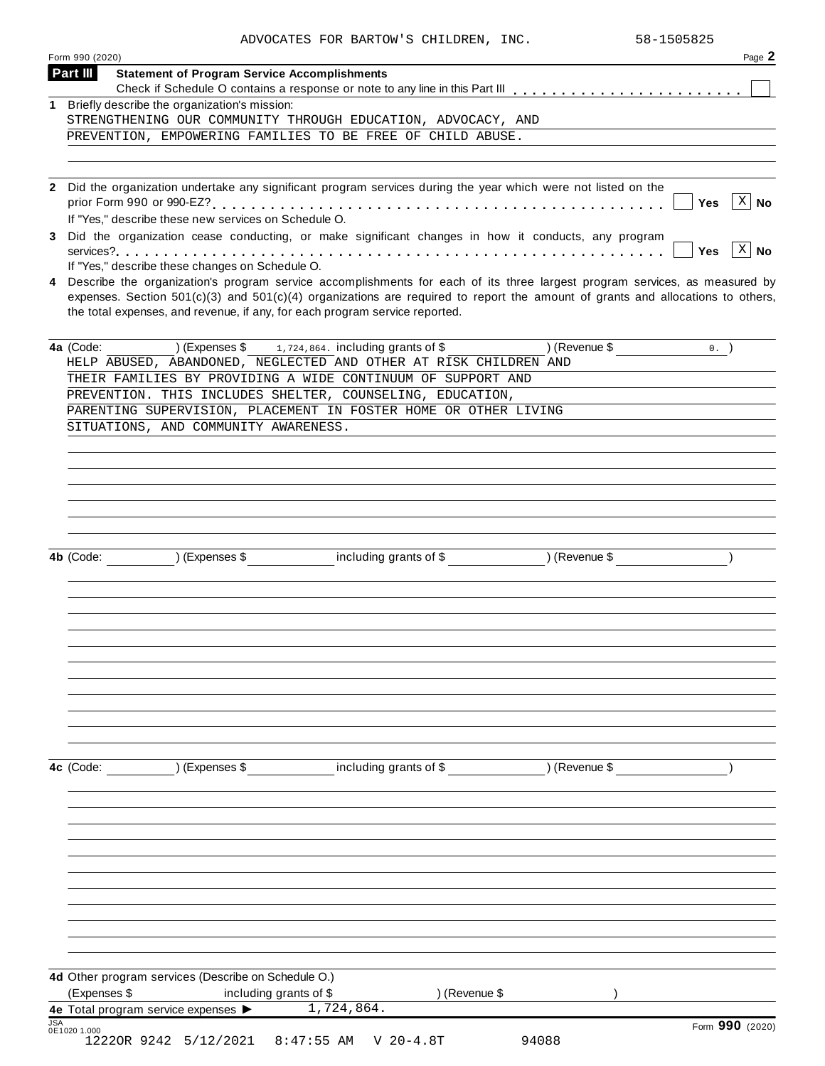ADVOCATES FOR BARTOW'S CHILDREN, INC. 58-1505825

|              | Form 990 (2020)                                                                                                                                                                                                                                                                                                                             | Page 2                    |
|--------------|---------------------------------------------------------------------------------------------------------------------------------------------------------------------------------------------------------------------------------------------------------------------------------------------------------------------------------------------|---------------------------|
|              | Part III<br><b>Statement of Program Service Accomplishments</b>                                                                                                                                                                                                                                                                             |                           |
|              |                                                                                                                                                                                                                                                                                                                                             |                           |
| 1            | Briefly describe the organization's mission:<br>STRENGTHENING OUR COMMUNITY THROUGH EDUCATION, ADVOCACY, AND                                                                                                                                                                                                                                |                           |
|              | PREVENTION, EMPOWERING FAMILIES TO BE FREE OF CHILD ABUSE.                                                                                                                                                                                                                                                                                  |                           |
|              |                                                                                                                                                                                                                                                                                                                                             |                           |
|              |                                                                                                                                                                                                                                                                                                                                             |                           |
| $\mathbf{2}$ | Did the organization undertake any significant program services during the year which were not listed on the                                                                                                                                                                                                                                | $X \mid No$<br>Yes        |
| 3            | If "Yes," describe these new services on Schedule O.<br>Did the organization cease conducting, or make significant changes in how it conducts, any program                                                                                                                                                                                  |                           |
|              | If "Yes," describe these changes on Schedule O.                                                                                                                                                                                                                                                                                             | $X \mid No$<br><b>Yes</b> |
| 4            | Describe the organization's program service accomplishments for each of its three largest program services, as measured by<br>expenses. Section 501(c)(3) and 501(c)(4) organizations are required to report the amount of grants and allocations to others,<br>the total expenses, and revenue, if any, for each program service reported. |                           |
|              | $($ Revenue \$<br>4a (Code:<br>) (Expenses $$$ 1,724,864. including grants of $$$<br>HELP ABUSED, ABANDONED, NEGLECTED AND OTHER AT RISK CHILDREN AND                                                                                                                                                                                       | $0.$ )                    |
|              | THEIR FAMILIES BY PROVIDING A WIDE CONTINUUM OF SUPPORT AND                                                                                                                                                                                                                                                                                 |                           |
|              | PREVENTION. THIS INCLUDES SHELTER, COUNSELING, EDUCATION,                                                                                                                                                                                                                                                                                   |                           |
|              | PARENTING SUPERVISION, PLACEMENT IN FOSTER HOME OR OTHER LIVING                                                                                                                                                                                                                                                                             |                           |
|              | SITUATIONS, AND COMMUNITY AWARENESS.                                                                                                                                                                                                                                                                                                        |                           |
|              |                                                                                                                                                                                                                                                                                                                                             |                           |
|              |                                                                                                                                                                                                                                                                                                                                             |                           |
|              |                                                                                                                                                                                                                                                                                                                                             |                           |
|              |                                                                                                                                                                                                                                                                                                                                             |                           |
|              |                                                                                                                                                                                                                                                                                                                                             |                           |
|              |                                                                                                                                                                                                                                                                                                                                             |                           |
|              | including grants of \$ (Revenue \$<br>(Express \$<br>4b (Code:                                                                                                                                                                                                                                                                              |                           |
|              |                                                                                                                                                                                                                                                                                                                                             |                           |
|              |                                                                                                                                                                                                                                                                                                                                             |                           |
|              |                                                                                                                                                                                                                                                                                                                                             |                           |
|              |                                                                                                                                                                                                                                                                                                                                             |                           |
|              |                                                                                                                                                                                                                                                                                                                                             |                           |
|              |                                                                                                                                                                                                                                                                                                                                             |                           |
|              |                                                                                                                                                                                                                                                                                                                                             |                           |
|              |                                                                                                                                                                                                                                                                                                                                             |                           |
|              |                                                                                                                                                                                                                                                                                                                                             |                           |
|              |                                                                                                                                                                                                                                                                                                                                             |                           |
|              |                                                                                                                                                                                                                                                                                                                                             |                           |
|              | ) (Expenses \$<br>including grants of \$<br>) (Revenue \$<br>4c (Code:                                                                                                                                                                                                                                                                      |                           |
|              |                                                                                                                                                                                                                                                                                                                                             |                           |
|              |                                                                                                                                                                                                                                                                                                                                             |                           |
|              |                                                                                                                                                                                                                                                                                                                                             |                           |
|              |                                                                                                                                                                                                                                                                                                                                             |                           |
|              |                                                                                                                                                                                                                                                                                                                                             |                           |
|              |                                                                                                                                                                                                                                                                                                                                             |                           |
|              |                                                                                                                                                                                                                                                                                                                                             |                           |
|              |                                                                                                                                                                                                                                                                                                                                             |                           |
|              |                                                                                                                                                                                                                                                                                                                                             |                           |
|              |                                                                                                                                                                                                                                                                                                                                             |                           |
|              |                                                                                                                                                                                                                                                                                                                                             |                           |
|              | 4d Other program services (Describe on Schedule O.)                                                                                                                                                                                                                                                                                         |                           |
|              | (Expenses \$<br>) (Revenue \$<br>including grants of \$                                                                                                                                                                                                                                                                                     |                           |
|              | 1,724,864.<br>4e Total program service expenses >                                                                                                                                                                                                                                                                                           |                           |
| <b>JSA</b>   |                                                                                                                                                                                                                                                                                                                                             | Form 990 (2020)           |
|              | 0E1020 1.000<br>12220R 9242 5/12/2021<br>$V$ 20-4.8T<br>$8:47:55$ AM<br>94088                                                                                                                                                                                                                                                               |                           |
|              |                                                                                                                                                                                                                                                                                                                                             |                           |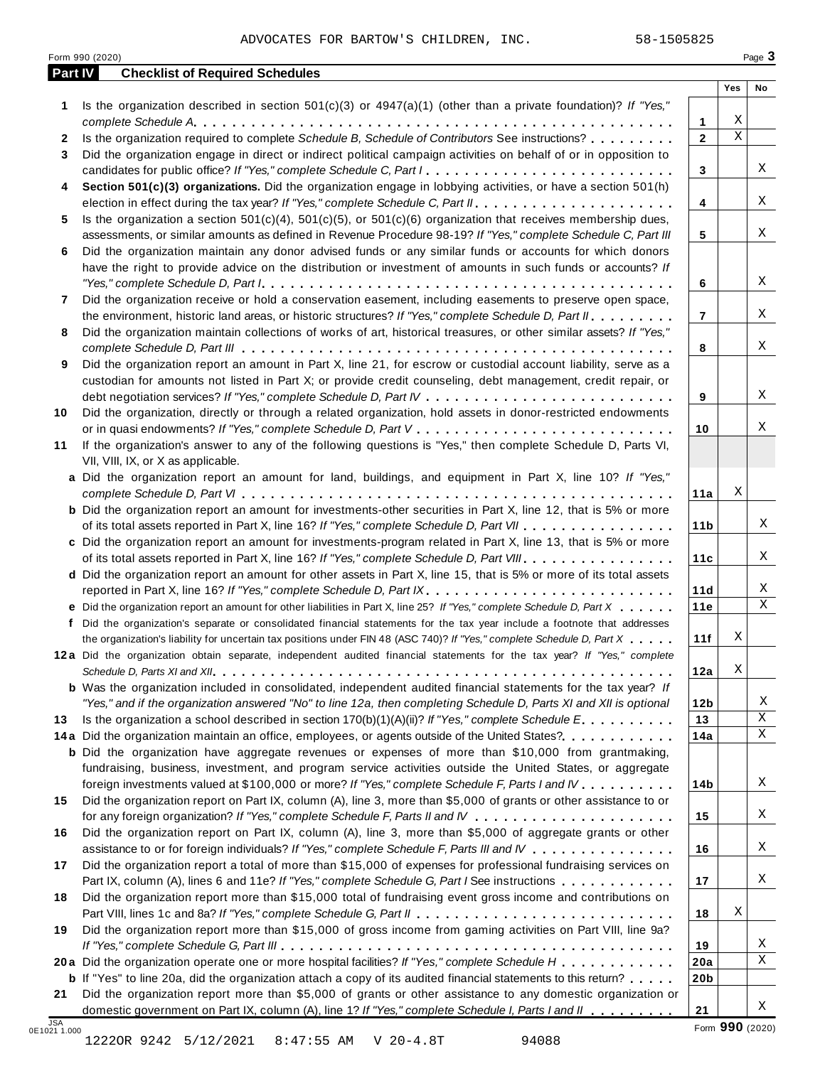| Part IV      | <b>Checklist of Required Schedules</b>                                                                                  |                 |             |    |
|--------------|-------------------------------------------------------------------------------------------------------------------------|-----------------|-------------|----|
|              |                                                                                                                         |                 | Yes         | No |
| 1            | Is the organization described in section $501(c)(3)$ or $4947(a)(1)$ (other than a private foundation)? If "Yes,"       |                 |             |    |
|              |                                                                                                                         | 1               | Χ           |    |
| $\mathbf{2}$ | Is the organization required to complete Schedule B, Schedule of Contributors See instructions?                         | $\overline{2}$  | $\mathbf X$ |    |
| 3            | Did the organization engage in direct or indirect political campaign activities on behalf of or in opposition to        |                 |             |    |
|              | candidates for public office? If "Yes," complete Schedule C, Part I.                                                    | 3               |             | Χ  |
| 4            | Section 501(c)(3) organizations. Did the organization engage in lobbying activities, or have a section 501(h)           |                 |             |    |
|              |                                                                                                                         | 4               |             | X  |
| 5            | Is the organization a section $501(c)(4)$ , $501(c)(5)$ , or $501(c)(6)$ organization that receives membership dues,    |                 |             | Χ  |
|              | assessments, or similar amounts as defined in Revenue Procedure 98-19? If "Yes," complete Schedule C, Part III          | 5               |             |    |
| 6            | Did the organization maintain any donor advised funds or any similar funds or accounts for which donors                 |                 |             |    |
|              | have the right to provide advice on the distribution or investment of amounts in such funds or accounts? If             |                 |             | X  |
|              |                                                                                                                         | 6               |             |    |
| 7            | Did the organization receive or hold a conservation easement, including easements to preserve open space,               |                 |             | Χ  |
|              | the environment, historic land areas, or historic structures? If "Yes," complete Schedule D, Part II.                   | $\overline{7}$  |             |    |
| 8            | Did the organization maintain collections of works of art, historical treasures, or other similar assets? If "Yes,"     |                 |             | Χ  |
|              | Did the organization report an amount in Part X, line 21, for escrow or custodial account liability, serve as a         | 8               |             |    |
| 9            |                                                                                                                         |                 |             |    |
|              | custodian for amounts not listed in Part X; or provide credit counseling, debt management, credit repair, or            | 9               |             | X  |
| 10           | Did the organization, directly or through a related organization, hold assets in donor-restricted endowments            |                 |             |    |
|              |                                                                                                                         | 10              |             | Χ  |
| 11           | If the organization's answer to any of the following questions is "Yes," then complete Schedule D, Parts VI,            |                 |             |    |
|              | VII, VIII, IX, or X as applicable.                                                                                      |                 |             |    |
|              | a Did the organization report an amount for land, buildings, and equipment in Part X, line 10? If "Yes,"                |                 |             |    |
|              |                                                                                                                         | 11a             | Χ           |    |
|              | <b>b</b> Did the organization report an amount for investments-other securities in Part X, line 12, that is 5% or more  |                 |             |    |
|              | of its total assets reported in Part X, line 16? If "Yes," complete Schedule D, Part VII                                | 11 <sub>b</sub> |             | Χ  |
|              | c Did the organization report an amount for investments-program related in Part X, line 13, that is 5% or more          |                 |             |    |
|              | of its total assets reported in Part X, line 16? If "Yes," complete Schedule D, Part VIII                               | 11c             |             | Χ  |
|              | d Did the organization report an amount for other assets in Part X, line 15, that is 5% or more of its total assets     |                 |             |    |
|              | reported in Part X, line 16? If "Yes," complete Schedule D, Part IX.                                                    | 11d             |             | Χ  |
|              | e Did the organization report an amount for other liabilities in Part X, line 25? If "Yes," complete Schedule D, Part X | 11e             |             | X  |
| f            | Did the organization's separate or consolidated financial statements for the tax year include a footnote that addresses |                 |             |    |
|              | the organization's liability for uncertain tax positions under FIN 48 (ASC 740)? If "Yes," complete Schedule D, Part X  | 11f             | Χ           |    |
|              | 12a Did the organization obtain separate, independent audited financial statements for the tax year? If "Yes," complete |                 |             |    |
|              |                                                                                                                         | 12a             | Χ           |    |
|              | <b>b</b> Was the organization included in consolidated, independent audited financial statements for the tax year? If   |                 |             |    |
|              | "Yes," and if the organization answered "No" to line 12a, then completing Schedule D, Parts XI and XII is optional      | 12 <sub>b</sub> |             | Χ  |
| 13           | Is the organization a school described in section $170(b)(1)(A)(ii)$ ? If "Yes," complete Schedule E.                   | 13              |             | Χ  |
|              | 14a Did the organization maintain an office, employees, or agents outside of the United States?.                        | 14a             |             | Χ  |
|              | <b>b</b> Did the organization have aggregate revenues or expenses of more than \$10,000 from grantmaking,               |                 |             |    |
|              | fundraising, business, investment, and program service activities outside the United States, or aggregate               |                 |             |    |
|              | foreign investments valued at \$100,000 or more? If "Yes," complete Schedule F, Parts I and IV                          | 14b             |             | Χ  |
| 15           | Did the organization report on Part IX, column (A), line 3, more than \$5,000 of grants or other assistance to or       |                 |             |    |
|              |                                                                                                                         | 15              |             | Χ  |
| 16           | Did the organization report on Part IX, column (A), line 3, more than \$5,000 of aggregate grants or other              |                 |             |    |
|              | assistance to or for foreign individuals? If "Yes," complete Schedule F, Parts III and IV                               | 16              |             | Χ  |
| 17           | Did the organization report a total of more than \$15,000 of expenses for professional fundraising services on          |                 |             |    |
|              | Part IX, column (A), lines 6 and 11e? If "Yes," complete Schedule G, Part I See instructions                            | 17              |             | Χ  |
| 18           | Did the organization report more than \$15,000 total of fundraising event gross income and contributions on             |                 |             |    |
|              |                                                                                                                         | 18              | Χ           |    |
| 19           | Did the organization report more than \$15,000 of gross income from gaming activities on Part VIII, line 9a?            |                 |             |    |
|              |                                                                                                                         | 19              |             | Χ  |
|              | 20a Did the organization operate one or more hospital facilities? If "Yes," complete Schedule H                         | 20a             |             | X  |
|              | <b>b</b> If "Yes" to line 20a, did the organization attach a copy of its audited financial statements to this return?   | 20 <sub>b</sub> |             |    |
|              |                                                                                                                         |                 |             |    |
| 21           | Did the organization report more than \$5,000 of grants or other assistance to any domestic organization or             |                 |             |    |

1222OR 9242 5/12/2021 8:47:55 AM V 20-4.8T 94088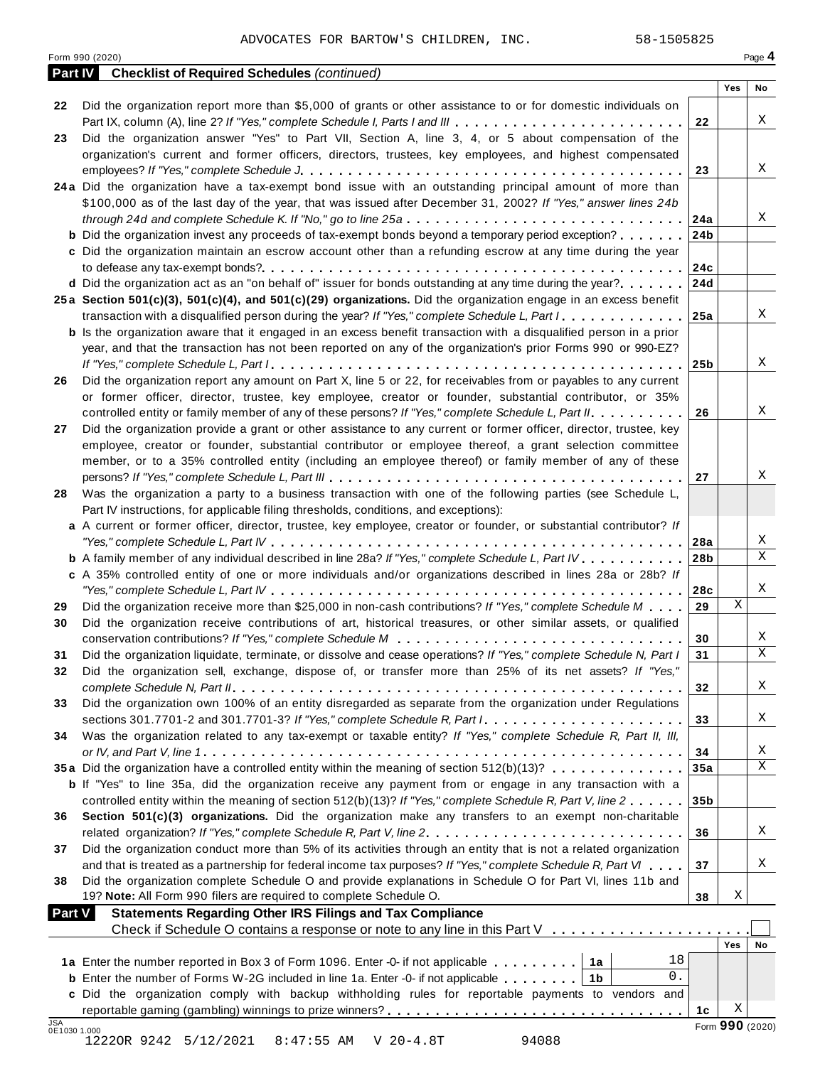Form <sup>990</sup> (2020) Page **4**

|                            | <b>Part IV</b><br><b>Checklist of Required Schedules (continued)</b>                                                      |                 |                 |    |
|----------------------------|---------------------------------------------------------------------------------------------------------------------------|-----------------|-----------------|----|
|                            |                                                                                                                           |                 | Yes             | No |
| 22                         | Did the organization report more than \$5,000 of grants or other assistance to or for domestic individuals on             |                 |                 |    |
|                            |                                                                                                                           | 22              |                 | X  |
| 23                         | Did the organization answer "Yes" to Part VII, Section A, line 3, 4, or 5 about compensation of the                       |                 |                 |    |
|                            | organization's current and former officers, directors, trustees, key employees, and highest compensated                   |                 |                 |    |
|                            |                                                                                                                           | 23              |                 | X  |
|                            | 24a Did the organization have a tax-exempt bond issue with an outstanding principal amount of more than                   |                 |                 |    |
|                            |                                                                                                                           |                 |                 |    |
|                            | \$100,000 as of the last day of the year, that was issued after December 31, 2002? If "Yes," answer lines 24b             |                 |                 |    |
|                            | through 24d and complete Schedule K. If "No," go to line 25a                                                              | 24a             |                 | Χ  |
|                            | <b>b</b> Did the organization invest any proceeds of tax-exempt bonds beyond a temporary period exception?                | 24 <sub>b</sub> |                 |    |
|                            | c Did the organization maintain an escrow account other than a refunding escrow at any time during the year               |                 |                 |    |
|                            |                                                                                                                           | 24c             |                 |    |
|                            | d Did the organization act as an "on behalf of" issuer for bonds outstanding at any time during the year?                 | 24d             |                 |    |
|                            | 25a Section 501(c)(3), 501(c)(4), and 501(c)(29) organizations. Did the organization engage in an excess benefit          |                 |                 |    |
|                            | transaction with a disqualified person during the year? If "Yes," complete Schedule L, Part I                             | 25a             |                 | X  |
|                            | <b>b</b> Is the organization aware that it engaged in an excess benefit transaction with a disqualified person in a prior |                 |                 |    |
|                            | year, and that the transaction has not been reported on any of the organization's prior Forms 990 or 990-EZ?              |                 |                 |    |
|                            |                                                                                                                           | 25 <sub>b</sub> |                 | X  |
|                            |                                                                                                                           |                 |                 |    |
| 26                         | Did the organization report any amount on Part X, line 5 or 22, for receivables from or payables to any current           |                 |                 |    |
|                            | or former officer, director, trustee, key employee, creator or founder, substantial contributor, or 35%                   |                 |                 |    |
|                            | controlled entity or family member of any of these persons? If "Yes," complete Schedule L, Part II.                       | 26              |                 | Χ  |
| 27                         | Did the organization provide a grant or other assistance to any current or former officer, director, trustee, key         |                 |                 |    |
|                            | employee, creator or founder, substantial contributor or employee thereof, a grant selection committee                    |                 |                 |    |
|                            | member, or to a 35% controlled entity (including an employee thereof) or family member of any of these                    |                 |                 |    |
|                            |                                                                                                                           | 27              |                 | Χ  |
| 28                         | Was the organization a party to a business transaction with one of the following parties (see Schedule L,                 |                 |                 |    |
|                            | Part IV instructions, for applicable filing thresholds, conditions, and exceptions):                                      |                 |                 |    |
|                            | a A current or former officer, director, trustee, key employee, creator or founder, or substantial contributor? If        |                 |                 |    |
|                            |                                                                                                                           | 28a             |                 | Χ  |
|                            | <b>b</b> A family member of any individual described in line 28a? If "Yes," complete Schedule L, Part IV.                 |                 |                 | X  |
|                            |                                                                                                                           | 28b             |                 |    |
|                            | c A 35% controlled entity of one or more individuals and/or organizations described in lines 28a or 28b? If               |                 |                 |    |
|                            |                                                                                                                           | 28c             |                 | Χ  |
| 29                         | Did the organization receive more than \$25,000 in non-cash contributions? If "Yes," complete Schedule M                  | 29              | X               |    |
| 30                         | Did the organization receive contributions of art, historical treasures, or other similar assets, or qualified            |                 |                 |    |
|                            |                                                                                                                           | 30              |                 | Χ  |
| 31                         | Did the organization liquidate, terminate, or dissolve and cease operations? If "Yes," complete Schedule N, Part I        | 31              |                 | X  |
| 32                         | Did the organization sell, exchange, dispose of, or transfer more than 25% of its net assets? If "Yes,"                   |                 |                 |    |
|                            |                                                                                                                           | 32              |                 | Χ  |
| 33                         | Did the organization own 100% of an entity disregarded as separate from the organization under Regulations                |                 |                 |    |
|                            |                                                                                                                           | 33              |                 | Χ  |
|                            | Was the organization related to any tax-exempt or taxable entity? If "Yes," complete Schedule R, Part II, III,            |                 |                 |    |
| 34                         |                                                                                                                           |                 |                 | Χ  |
|                            |                                                                                                                           | 34              |                 |    |
|                            | 35a Did the organization have a controlled entity within the meaning of section 512(b)(13)?                               | 35a             |                 | X  |
|                            | <b>b</b> If "Yes" to line 35a, did the organization receive any payment from or engage in any transaction with a          |                 |                 |    |
|                            | controlled entity within the meaning of section 512(b)(13)? If "Yes," complete Schedule R, Part V, line 2                 | 35 <sub>b</sub> |                 |    |
| 36                         | Section 501(c)(3) organizations. Did the organization make any transfers to an exempt non-charitable                      |                 |                 |    |
|                            | related organization? If "Yes," complete Schedule R, Part V, line 2.                                                      | 36              |                 | Χ  |
| 37                         | Did the organization conduct more than 5% of its activities through an entity that is not a related organization          |                 |                 |    |
|                            | and that is treated as a partnership for federal income tax purposes? If "Yes," complete Schedule R, Part VI              | 37              |                 | Χ  |
| 38                         | Did the organization complete Schedule O and provide explanations in Schedule O for Part VI, lines 11b and                |                 |                 |    |
|                            | 19? Note: All Form 990 filers are required to complete Schedule O.                                                        | 38              | Χ               |    |
| <b>Part V</b>              | <b>Statements Regarding Other IRS Filings and Tax Compliance</b>                                                          |                 |                 |    |
|                            | Check if Schedule O contains a response or note to any line in this Part V                                                |                 |                 |    |
|                            |                                                                                                                           |                 | <b>Yes</b>      | No |
|                            |                                                                                                                           |                 |                 |    |
|                            | 18<br>1a Enter the number reported in Box 3 of Form 1096. Enter -0- if not applicable<br>1a                               |                 |                 |    |
|                            | 0.<br><b>b</b> Enter the number of Forms W-2G included in line 1a. Enter -0- if not applicable<br>1b                      |                 |                 |    |
|                            | c Did the organization comply with backup withholding rules for reportable payments to vendors and                        |                 |                 |    |
|                            |                                                                                                                           | 1c              | Χ               |    |
| <b>JSA</b><br>0E1030 1.000 |                                                                                                                           |                 | Form 990 (2020) |    |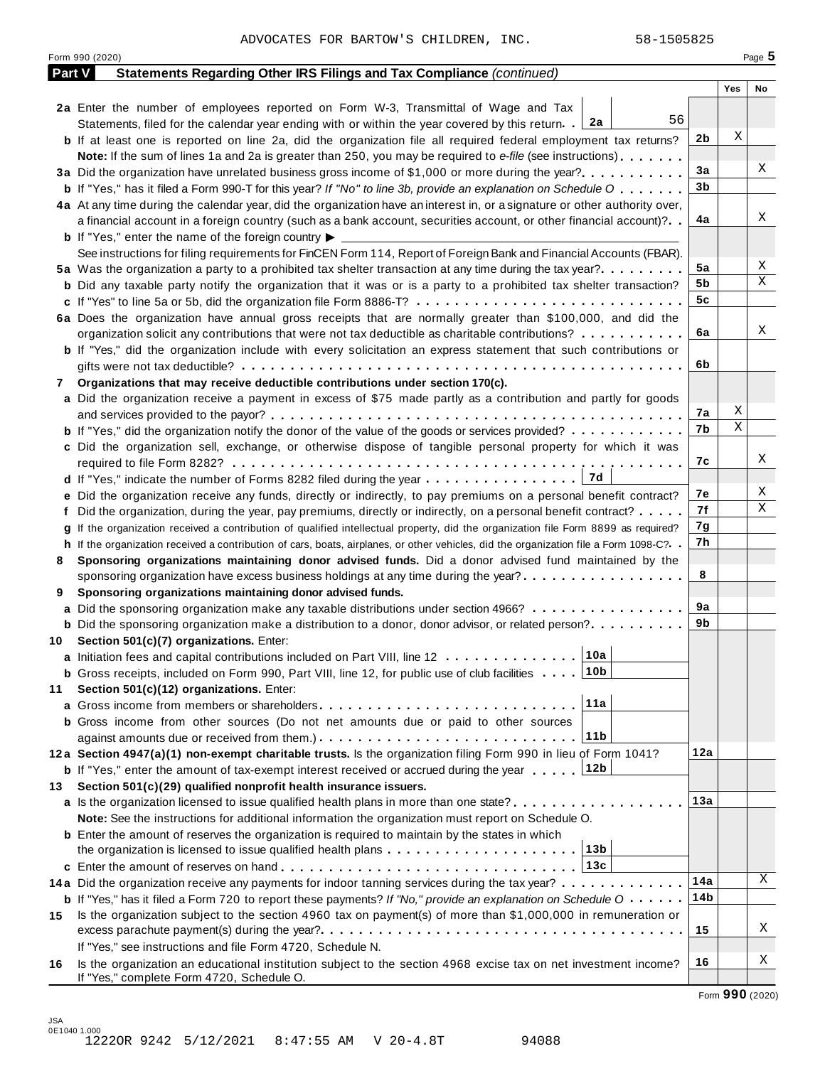|     | Form 990 (2020)                                                                                                                                                                                                                                               |     | Page 5    |  |
|-----|---------------------------------------------------------------------------------------------------------------------------------------------------------------------------------------------------------------------------------------------------------------|-----|-----------|--|
|     | <b>Part V</b><br>Statements Regarding Other IRS Filings and Tax Compliance (continued)                                                                                                                                                                        |     |           |  |
|     |                                                                                                                                                                                                                                                               |     | Yes<br>No |  |
|     | 2a Enter the number of employees reported on Form W-3, Transmittal of Wage and Tax                                                                                                                                                                            |     |           |  |
|     | 56<br>Statements, filed for the calendar year ending with or within the year covered by this return. [2a                                                                                                                                                      |     |           |  |
|     | <b>b</b> If at least one is reported on line 2a, did the organization file all required federal employment tax returns?                                                                                                                                       | 2b  | Χ         |  |
|     | <b>Note:</b> If the sum of lines 1a and 2a is greater than 250, you may be required to e-file (see instructions).                                                                                                                                             |     |           |  |
|     | 3a Did the organization have unrelated business gross income of \$1,000 or more during the year?                                                                                                                                                              | 3a  | Χ         |  |
|     | <b>b</b> If "Yes," has it filed a Form 990-T for this year? If "No" to line 3b, provide an explanation on Schedule O                                                                                                                                          | 3b  |           |  |
|     | 4a At any time during the calendar year, did the organization have an interest in, or a signature or other authority over,                                                                                                                                    |     |           |  |
|     | a financial account in a foreign country (such as a bank account, securities account, or other financial account)?                                                                                                                                            | 4a  | Χ         |  |
|     | <b>b</b> If "Yes," enter the name of the foreign country $\blacktriangleright$                                                                                                                                                                                |     |           |  |
|     | See instructions for filing requirements for FinCEN Form 114, Report of Foreign Bank and Financial Accounts (FBAR).                                                                                                                                           |     |           |  |
|     | 5a Was the organization a party to a prohibited tax shelter transaction at any time during the tax year?                                                                                                                                                      | 5a  | Χ         |  |
|     | <b>b</b> Did any taxable party notify the organization that it was or is a party to a prohibited tax shelter transaction?                                                                                                                                     | 5b  | Χ         |  |
|     |                                                                                                                                                                                                                                                               | 5c  |           |  |
|     | 6a Does the organization have annual gross receipts that are normally greater than \$100,000, and did the                                                                                                                                                     |     |           |  |
|     | organization solicit any contributions that were not tax deductible as charitable contributions?                                                                                                                                                              | 6a  | Χ         |  |
|     | <b>b</b> If "Yes," did the organization include with every solicitation an express statement that such contributions or                                                                                                                                       |     |           |  |
|     |                                                                                                                                                                                                                                                               | 6b  |           |  |
| 7   | Organizations that may receive deductible contributions under section 170(c).                                                                                                                                                                                 |     |           |  |
|     | a Did the organization receive a payment in excess of \$75 made partly as a contribution and partly for goods                                                                                                                                                 |     |           |  |
|     |                                                                                                                                                                                                                                                               | 7а  | Χ         |  |
|     | <b>b</b> If "Yes," did the organization notify the donor of the value of the goods or services provided?                                                                                                                                                      | 7b  | Χ         |  |
|     | c Did the organization sell, exchange, or otherwise dispose of tangible personal property for which it was                                                                                                                                                    |     |           |  |
|     |                                                                                                                                                                                                                                                               | 7с  | Χ         |  |
|     | 7d                                                                                                                                                                                                                                                            |     |           |  |
|     | e Did the organization receive any funds, directly or indirectly, to pay premiums on a personal benefit contract?                                                                                                                                             | 7е  | Χ         |  |
|     | f Did the organization, during the year, pay premiums, directly or indirectly, on a personal benefit contract?                                                                                                                                                | 7f  | Χ         |  |
|     | If the organization received a contribution of qualified intellectual property, did the organization file Form 8899 as required?                                                                                                                              | 7g  |           |  |
|     | h If the organization received a contribution of cars, boats, airplanes, or other vehicles, did the organization file a Form 1098-C?                                                                                                                          | 7h  |           |  |
| 8   | Sponsoring organizations maintaining donor advised funds. Did a donor advised fund maintained by the                                                                                                                                                          |     |           |  |
|     | sponsoring organization have excess business holdings at any time during the year?                                                                                                                                                                            | 8   |           |  |
| 9   | Sponsoring organizations maintaining donor advised funds.                                                                                                                                                                                                     |     |           |  |
|     | <b>a</b> Did the sponsoring organization make any taxable distributions under section 4966?                                                                                                                                                                   | 9а  |           |  |
|     | <b>b</b> Did the sponsoring organization make a distribution to a donor, donor advisor, or related person?                                                                                                                                                    | 9b  |           |  |
|     | 10 Section 501(c)(7) organizations. Enter:                                                                                                                                                                                                                    |     |           |  |
|     | 10a <br>a Initiation fees and capital contributions included on Part VIII, line 12                                                                                                                                                                            |     |           |  |
|     | 10b<br><b>b</b> Gross receipts, included on Form 990, Part VIII, line 12, for public use of club facilities                                                                                                                                                   |     |           |  |
| 11  | Section 501(c)(12) organizations. Enter:                                                                                                                                                                                                                      |     |           |  |
|     | 11a<br><b>a</b> Gross income from members or shareholders                                                                                                                                                                                                     |     |           |  |
|     | b Gross income from other sources (Do not net amounts due or paid to other sources                                                                                                                                                                            |     |           |  |
|     | 11b                                                                                                                                                                                                                                                           |     |           |  |
|     | 12a Section 4947(a)(1) non-exempt charitable trusts. Is the organization filing Form 990 in lieu of Form 1041?                                                                                                                                                | 12a |           |  |
|     | 12b<br><b>b</b> If "Yes," enter the amount of tax-exempt interest received or accrued during the year                                                                                                                                                         |     |           |  |
| 13. | Section 501(c)(29) qualified nonprofit health insurance issuers.                                                                                                                                                                                              |     |           |  |
|     | <b>a</b> Is the organization licensed to issue qualified health plans in more than one state?                                                                                                                                                                 | 13а |           |  |
|     | Note: See the instructions for additional information the organization must report on Schedule O.                                                                                                                                                             |     |           |  |
|     | <b>b</b> Enter the amount of reserves the organization is required to maintain by the states in which                                                                                                                                                         |     |           |  |
|     | 13b                                                                                                                                                                                                                                                           |     |           |  |
|     | 13c                                                                                                                                                                                                                                                           |     |           |  |
|     | 14a Did the organization receive any payments for indoor tanning services during the tax year?                                                                                                                                                                | 14a | Χ         |  |
|     |                                                                                                                                                                                                                                                               | 14b |           |  |
| 15  | <b>b</b> If "Yes," has it filed a Form 720 to report these payments? If "No," provide an explanation on Schedule $0 \cdot \cdot \cdot \cdot$<br>Is the organization subject to the section 4960 tax on payment(s) of more than \$1,000,000 in remuneration or |     |           |  |
|     |                                                                                                                                                                                                                                                               | 15  | Χ         |  |
|     | If "Yes," see instructions and file Form 4720, Schedule N.                                                                                                                                                                                                    |     |           |  |
|     |                                                                                                                                                                                                                                                               | 16  | Χ         |  |
| 16  | Is the organization an educational institution subject to the section 4968 excise tax on net investment income?<br>If "Yes," complete Form 4720, Schedule O.                                                                                                  |     |           |  |

Form **990** (2020)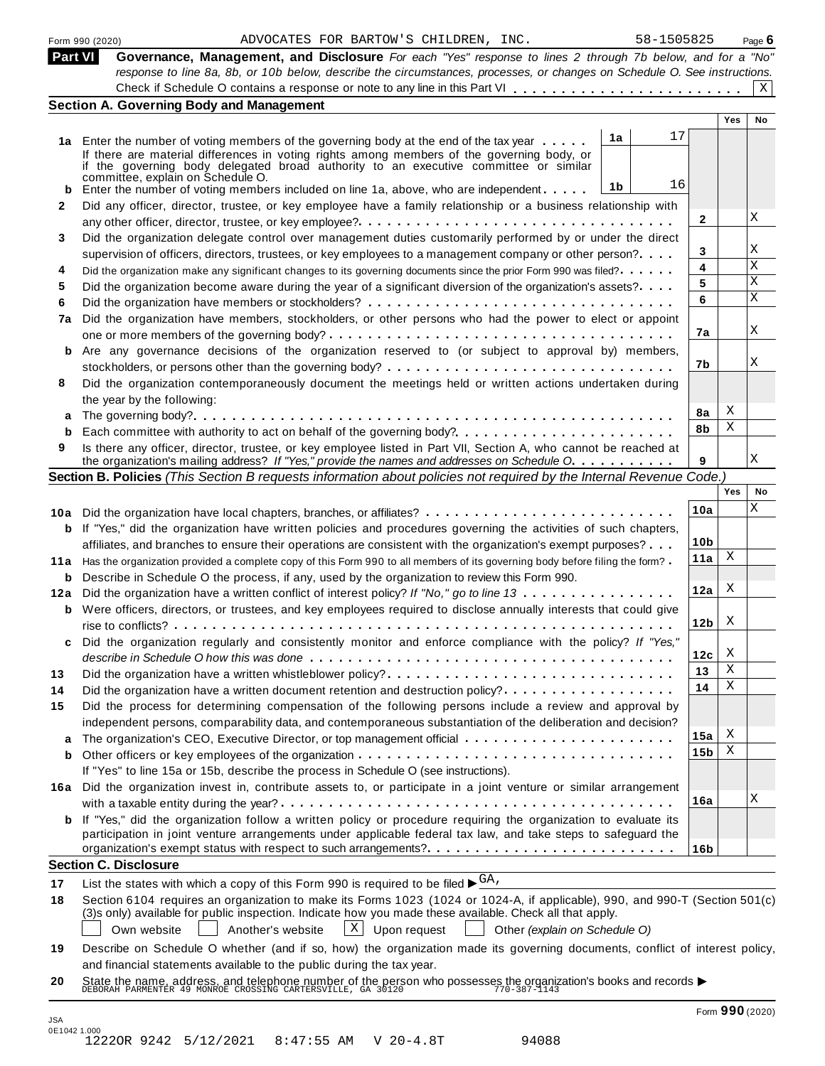|              | ADVOCATES FOR BARTOW'S CHILDREN, INC.<br>58-1505825<br>Form 990 (2020)                                                                                                                                                                                                                                            |                 |     | Page $6$     |
|--------------|-------------------------------------------------------------------------------------------------------------------------------------------------------------------------------------------------------------------------------------------------------------------------------------------------------------------|-----------------|-----|--------------|
| Part VI      | Governance, Management, and Disclosure For each "Yes" response to lines 2 through 7b below, and for a "No"                                                                                                                                                                                                        |                 |     |              |
|              | response to line 8a, 8b, or 10b below, describe the circumstances, processes, or changes on Schedule O. See instructions.                                                                                                                                                                                         |                 |     |              |
|              |                                                                                                                                                                                                                                                                                                                   |                 |     | $\mathbf{x}$ |
|              | <b>Section A. Governing Body and Management</b>                                                                                                                                                                                                                                                                   |                 | Yes | No           |
|              | 17<br>1a                                                                                                                                                                                                                                                                                                          |                 |     |              |
|              | 1a Enter the number of voting members of the governing body at the end of the tax year<br>If there are material differences in voting rights among members of the governing body, or<br>if the governing body delegated broad authority to an executive committee or similar<br>committée, explain on Schedule O. |                 |     |              |
| b            | 16<br>1b<br>Enter the number of voting members included on line 1a, above, who are independent $\dots$ .                                                                                                                                                                                                          |                 |     |              |
| $\mathbf{2}$ | Did any officer, director, trustee, or key employee have a family relationship or a business relationship with                                                                                                                                                                                                    |                 |     |              |
|              |                                                                                                                                                                                                                                                                                                                   | $\mathbf{2}$    |     | Χ            |
| 3            | Did the organization delegate control over management duties customarily performed by or under the direct                                                                                                                                                                                                         |                 |     |              |
|              | supervision of officers, directors, trustees, or key employees to a management company or other person?                                                                                                                                                                                                           | 3               |     | Χ            |
| 4            | Did the organization make any significant changes to its governing documents since the prior Form 990 was filed?.                                                                                                                                                                                                 | 4               |     | X            |
| 5            | Did the organization become aware during the year of a significant diversion of the organization's assets?                                                                                                                                                                                                        | 5               |     | Χ            |
| 6            |                                                                                                                                                                                                                                                                                                                   | 6               |     | X            |
| 7a           | Did the organization have members, stockholders, or other persons who had the power to elect or appoint                                                                                                                                                                                                           | 7a              |     | Χ            |
| b            | Are any governance decisions of the organization reserved to (or subject to approval by) members,                                                                                                                                                                                                                 |                 |     |              |
|              |                                                                                                                                                                                                                                                                                                                   | 7b              |     | Χ            |
| 8            | Did the organization contemporaneously document the meetings held or written actions undertaken during                                                                                                                                                                                                            |                 |     |              |
|              | the year by the following:                                                                                                                                                                                                                                                                                        | 8a              | Χ   |              |
| a            |                                                                                                                                                                                                                                                                                                                   | 8b              | Χ   |              |
| b            | Is there any officer, director, trustee, or key employee listed in Part VII, Section A, who cannot be reached at                                                                                                                                                                                                  |                 |     |              |
| 9            | the organization's mailing address? If "Yes," provide the names and addresses on Schedule O.                                                                                                                                                                                                                      | 9               |     | Χ            |
|              | Section B. Policies (This Section B requests information about policies not required by the Internal Revenue Code.)                                                                                                                                                                                               |                 |     |              |
|              |                                                                                                                                                                                                                                                                                                                   |                 | Yes | No           |
|              | 10a Did the organization have local chapters, branches, or affiliates?                                                                                                                                                                                                                                            | 10a             |     | X            |
|              | <b>b</b> If "Yes," did the organization have written policies and procedures governing the activities of such chapters,<br>affiliates, and branches to ensure their operations are consistent with the organization's exempt purposes?                                                                            | 10 <sub>b</sub> |     |              |
|              | 11a Has the organization provided a complete copy of this Form 990 to all members of its governing body before filing the form?                                                                                                                                                                                   | 11a             | Χ   |              |
| b            | Describe in Schedule O the process, if any, used by the organization to review this Form 990.                                                                                                                                                                                                                     |                 |     |              |
|              | 12a Did the organization have a written conflict of interest policy? If "No," go to line 13                                                                                                                                                                                                                       | 12a             | X   |              |
| b            | Were officers, directors, or trustees, and key employees required to disclose annually interests that could give                                                                                                                                                                                                  | 12 <sub>b</sub> | X   |              |
| c            | Did the organization regularly and consistently monitor and enforce compliance with the policy? If "Yes,"                                                                                                                                                                                                         | 12c             | Χ   |              |
|              |                                                                                                                                                                                                                                                                                                                   | 13              | Χ   |              |
| 13           | Did the organization have a written whistleblower policy?                                                                                                                                                                                                                                                         | 14              | Χ   |              |
| 14           | Did the organization have a written document retention and destruction policy?                                                                                                                                                                                                                                    |                 |     |              |
| 15           | Did the process for determining compensation of the following persons include a review and approval by<br>independent persons, comparability data, and contemporaneous substantiation of the deliberation and decision?                                                                                           |                 |     |              |
|              |                                                                                                                                                                                                                                                                                                                   |                 | X   |              |
| a            |                                                                                                                                                                                                                                                                                                                   | 15a             |     |              |
| b            | If "Yes" to line 15a or 15b, describe the process in Schedule O (see instructions).                                                                                                                                                                                                                               | 15 <sub>b</sub> | Χ   |              |

**b** If "Yes," did the organization follow a written policy or procedure requiring the organization to evaluate its | with <sup>a</sup> taxable entity during the year? m mm m m m m m m m m m m m m m m m m m m m m m m m m m m m m m m m m m m m m m m participation in joint venture arrangements under applicable federal tax law, and take steps to safeguard the<br>organization's exempt status with respect to such arrangements?<br>1

## **Section C. Disclosure**

- 17 List the states with which a copy of this Form 990 is required to be filed  $\blacktriangleright \frac{GA}{A}$ ,
- **18** Section 6104 requires an organization to make its Forms 1023 (1024 or 1024-A, if applicable), 990, and 990-T (Section 501(c) (3)s only) available for public inspection. Indicate how you made these available. Check all that apply.

Own website  $\Box$  Another's website  $\Box$  Upon request  $\Box$  Other *(explain on Schedule O)*  $\boxed{\text{X}}$  Upon request

- **19** Describe on Schedule O whether (and if so, how) the organization made its governing documents, conflict of interest policy, and financial statements available to the public during the tax year.
- **20** and infancial statements available to the public during the tax year.<br>State the name, address, and telephone number of the person who possesses the organization's books and records <br>DEBORAH PARMENTER 49 MONROE CROSSING CAR

X

**16a**

**16b**

|  | 8-1505825 |  |
|--|-----------|--|
|  |           |  |

| changes on Schedule O. See instructions. |  |  |  |  |  |            |
|------------------------------------------|--|--|--|--|--|------------|
|                                          |  |  |  |  |  | $\sqrt{X}$ |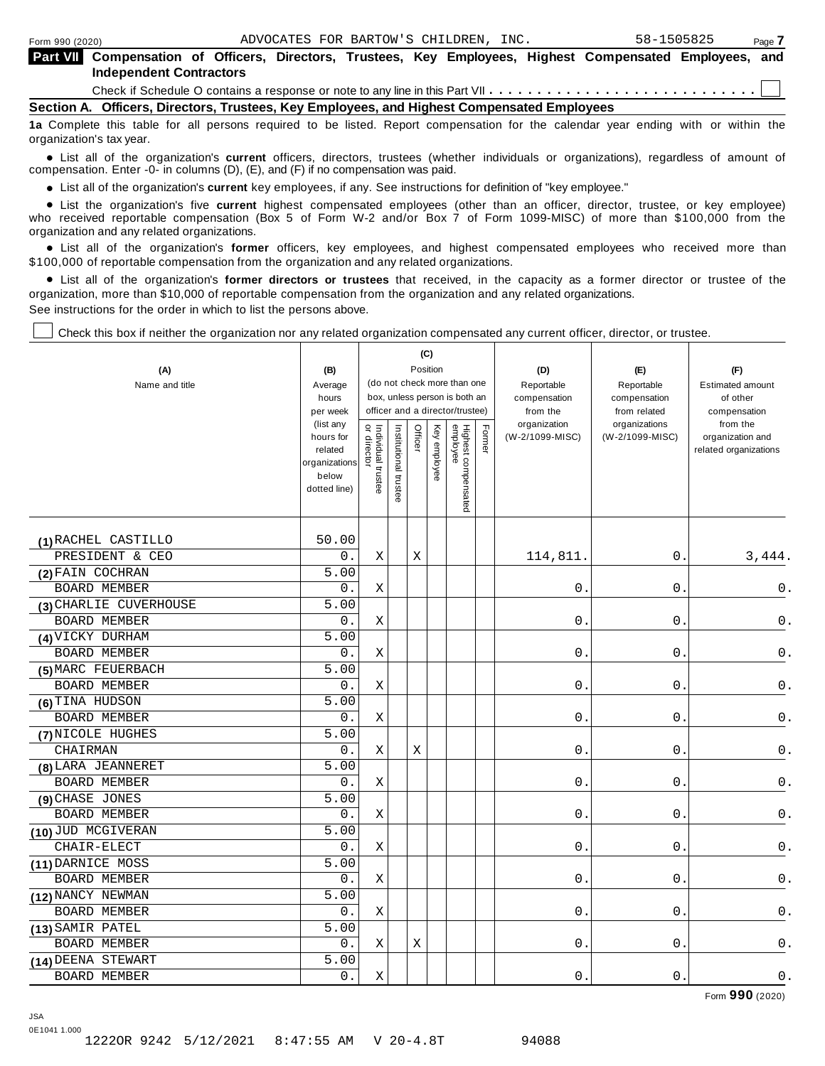| <b>Part VII</b> Compensation of Officers, Directors, Trustees, Key Employees, Highest Compensated Employees, and |  |  |  |  |  |
|------------------------------------------------------------------------------------------------------------------|--|--|--|--|--|
| <b>Independent Contractors</b>                                                                                   |  |  |  |  |  |
|                                                                                                                  |  |  |  |  |  |

**Section A. Officers, Directors, Trustees, Key Employees, and Highest Compensated Employees**

**1a** Complete this table for all persons required to be listed. Report compensation for the calendar year ending with or within the organization's tax year.

anization's lax year.<br>● List all of the organization's **current** officers, directors, trustees (whether individuals or organizations), regardless of amount of<br>nnensation Enter -0- in columns (D) (E) and (E) if no compensa compensation. Enter -0- in columns (D), (E), and (F) if no compensation was paid.

• List all of the organization's current key employees, if any. See instructions for definition of "key employee."

■ List all of the organization's current key employees, if any. See instructions for definition of "key employee."<br>■ List the organization's five current highest compensated employees (other than an officer, director, tru who received reportable compensation (Box 5 of Form W-2 and/or Box 7 of Form 1099-MISC) of more than \$100,000 from the

organization and any related organizations.<br>• List all of the organization's **former** officers, key employees, and highest compensated employees who received more than<br>\$1.00.000 of reportable componention from the erganiza \$100,000 of reportable compensation from the organization and any related organizations.

% List all of the organization's **former directors or trustees** that received, in the capacity as a former director or trustee of the organization, more than \$10,000 of reportable compensation from the organization and any related organizations. See instructions for the order in which to list the persons above.

Check this box if neither the organization nor any related organization compensated any current officer, director, or trustee.

|                        |                                                                |                                   |                       |             | (C)          |                                 |        |                          |                               |                                           |
|------------------------|----------------------------------------------------------------|-----------------------------------|-----------------------|-------------|--------------|---------------------------------|--------|--------------------------|-------------------------------|-------------------------------------------|
| (A)                    | (B)                                                            |                                   |                       |             | Position     |                                 |        | (D)                      | (E)                           | (F)                                       |
| Name and title         | Average                                                        |                                   |                       |             |              | (do not check more than one     |        | Reportable               | Reportable                    | <b>Estimated amount</b>                   |
|                        | hours                                                          |                                   |                       |             |              | box, unless person is both an   |        | compensation             | compensation                  | of other                                  |
|                        | per week<br>(list any                                          |                                   |                       |             |              | officer and a director/trustee) |        | from the<br>organization | from related<br>organizations | compensation<br>from the                  |
|                        | hours for<br>related<br>organizations<br>below<br>dotted line) | Individual trustee<br>or director | Institutional trustee | Officer     | Key employee | Highest compensated<br>employee | Former | (W-2/1099-MISC)          | (W-2/1099-MISC)               | organization and<br>related organizations |
|                        |                                                                |                                   |                       |             |              |                                 |        |                          |                               |                                           |
| (1) RACHEL CASTILLO    | 50.00                                                          |                                   |                       |             |              |                                 |        |                          |                               |                                           |
| PRESIDENT & CEO        | О.                                                             | Χ                                 |                       | Χ           |              |                                 |        | 114,811                  | 0                             | 3,444.                                    |
| (2) FAIN COCHRAN       | 5.00                                                           |                                   |                       |             |              |                                 |        |                          |                               |                                           |
| BOARD MEMBER           | О.                                                             | Х                                 |                       |             |              |                                 |        | 0                        | 0                             | $\mathsf 0$ .                             |
| (3) CHARLIE CUVERHOUSE | 5.00                                                           |                                   |                       |             |              |                                 |        |                          |                               |                                           |
| <b>BOARD MEMBER</b>    | О.                                                             | Χ                                 |                       |             |              |                                 |        | $\mathsf{O}$ .           | 0                             | $\mathsf 0$ .                             |
| (4) VICKY DURHAM       | 5.00                                                           |                                   |                       |             |              |                                 |        |                          |                               |                                           |
| BOARD MEMBER           | О.                                                             | Χ                                 |                       |             |              |                                 |        | 0                        | 0                             | $\mathsf 0$ .                             |
| (5) MARC FEUERBACH     | 5.00                                                           |                                   |                       |             |              |                                 |        |                          |                               |                                           |
| BOARD MEMBER           | 0.                                                             | Х                                 |                       |             |              |                                 |        | 0                        | 0                             | $\mathsf 0$ .                             |
| (6) TINA HUDSON        | 5.00                                                           |                                   |                       |             |              |                                 |        |                          |                               |                                           |
| BOARD MEMBER           | 0.                                                             | Χ                                 |                       |             |              |                                 |        | 0                        | 0                             | $\mathsf 0$ .                             |
| (7) NICOLE HUGHES      | 5.00                                                           |                                   |                       |             |              |                                 |        |                          |                               |                                           |
| CHAIRMAN               | 0.                                                             | Х                                 |                       | $\mathbf X$ |              |                                 |        | $\mathsf 0$              | 0                             | 0.                                        |
| (8) LARA JEANNERET     | 5.00                                                           |                                   |                       |             |              |                                 |        |                          |                               |                                           |
| <b>BOARD MEMBER</b>    | 0.                                                             | $\rm X$                           |                       |             |              |                                 |        | $\overline{0}$           | $\mathbf 0$                   | $0$ .                                     |
| (9) CHASE JONES        | 5.00                                                           |                                   |                       |             |              |                                 |        |                          |                               |                                           |
| <b>BOARD MEMBER</b>    | 0.                                                             | Χ                                 |                       |             |              |                                 |        | 0                        | 0                             | 0.                                        |
| (10) JUD MCGIVERAN     | 5.00                                                           |                                   |                       |             |              |                                 |        |                          |                               |                                           |
| CHAIR-ELECT            | $0$ .                                                          | Χ                                 |                       |             |              |                                 |        | 0                        | 0                             | 0.                                        |
| (11) DARNICE MOSS      | 5.00                                                           |                                   |                       |             |              |                                 |        |                          |                               |                                           |
| BOARD MEMBER           | О.                                                             | Χ                                 |                       |             |              |                                 |        | 0                        | 0                             | $\mathsf 0$ .                             |
| (12) NANCY NEWMAN      | 5.00                                                           |                                   |                       |             |              |                                 |        |                          |                               |                                           |
| BOARD MEMBER           | 0.                                                             | Χ                                 |                       |             |              |                                 |        | 0                        | 0                             | $\mathsf 0$ .                             |
| (13) SAMIR PATEL       | 5.00                                                           |                                   |                       |             |              |                                 |        |                          |                               |                                           |
| BOARD MEMBER           | О.                                                             | $\rm X$                           |                       | Χ           |              |                                 |        | 0                        | 0                             | $\mathsf 0$ .                             |
| (14) DEENA STEWART     | 5.00                                                           |                                   |                       |             |              |                                 |        |                          |                               |                                           |
| BOARD MEMBER           | $0$ .                                                          | Χ                                 |                       |             |              |                                 |        | $\mathsf{O}$ .           | 0                             | $\mathsf 0$ .                             |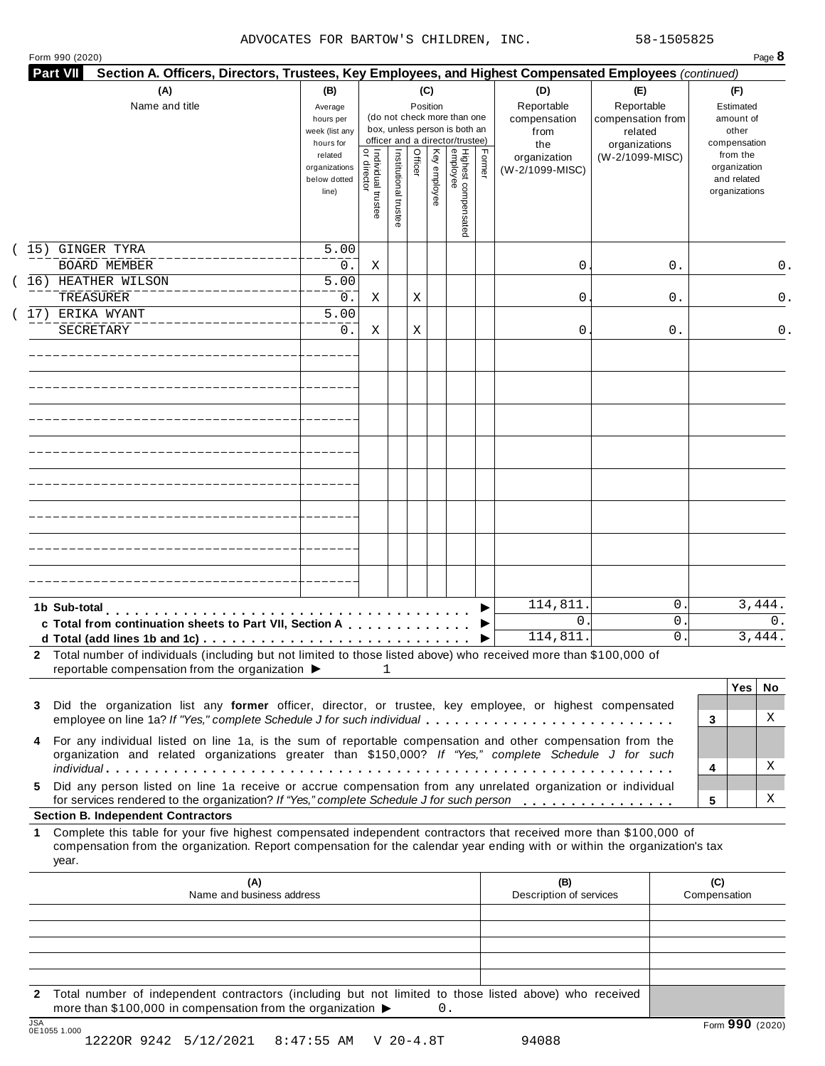|                                                                                                                                                                                                                                                                 |                                                                |                                        |                       |                 |                                                              |                                 |        |                                           | Section A. Officers, Directors, Trustees, Key Employees, and Highest Compensated Employees (continued) |                     |                                                                          |
|-----------------------------------------------------------------------------------------------------------------------------------------------------------------------------------------------------------------------------------------------------------------|----------------------------------------------------------------|----------------------------------------|-----------------------|-----------------|--------------------------------------------------------------|---------------------------------|--------|-------------------------------------------|--------------------------------------------------------------------------------------------------------|---------------------|--------------------------------------------------------------------------|
| (A)<br>Name and title                                                                                                                                                                                                                                           | (B)<br>Average<br>hours per<br>week (list any                  |                                        |                       | (C)<br>Position | (do not check more than one<br>box, unless person is both an |                                 |        | (D)<br>Reportable<br>compensation<br>from | (E)<br>Reportable<br>compensation from<br>related                                                      |                     | (F)<br>Estimated<br>amount of<br>other                                   |
|                                                                                                                                                                                                                                                                 | hours for<br>related<br>organizations<br>below dotted<br>line) | õ<br>Individual trustee<br>or director | Institutional trustee | Officer         | officer and a director/trustee)<br>Key employee              | Highest compensated<br>employee | Former | the<br>organization<br>(W-2/1099-MISC)    | organizations<br>(W-2/1099-MISC)                                                                       |                     | compensation<br>from the<br>organization<br>and related<br>organizations |
| 15) GINGER TYRA<br><b>BOARD MEMBER</b>                                                                                                                                                                                                                          | 5.00<br>0.                                                     | Χ                                      |                       |                 |                                                              |                                 |        | 0                                         | 0.                                                                                                     |                     | 0.                                                                       |
| 16) HEATHER WILSON<br>TREASURER                                                                                                                                                                                                                                 | 5.00<br>0.                                                     | Χ                                      |                       | Χ               |                                                              |                                 |        | 0                                         | 0.                                                                                                     |                     | 0.                                                                       |
| 17) ERIKA WYANT<br>SECRETARY                                                                                                                                                                                                                                    | 5.00<br>$0$ .                                                  | Χ                                      |                       | Χ               |                                                              |                                 |        | 0                                         | 0.                                                                                                     |                     | 0.                                                                       |
|                                                                                                                                                                                                                                                                 |                                                                |                                        |                       |                 |                                                              |                                 |        |                                           |                                                                                                        |                     |                                                                          |
|                                                                                                                                                                                                                                                                 |                                                                |                                        |                       |                 |                                                              |                                 |        |                                           |                                                                                                        |                     |                                                                          |
|                                                                                                                                                                                                                                                                 |                                                                |                                        |                       |                 |                                                              |                                 |        |                                           |                                                                                                        |                     |                                                                          |
|                                                                                                                                                                                                                                                                 |                                                                |                                        |                       |                 |                                                              |                                 |        |                                           |                                                                                                        |                     |                                                                          |
|                                                                                                                                                                                                                                                                 |                                                                |                                        |                       |                 |                                                              |                                 |        |                                           |                                                                                                        |                     |                                                                          |
|                                                                                                                                                                                                                                                                 |                                                                |                                        |                       |                 |                                                              |                                 |        |                                           |                                                                                                        |                     |                                                                          |
|                                                                                                                                                                                                                                                                 |                                                                |                                        |                       |                 |                                                              |                                 |        |                                           |                                                                                                        |                     |                                                                          |
|                                                                                                                                                                                                                                                                 |                                                                |                                        |                       |                 |                                                              |                                 |        |                                           |                                                                                                        |                     |                                                                          |
| 1b Sub-total                                                                                                                                                                                                                                                    |                                                                |                                        |                       |                 |                                                              |                                 |        | 114,811<br>$\mathbf{0}$                   | 0<br>0                                                                                                 |                     | 3,444.<br>0.                                                             |
| c Total from continuation sheets to Part VII, Section A.                                                                                                                                                                                                        |                                                                |                                        |                       |                 |                                                              |                                 |        | 114,811                                   | 0                                                                                                      |                     | 3,444.                                                                   |
| Total number of individuals (including but not limited to those listed above) who received more than \$100,000 of<br>$\mathbf{2}$<br>reportable compensation from the organization ▶                                                                            |                                                                | 1                                      |                       |                 |                                                              |                                 |        |                                           |                                                                                                        |                     |                                                                          |
|                                                                                                                                                                                                                                                                 |                                                                |                                        |                       |                 |                                                              |                                 |        |                                           |                                                                                                        |                     | <b>Yes</b><br>No                                                         |
| Did the organization list any former officer, director, or trustee, key employee, or highest compensated<br>3<br>employee on line 1a? If "Yes," complete Schedule J for such individual                                                                         |                                                                |                                        |                       |                 |                                                              |                                 |        |                                           |                                                                                                        | 3                   | Χ                                                                        |
| For any individual listed on line 1a, is the sum of reportable compensation and other compensation from the<br>organization and related organizations greater than \$150,000? If "Yes," complete Schedule J for such                                            |                                                                |                                        |                       |                 |                                                              |                                 |        |                                           |                                                                                                        | 4                   | Χ                                                                        |
| Did any person listed on line 1a receive or accrue compensation from any unrelated organization or individual<br>5.<br>for services rendered to the organization? If "Yes," complete Schedule J for such person                                                 |                                                                |                                        |                       |                 |                                                              |                                 |        |                                           |                                                                                                        | 5                   | Χ                                                                        |
| <b>Section B. Independent Contractors</b>                                                                                                                                                                                                                       |                                                                |                                        |                       |                 |                                                              |                                 |        |                                           |                                                                                                        |                     |                                                                          |
| Complete this table for your five highest compensated independent contractors that received more than \$100,000 of<br>1.<br>compensation from the organization. Report compensation for the calendar year ending with or within the organization's tax<br>year. |                                                                |                                        |                       |                 |                                                              |                                 |        |                                           |                                                                                                        |                     |                                                                          |
| (A)                                                                                                                                                                                                                                                             |                                                                |                                        |                       |                 |                                                              |                                 |        | (B)<br>Description of services            |                                                                                                        | (C)<br>Compensation |                                                                          |
| Name and business address                                                                                                                                                                                                                                       |                                                                |                                        |                       |                 |                                                              |                                 |        |                                           |                                                                                                        |                     |                                                                          |
|                                                                                                                                                                                                                                                                 |                                                                |                                        |                       |                 |                                                              |                                 |        |                                           |                                                                                                        |                     |                                                                          |

**2** Total number of independent contractors (including but not limited to those listed above) who received more than \$100,000 in compensation from the organization  $\triangleright$  0.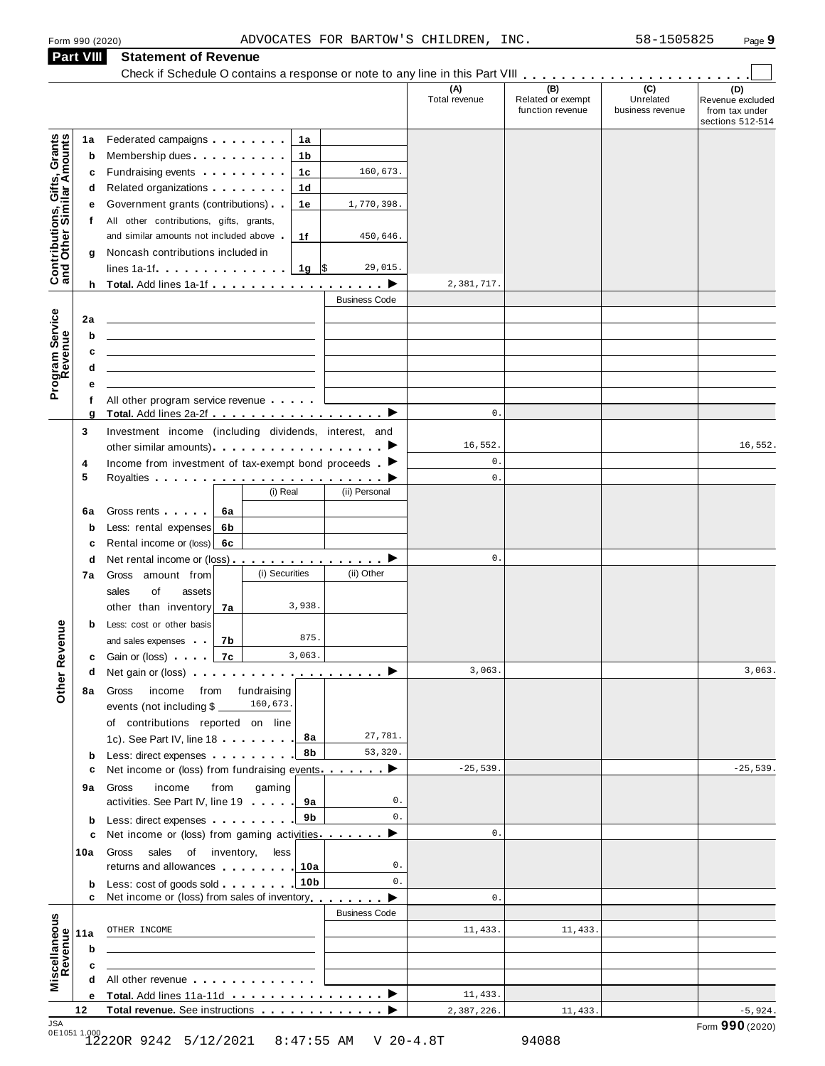**Part VIII Statement of Revenue**

|                                                                 |                                                                                                                                                                                                                                           |                 |                           | (A)<br>Total revenue | (B)<br>Related or exempt<br>function revenue | $\overline{C}$<br>Unrelated<br>business revenue | (D)<br>Revenue excluded<br>from tax under |
|-----------------------------------------------------------------|-------------------------------------------------------------------------------------------------------------------------------------------------------------------------------------------------------------------------------------------|-----------------|---------------------------|----------------------|----------------------------------------------|-------------------------------------------------|-------------------------------------------|
|                                                                 |                                                                                                                                                                                                                                           |                 |                           |                      |                                              |                                                 | sections 512-514                          |
| Contributions, Gifts, Grants<br>and Other Similar Amounts<br>1a | Federated campaigns <b>Federated</b>                                                                                                                                                                                                      | 1а              |                           |                      |                                              |                                                 |                                           |
|                                                                 | Membership dues <b>All Accords</b> Membership dues<br>b                                                                                                                                                                                   | 1b              |                           |                      |                                              |                                                 |                                           |
|                                                                 | Fundraising events <b>Fundraising</b><br>c                                                                                                                                                                                                | 1с              | 160,673.                  |                      |                                              |                                                 |                                           |
|                                                                 | Related organizations <b>and the set of the set of the set of the set of the set of the set of the set of the set of the set of the set of the set of the set of the set of the set of the set of the set of the set of the set </b><br>d | 1d              |                           |                      |                                              |                                                 |                                           |
|                                                                 | Government grants (contributions)<br>е                                                                                                                                                                                                    | 1е              | 1,770,398.                |                      |                                              |                                                 |                                           |
|                                                                 | All other contributions, gifts, grants,<br>t.<br>and similar amounts not included above                                                                                                                                                   |                 |                           |                      |                                              |                                                 |                                           |
|                                                                 |                                                                                                                                                                                                                                           | 1f              | 450,646.                  |                      |                                              |                                                 |                                           |
|                                                                 | Noncash contributions included in<br>g<br>lines 1a-1f $\ldots$ $\ldots$ $\ldots$ $\frac{1}{9}$ \$                                                                                                                                         |                 | 29,015.                   |                      |                                              |                                                 |                                           |
|                                                                 | h Total. Add lines 1a-1f $\ldots$ , $\ldots$ , $\ldots$ , $\blacktriangleright$                                                                                                                                                           |                 |                           | 2,381,717.           |                                              |                                                 |                                           |
|                                                                 |                                                                                                                                                                                                                                           |                 | <b>Business Code</b>      |                      |                                              |                                                 |                                           |
|                                                                 |                                                                                                                                                                                                                                           |                 |                           |                      |                                              |                                                 |                                           |
| Program Service<br>Revenue<br>2a                                |                                                                                                                                                                                                                                           |                 |                           |                      |                                              |                                                 |                                           |
|                                                                 | b                                                                                                                                                                                                                                         |                 |                           |                      |                                              |                                                 |                                           |
|                                                                 | c                                                                                                                                                                                                                                         |                 |                           |                      |                                              |                                                 |                                           |
|                                                                 | d<br>е                                                                                                                                                                                                                                    |                 |                           |                      |                                              |                                                 |                                           |
|                                                                 | All other program service revenue<br>f                                                                                                                                                                                                    |                 |                           |                      |                                              |                                                 |                                           |
|                                                                 | Total. Add lines 2a-2f ▶<br>g                                                                                                                                                                                                             |                 |                           | $\mathsf{0}$ .       |                                              |                                                 |                                           |
| 3                                                               | Investment income (including dividends, interest, and                                                                                                                                                                                     |                 |                           |                      |                                              |                                                 |                                           |
|                                                                 |                                                                                                                                                                                                                                           |                 |                           | 16,552.              |                                              |                                                 | 16,552.                                   |
| 4                                                               | Income from investment of tax-exempt bond proceeds $\blacktriangleright$                                                                                                                                                                  |                 |                           | 0.                   |                                              |                                                 |                                           |
| 5                                                               |                                                                                                                                                                                                                                           |                 |                           | 0.                   |                                              |                                                 |                                           |
|                                                                 |                                                                                                                                                                                                                                           | (i) Real        | (ii) Personal             |                      |                                              |                                                 |                                           |
| 6a                                                              | Gross rents [1994]<br>6а                                                                                                                                                                                                                  |                 |                           |                      |                                              |                                                 |                                           |
|                                                                 | Less: rental expenses<br>6b<br>b                                                                                                                                                                                                          |                 |                           |                      |                                              |                                                 |                                           |
|                                                                 | Rental income or (loss) 6c<br>c                                                                                                                                                                                                           |                 |                           |                      |                                              |                                                 |                                           |
|                                                                 | Net rental income or (loss) ▶<br>d                                                                                                                                                                                                        |                 |                           | 0.                   |                                              |                                                 |                                           |
| 7а                                                              | Gross amount from                                                                                                                                                                                                                         | (i) Securities  | (ii) Other                |                      |                                              |                                                 |                                           |
|                                                                 | sales<br>of<br>assets                                                                                                                                                                                                                     |                 |                           |                      |                                              |                                                 |                                           |
|                                                                 | other than inventory<br>7a                                                                                                                                                                                                                | 3,938.          |                           |                      |                                              |                                                 |                                           |
|                                                                 | Less: cost or other basis<br>b                                                                                                                                                                                                            |                 |                           |                      |                                              |                                                 |                                           |
| evenue                                                          | and sales expenses<br>7b                                                                                                                                                                                                                  | 875.            |                           |                      |                                              |                                                 |                                           |
|                                                                 | 7c<br><b>c</b> Gain or (loss) <b>c</b>                                                                                                                                                                                                    | 3,063.          |                           |                      |                                              |                                                 |                                           |
|                                                                 | Net gain or (loss) in itemative intervention in both behavior in the behavior in both behavior in both behavior<br>d                                                                                                                      |                 |                           | 3,063.               |                                              |                                                 | 3,063.                                    |
| Other <sub>R</sub><br>8а                                        | income from fundraising<br>Gross                                                                                                                                                                                                          |                 |                           |                      |                                              |                                                 |                                           |
|                                                                 | events (not including \$                                                                                                                                                                                                                  | 160,673.        |                           |                      |                                              |                                                 |                                           |
|                                                                 | of contributions reported on line                                                                                                                                                                                                         |                 |                           |                      |                                              |                                                 |                                           |
|                                                                 | 1c). See Part IV, line 18                                                                                                                                                                                                                 | 8а              | 27,781.                   |                      |                                              |                                                 |                                           |
|                                                                 | Less: direct expenses<br>b                                                                                                                                                                                                                | 8b              | 53,320.                   |                      |                                              |                                                 |                                           |
|                                                                 | Net income or (loss) from fundraising events ▶<br>с                                                                                                                                                                                       |                 |                           | $-25,539.$           |                                              |                                                 | $-25,539.$                                |
| 9а                                                              | income<br>from<br>Gross                                                                                                                                                                                                                   | gaming          |                           |                      |                                              |                                                 |                                           |
|                                                                 | activities. See Part IV, line 19                                                                                                                                                                                                          | 9а              | 0.                        |                      |                                              |                                                 |                                           |
|                                                                 | Less: direct expenses<br>b                                                                                                                                                                                                                | 9b              | $0$ .                     |                      |                                              |                                                 |                                           |
|                                                                 | Net income or (loss) from gaming activities.<br>c                                                                                                                                                                                         |                 | ▸                         | 0.                   |                                              |                                                 |                                           |
| 10a                                                             | sales of inventory,<br>Gross                                                                                                                                                                                                              | less            |                           |                      |                                              |                                                 |                                           |
|                                                                 | returns and allowances and the state of the state of the state of the state of the state of the state of the state of the state of the state of the state of the state of the state of the state of the state of the state of             | 10a             | 0.                        |                      |                                              |                                                 |                                           |
|                                                                 | Less: cost of goods sold<br>b                                                                                                                                                                                                             | 10 <sub>b</sub> | $\mathbf{0}$ .            |                      |                                              |                                                 |                                           |
|                                                                 | Net income or (loss) from sales of inventory<br>c                                                                                                                                                                                         |                 | ▸<br><b>Business Code</b> | $\mathsf{0}$ .       |                                              |                                                 |                                           |
|                                                                 |                                                                                                                                                                                                                                           |                 |                           |                      |                                              |                                                 |                                           |
| Miscellaneous<br>Revenue<br>11a                                 | OTHER INCOME                                                                                                                                                                                                                              |                 |                           | 11,433.              | 11,433.                                      |                                                 |                                           |
|                                                                 | b                                                                                                                                                                                                                                         |                 |                           |                      |                                              |                                                 |                                           |
|                                                                 | c                                                                                                                                                                                                                                         |                 |                           |                      |                                              |                                                 |                                           |
|                                                                 | All other revenue<br>d                                                                                                                                                                                                                    |                 |                           |                      |                                              |                                                 |                                           |
|                                                                 | е                                                                                                                                                                                                                                         |                 |                           | 11, 433.             |                                              |                                                 |                                           |
| 12                                                              | Total revenue. See instructions                                                                                                                                                                                                           |                 |                           | 2,387,226.           | 11, 433.                                     |                                                 | $-5,924.$                                 |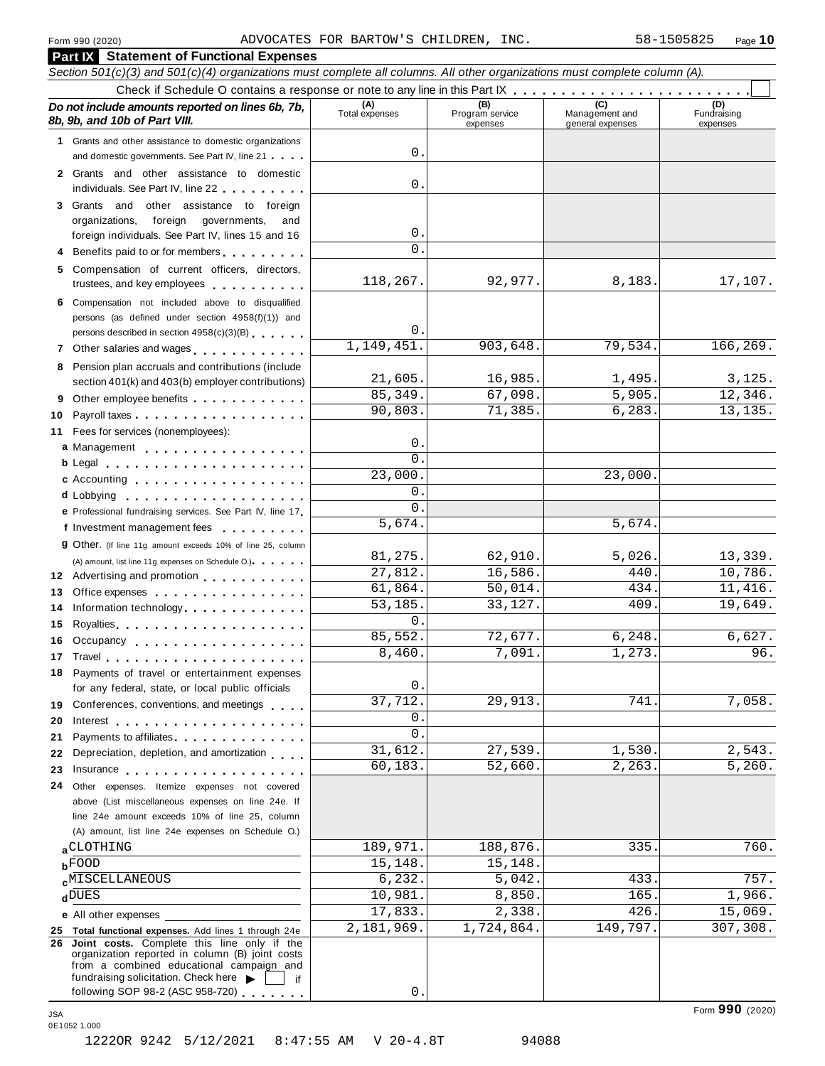**Part IX Statement of Functional Expenses**

#### Section 501(c)(3) and 501(c)(4) organizations must complete all columns. All other organizations must complete column (A). Check if Schedule <sup>O</sup> contains <sup>a</sup> response or note to any line in this Part IX m m m m m m m m m m m m m m m m m m m m m m m m m *Do no* **(A) (B) (C) (D)** *t include amounts reported on lines 6b, 7b,* **8b, 9b, and 10b of Part VIII.** The construction of *B***, 9b, and 10b of Part VIII.** expenses Management and general expenses Fundraising expenses **1** Grants and other assistance to domestic organizations and domestic governments. See Part IV, line 21 m m m **2** Grants and other assistance to domestic individuals. See Part IV, line 22 **3** Grants and other assistance to foreign organizations, foreign governments, and foreign individuals. See Part IV, lines 15 and 16 **4** Benefits paid to or for members **5** Compensation of current officers, directors, trustees, and key employees m m m m m m m m m m **6** Compensation not included above to disqualified persons (as defined under section 4958(f)(1)) and persons described in section 4958(c)(3)(B) <sup>m</sup> <sup>m</sup> <sup>m</sup> <sup>m</sup> <sup>m</sup> <sup>m</sup> **<sup>7</sup>** Other salaries and wages <sup>m</sup> <sup>m</sup> <sup>m</sup> <sup>m</sup> <sup>m</sup> <sup>m</sup> <sup>m</sup> <sup>m</sup> <sup>m</sup> <sup>m</sup> <sup>m</sup> <sup>m</sup> **8** Pension plan accruals and contributions (include section 401(k) and 403(b) employer contributions) **9** Section 401(k) and 403(b) employer contributions<br>9 Other employee benefits 9 Other employee benefits **10** Payroll taxes **10** Fees for services (nonemployees): **11** A) amount, list line 11g expenses on Schedule O.)<br>**12** Advertising and promotion **manual 13** Office expenses **13** Office expenses<br>**14** Information technology............. **15 16** Occupancy m m m m m m m m m m m m m m m m m m **16** Occupancy ...................<br>17 Travel..................... **18** Payments of travel or entertainment expenses for any federal, state, or local public officials<br>**19** Conferences, conventions, and meetings **19** Conferences, conventions, and meetings **endorship.**<br>20 Interest **manual meeting 21** 21 Payments to affiliates<br>22 Depreciation, depletion, and amortization <sub>1</sub> . . . **22** Depreciation, depletion, and amortization **manufation**<br>23 Insurance 24 Other expenses. Itemize expenses not covered | Fees for services (nonemployees):<br>**a** Management ..................<br>**b** Legal ......................... **cd** Lobbying m m m m m m m m m m m m m m m m m m m **e** Professional fundraising services. See Part IV, line <sup>17</sup> m **P** Professional fundraising services. See Part IV, line 17<br>**f** Investment management fees **g** Other. (If line 11g amount exceeds 10% of line 25, column Legal m m m m m m m m m m m m m m m m m m m m m Accounting m m m m m m m m m m m m m m m m m m (A) amount, list line 11g expenses on Schedule O.) means m m m m m m m m m m m m m m m m Royalties m m m m m m m m m m m m m m m m m m m m for any federal, state, or local public officials Payments to affiliates m m m m m m m m m m m m m m above (List miscellaneous expenses on line 24e. If line 24e amount exceeds 10% of line 25, column (A) amount, list line 24e expenses on Schedule O.) **a** CLOTHING<br>**b**FOOD **d**DUES **e** All other expenses **25 Total functional expenses.** Add lines 1 through 24e **26 Joint costs.** Complete this line only if the organization reported in column (B) joint costs from a combined educational campaign and from a combined educational campaign and<br>fundraising solicitation. Check here  $\blacktriangleright$  if<br>following SOP 98-2 (ASC 958-720) 0. 0. 0.  $\Omega$  $118,267.$  92,977. 8,183. 17,107. 0. 1,149,451. 903,648. 79,534. 166,269. 21,605. 16,985. 1,495. 3,125. 85,349. 67,098. 5,905. 12,346. 90,803. 71,385. 6,283. 13,135.  $\Omega$  $\overline{0}$ 23,000. 23,000. 0. 0. 5,674. 5,674. 81,275. 62,910. 5,026. 13,339. 27,812. 16,586. 440. 10,786. 61,864. 50,014. 434. 11,416. 53,185. 33,127. 409. 19,649.  $\mathsf{O}$  . 85,552. 72,677. 6,248. 6,627.  $8,460.$  7,091. 1,273. 96. 0. 37,712. 29,913. 741. 7,058. 0.  $\overline{0}$ . 31,612. 27,539. 1,530. 2,543. 60,183. 52,660. 2,263. 5,260. CLOTHING 189,971. 188,876. 335. 760. FOOD  $15,148.$  15.148.  $\text{c}\text{MISCELLANEOUS}$  6,232. 5,042. 433. 757. DUES 10,981. 8,850. 165. 1,966. 17,833. 2,338. 426. 15,069. 2,181,969. 1,724,864. 149,797. 307,308.

0.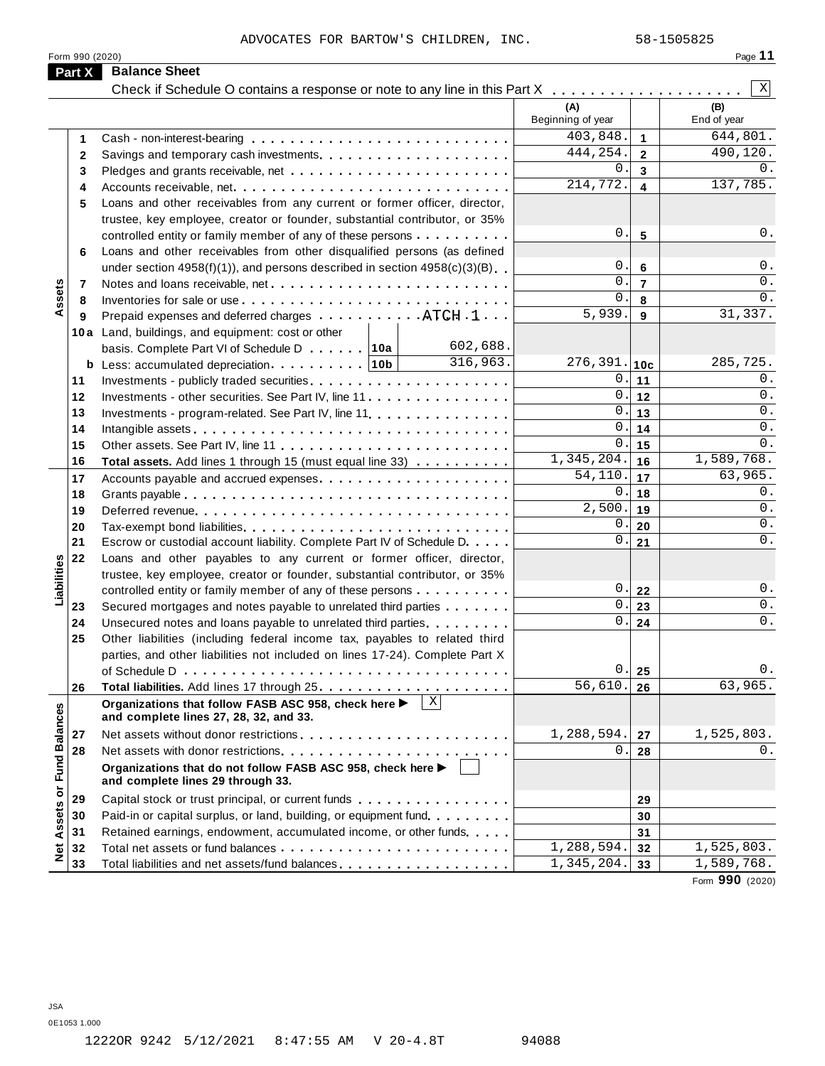| Page |  |  |
|------|--|--|
|      |  |  |

| Form 990 (2020)      |                                                                                               |                          |                         | Page 11                  |
|----------------------|-----------------------------------------------------------------------------------------------|--------------------------|-------------------------|--------------------------|
| Part X               | <b>Balance Sheet</b>                                                                          |                          |                         |                          |
|                      | Check if Schedule O contains a response or note to any line in this Part X                    |                          |                         | X                        |
|                      |                                                                                               | (A)<br>Beginning of year |                         | (B)<br>End of year       |
| 1                    |                                                                                               | 403,848.                 | $\mathbf{1}$            | 644,801.                 |
| $\mathbf{2}$         |                                                                                               | 444,254.                 | $\overline{2}$          | 490,120.                 |
| 3                    |                                                                                               | 0                        | $\mathbf{3}$            | $0$ .                    |
| 4                    |                                                                                               | 214,772.                 | $\overline{\mathbf{4}}$ | 137,785.                 |
| 5                    | Loans and other receivables from any current or former officer, director,                     |                          |                         |                          |
|                      | trustee, key employee, creator or founder, substantial contributor, or 35%                    |                          |                         |                          |
|                      | controlled entity or family member of any of these persons                                    | 0.                       | $\overline{\mathbf{5}}$ | 0.                       |
| 6                    | Loans and other receivables from other disqualified persons (as defined                       |                          |                         |                          |
|                      | under section $4958(f)(1)$ , and persons described in section $4958(c)(3)(B)$                 | 0.                       | 6                       | 0.                       |
| 7                    |                                                                                               | 0.                       | $\overline{7}$          | 0.                       |
| Assets<br>8          |                                                                                               | $\mathbf{0}$             | 8                       | 0.                       |
| 9                    | Prepaid expenses and deferred charges ATCH 1.                                                 | 5,939.                   | 9                       | 31,337.                  |
|                      | 10a Land, buildings, and equipment: cost or other                                             |                          |                         |                          |
|                      | 602,688.<br>basis. Complete Part VI of Schedule D 10a                                         |                          |                         |                          |
|                      | 316,963.<br><b>b</b> Less: accumulated depreciation $\cdots$ 10b                              | $276, 391.$ 10c          |                         | 285,725.                 |
| 11                   |                                                                                               | 0.                       | 11                      | 0.                       |
| 12                   | Investments - other securities. See Part IV, line 11                                          | 0.                       | $12$                    | $0$ .                    |
| 13                   | Investments - program-related. See Part IV, line 11.                                          | 0.                       | 13                      | 0.                       |
| 14                   |                                                                                               | 0.                       | 14                      | 0.                       |
| 15                   |                                                                                               | $\mathbf 0$ .            | 15                      | $0$ .                    |
| 16                   | Total assets. Add lines 1 through 15 (must equal line 33)                                     | 1,345,204.               | 16                      | 1,589,768.               |
| 17                   |                                                                                               | 54,110.                  | 17                      | 63,965.                  |
| 18                   |                                                                                               | 0.                       | 18                      | 0.                       |
| 19                   |                                                                                               | 2,500.                   | 19                      | 0.                       |
| 20                   |                                                                                               | 0.                       | 20                      | 0.                       |
| 21                   | Escrow or custodial account liability. Complete Part IV of Schedule D.                        | 0.                       | 21                      | 0.                       |
| 22                   | Loans and other payables to any current or former officer, director,                          |                          |                         |                          |
|                      | trustee, key employee, creator or founder, substantial contributor, or 35%                    |                          |                         |                          |
| Liabilities          | controlled entity or family member of any of these persons                                    | 0.                       | 22                      | $0$ .                    |
| 23                   | Secured mortgages and notes payable to unrelated third parties                                | 0.                       | 23                      | $0$ .                    |
| 24                   | Unsecured notes and loans payable to unrelated third parties <b>State of the United State</b> | $0$ .                    | 24                      | 0.                       |
| 25                   | Other liabilities (including federal income tax, payables to related third                    |                          |                         |                          |
|                      | parties, and other liabilities not included on lines 17-24). Complete Part X                  |                          |                         |                          |
|                      |                                                                                               | 0.                       | 25                      | $0$ .                    |
| 26                   |                                                                                               | 56,610.                  | 26                      | 63,965.                  |
|                      | $\mathbf{x}$<br>Organizations that follow FASB ASC 958, check here ▶                          |                          |                         |                          |
|                      | and complete lines 27, 28, 32, and 33.                                                        |                          |                         |                          |
| 27                   |                                                                                               | 1,288,594.               | 27                      | 1,525,803.               |
| 28                   |                                                                                               | 0.                       | 28                      | 0.                       |
|                      | Organizations that do not follow FASB ASC 958, check here ▶                                   |                          |                         |                          |
| <b>Fund Balances</b> | and complete lines 29 through 33.                                                             |                          |                         |                          |
| 29                   | Capital stock or trust principal, or current funds                                            |                          | 29                      |                          |
| 30                   | Paid-in or capital surplus, or land, building, or equipment fund.                             |                          | 30                      |                          |
| 31                   | Retained earnings, endowment, accumulated income, or other funds                              |                          | 31                      |                          |
| Net Assets or<br>32  |                                                                                               | 1,288,594.               | 32                      | 1,525,803.               |
| 33                   | Total liabilities and net assets/fund balances                                                | 1,345,204.               | 33                      | 1,589,768.               |
|                      |                                                                                               |                          |                         | $\overline{\phantom{0}}$ |

Form **990** (2020)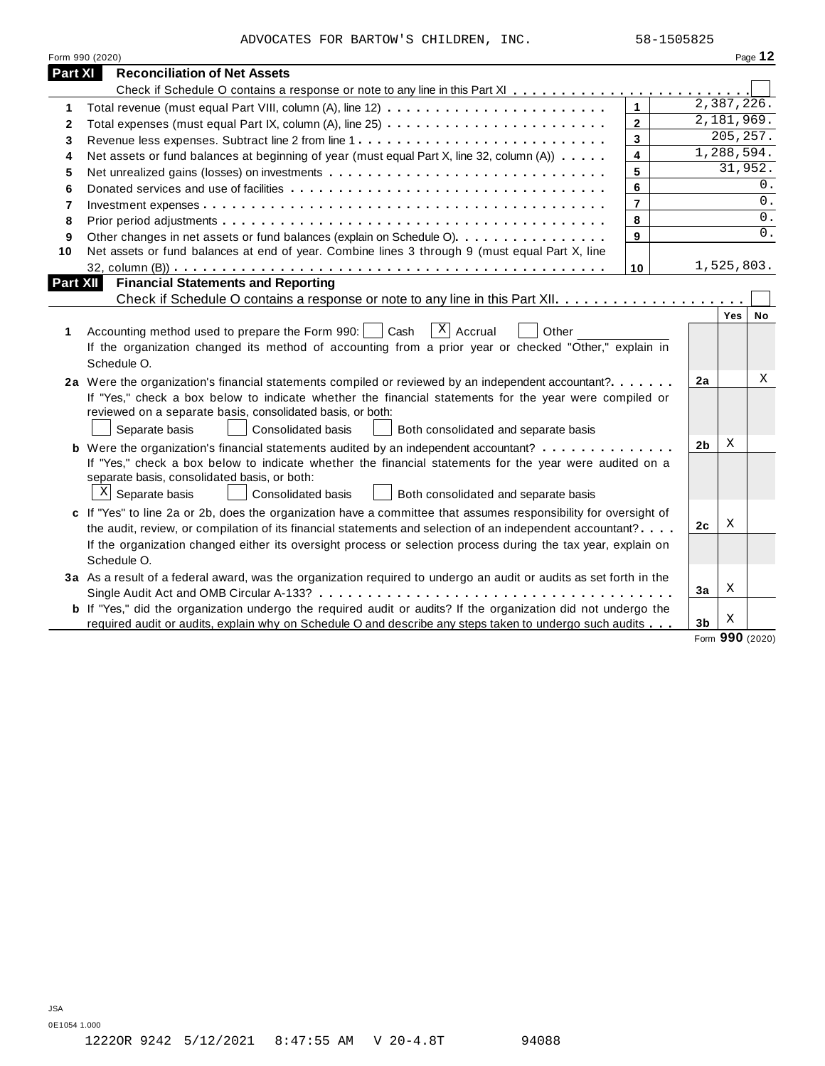ADVOCATES FOR BARTOW'S CHILDREN, INC. 58-1505825

|                 | Form 990 (2020)                                                                                                                                                                                                                                                                                                                                                   |                         |  |                |            | Page 12 |
|-----------------|-------------------------------------------------------------------------------------------------------------------------------------------------------------------------------------------------------------------------------------------------------------------------------------------------------------------------------------------------------------------|-------------------------|--|----------------|------------|---------|
| Part XI         | <b>Reconciliation of Net Assets</b>                                                                                                                                                                                                                                                                                                                               |                         |  |                |            |         |
|                 |                                                                                                                                                                                                                                                                                                                                                                   |                         |  |                |            |         |
| 1               |                                                                                                                                                                                                                                                                                                                                                                   | $\mathbf{1}$            |  |                | 2,387,226. |         |
| $\mathbf{2}$    |                                                                                                                                                                                                                                                                                                                                                                   | $\mathbf{2}$            |  |                | 2,181,969. |         |
| 3               |                                                                                                                                                                                                                                                                                                                                                                   | $\mathbf{3}$            |  |                | 205, 257.  |         |
| 4               | Net assets or fund balances at beginning of year (must equal Part X, line 32, column (A))                                                                                                                                                                                                                                                                         | $\overline{\mathbf{4}}$ |  |                | 1,288,594. |         |
| 5               |                                                                                                                                                                                                                                                                                                                                                                   | 5                       |  |                | 31,952.    |         |
| 6               |                                                                                                                                                                                                                                                                                                                                                                   | 6                       |  |                |            | 0.      |
| 7               |                                                                                                                                                                                                                                                                                                                                                                   | $\overline{7}$          |  |                |            | 0.      |
| 8               |                                                                                                                                                                                                                                                                                                                                                                   | 8                       |  |                |            | 0.      |
| 9               | Other changes in net assets or fund balances (explain on Schedule O)                                                                                                                                                                                                                                                                                              | 9                       |  |                |            | 0.      |
| 10              | Net assets or fund balances at end of year. Combine lines 3 through 9 (must equal Part X, line                                                                                                                                                                                                                                                                    |                         |  |                |            |         |
|                 |                                                                                                                                                                                                                                                                                                                                                                   | 10                      |  |                | 1,525,803. |         |
| <b>Part XII</b> | <b>Financial Statements and Reporting</b>                                                                                                                                                                                                                                                                                                                         |                         |  |                |            |         |
|                 |                                                                                                                                                                                                                                                                                                                                                                   |                         |  |                |            |         |
| 1               | $ X $ Accrual<br>Accounting method used to prepare the Form 990:     Cash<br>Other<br>If the organization changed its method of accounting from a prior year or checked "Other," explain in<br>Schedule O.                                                                                                                                                        |                         |  |                | Yes        | No      |
|                 | 2a Were the organization's financial statements compiled or reviewed by an independent accountant?<br>If "Yes," check a box below to indicate whether the financial statements for the year were compiled or<br>reviewed on a separate basis, consolidated basis, or both:<br>Separate basis<br><b>Consolidated basis</b><br>Both consolidated and separate basis |                         |  | 2a             |            | X       |
|                 | <b>b</b> Were the organization's financial statements audited by an independent accountant?                                                                                                                                                                                                                                                                       |                         |  | 2 <sub>b</sub> | Χ          |         |
|                 | If "Yes," check a box below to indicate whether the financial statements for the year were audited on a<br>separate basis, consolidated basis, or both:<br>$\mathbb{X}$ Separate basis<br>Consolidated basis<br>Both consolidated and separate basis                                                                                                              |                         |  |                |            |         |
|                 | c If "Yes" to line 2a or 2b, does the organization have a committee that assumes responsibility for oversight of                                                                                                                                                                                                                                                  |                         |  |                |            |         |
|                 | the audit, review, or compilation of its financial statements and selection of an independent accountant?                                                                                                                                                                                                                                                         |                         |  | 2c             | Χ          |         |
|                 | If the organization changed either its oversight process or selection process during the tax year, explain on<br>Schedule O.                                                                                                                                                                                                                                      |                         |  |                |            |         |
|                 | 3a As a result of a federal award, was the organization required to undergo an audit or audits as set forth in the                                                                                                                                                                                                                                                |                         |  |                |            |         |
|                 |                                                                                                                                                                                                                                                                                                                                                                   |                         |  | 3a             | Χ          |         |
|                 | b If "Yes," did the organization undergo the required audit or audits? If the organization did not undergo the                                                                                                                                                                                                                                                    |                         |  |                | Χ          |         |
|                 | required audit or audits, explain why on Schedule O and describe any steps taken to undergo such audits                                                                                                                                                                                                                                                           |                         |  | 3 <sub>b</sub> | nnn        |         |

Form **990** (2020)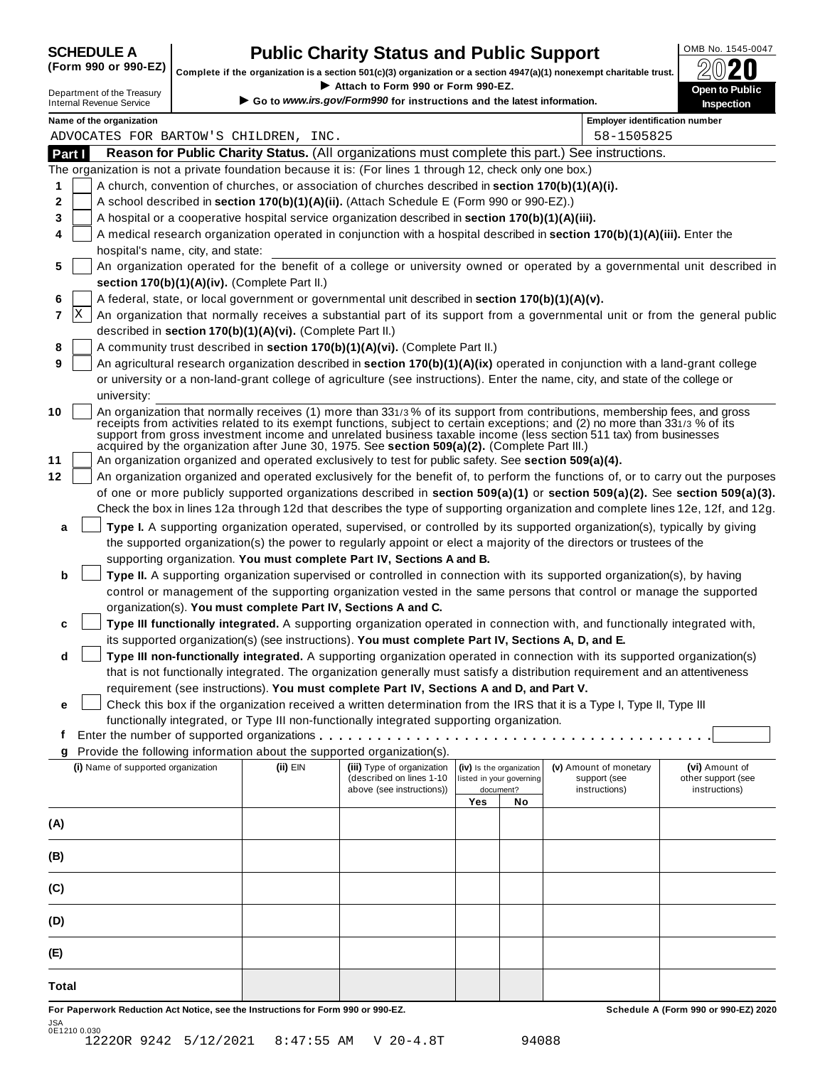| <b>SCHEDULE A</b> |  |
|-------------------|--|
|                   |  |

## **CHEDULE A Public Charity Status and Public Support**  $\frac{100\text{dB No. }1545-0047}{000\text{dB No.}}$

(Form 990 or 990-EZ) complete if the organization is a section 501(c)(3) organization or a section 4947(a)(1) nonexempt charitable trust.  $2020$ 

| Department of the Treasury<br><b>Internal Revenue Service</b>                                          |  |                                                            | Attach to Form 990 or Form 990-EZ.                                                                                                                                                                                                                                                                                                                                                                                                                                              |                          |                          |                                        | Open to Public                                                                                                                   |
|--------------------------------------------------------------------------------------------------------|--|------------------------------------------------------------|---------------------------------------------------------------------------------------------------------------------------------------------------------------------------------------------------------------------------------------------------------------------------------------------------------------------------------------------------------------------------------------------------------------------------------------------------------------------------------|--------------------------|--------------------------|----------------------------------------|----------------------------------------------------------------------------------------------------------------------------------|
|                                                                                                        |  |                                                            | Go to www.irs.gov/Form990 for instructions and the latest information.                                                                                                                                                                                                                                                                                                                                                                                                          |                          |                          |                                        | <b>Inspection</b>                                                                                                                |
| Name of the organization                                                                               |  |                                                            |                                                                                                                                                                                                                                                                                                                                                                                                                                                                                 |                          |                          | <b>Employer identification number</b>  |                                                                                                                                  |
| ADVOCATES FOR BARTOW'S CHILDREN, INC.                                                                  |  |                                                            |                                                                                                                                                                                                                                                                                                                                                                                                                                                                                 |                          |                          | 58-1505825                             |                                                                                                                                  |
| Part I                                                                                                 |  |                                                            | Reason for Public Charity Status. (All organizations must complete this part.) See instructions.                                                                                                                                                                                                                                                                                                                                                                                |                          |                          |                                        |                                                                                                                                  |
|                                                                                                        |  |                                                            | The organization is not a private foundation because it is: (For lines 1 through 12, check only one box.)                                                                                                                                                                                                                                                                                                                                                                       |                          |                          |                                        |                                                                                                                                  |
| 1                                                                                                      |  |                                                            | A church, convention of churches, or association of churches described in section 170(b)(1)(A)(i).                                                                                                                                                                                                                                                                                                                                                                              |                          |                          |                                        |                                                                                                                                  |
| 2                                                                                                      |  |                                                            | A school described in section 170(b)(1)(A)(ii). (Attach Schedule E (Form 990 or 990-EZ).)                                                                                                                                                                                                                                                                                                                                                                                       |                          |                          |                                        |                                                                                                                                  |
| A hospital or a cooperative hospital service organization described in section 170(b)(1)(A)(iii).<br>3 |  |                                                            |                                                                                                                                                                                                                                                                                                                                                                                                                                                                                 |                          |                          |                                        |                                                                                                                                  |
| 4                                                                                                      |  |                                                            | A medical research organization operated in conjunction with a hospital described in section 170(b)(1)(A)(iii). Enter the                                                                                                                                                                                                                                                                                                                                                       |                          |                          |                                        |                                                                                                                                  |
| hospital's name, city, and state:                                                                      |  |                                                            |                                                                                                                                                                                                                                                                                                                                                                                                                                                                                 |                          |                          |                                        |                                                                                                                                  |
| 5                                                                                                      |  |                                                            |                                                                                                                                                                                                                                                                                                                                                                                                                                                                                 |                          |                          |                                        | An organization operated for the benefit of a college or university owned or operated by a governmental unit described in        |
|                                                                                                        |  | section 170(b)(1)(A)(iv). (Complete Part II.)              |                                                                                                                                                                                                                                                                                                                                                                                                                                                                                 |                          |                          |                                        |                                                                                                                                  |
| 6<br> x                                                                                                |  |                                                            | A federal, state, or local government or governmental unit described in section 170(b)(1)(A)(v).                                                                                                                                                                                                                                                                                                                                                                                |                          |                          |                                        |                                                                                                                                  |
| 7                                                                                                      |  | described in section 170(b)(1)(A)(vi). (Complete Part II.) |                                                                                                                                                                                                                                                                                                                                                                                                                                                                                 |                          |                          |                                        | An organization that normally receives a substantial part of its support from a governmental unit or from the general public     |
| 8                                                                                                      |  |                                                            | A community trust described in section 170(b)(1)(A)(vi). (Complete Part II.)                                                                                                                                                                                                                                                                                                                                                                                                    |                          |                          |                                        |                                                                                                                                  |
| 9                                                                                                      |  |                                                            | An agricultural research organization described in section 170(b)(1)(A)(ix) operated in conjunction with a land-grant college                                                                                                                                                                                                                                                                                                                                                   |                          |                          |                                        |                                                                                                                                  |
|                                                                                                        |  |                                                            | or university or a non-land-grant college of agriculture (see instructions). Enter the name, city, and state of the college or                                                                                                                                                                                                                                                                                                                                                  |                          |                          |                                        |                                                                                                                                  |
| university:                                                                                            |  |                                                            |                                                                                                                                                                                                                                                                                                                                                                                                                                                                                 |                          |                          |                                        |                                                                                                                                  |
| 10                                                                                                     |  |                                                            | An organization that normally receives (1) more than 331/3% of its support from contributions, membership fees, and gross<br>receipts from activities related to its exempt functions, subject to certain exceptions; and (2) no more than 331/3 % of its<br>support from gross investment income and unrelated business taxable income (less section 511 tax) from businesses<br>acquired by the organization after June 30, 1975. See section 509(a)(2). (Complete Part III.) |                          |                          |                                        |                                                                                                                                  |
| 11                                                                                                     |  |                                                            | An organization organized and operated exclusively to test for public safety. See section 509(a)(4).                                                                                                                                                                                                                                                                                                                                                                            |                          |                          |                                        |                                                                                                                                  |
| 12                                                                                                     |  |                                                            |                                                                                                                                                                                                                                                                                                                                                                                                                                                                                 |                          |                          |                                        | An organization organized and operated exclusively for the benefit of, to perform the functions of, or to carry out the purposes |
|                                                                                                        |  |                                                            |                                                                                                                                                                                                                                                                                                                                                                                                                                                                                 |                          |                          |                                        | of one or more publicly supported organizations described in section 509(a)(1) or section 509(a)(2). See section 509(a)(3).      |
|                                                                                                        |  |                                                            |                                                                                                                                                                                                                                                                                                                                                                                                                                                                                 |                          |                          |                                        | Check the box in lines 12a through 12d that describes the type of supporting organization and complete lines 12e, 12f, and 12g.  |
| a                                                                                                      |  |                                                            | Type I. A supporting organization operated, supervised, or controlled by its supported organization(s), typically by giving                                                                                                                                                                                                                                                                                                                                                     |                          |                          |                                        |                                                                                                                                  |
|                                                                                                        |  |                                                            | the supported organization(s) the power to regularly appoint or elect a majority of the directors or trustees of the                                                                                                                                                                                                                                                                                                                                                            |                          |                          |                                        |                                                                                                                                  |
|                                                                                                        |  |                                                            | supporting organization. You must complete Part IV, Sections A and B.                                                                                                                                                                                                                                                                                                                                                                                                           |                          |                          |                                        |                                                                                                                                  |
| b                                                                                                      |  |                                                            | Type II. A supporting organization supervised or controlled in connection with its supported organization(s), by having<br>control or management of the supporting organization vested in the same persons that control or manage the supported                                                                                                                                                                                                                                 |                          |                          |                                        |                                                                                                                                  |
|                                                                                                        |  |                                                            | organization(s). You must complete Part IV, Sections A and C.                                                                                                                                                                                                                                                                                                                                                                                                                   |                          |                          |                                        |                                                                                                                                  |
| c                                                                                                      |  |                                                            | Type III functionally integrated. A supporting organization operated in connection with, and functionally integrated with,                                                                                                                                                                                                                                                                                                                                                      |                          |                          |                                        |                                                                                                                                  |
|                                                                                                        |  |                                                            | its supported organization(s) (see instructions). You must complete Part IV, Sections A, D, and E.                                                                                                                                                                                                                                                                                                                                                                              |                          |                          |                                        |                                                                                                                                  |
| d                                                                                                      |  |                                                            | Type III non-functionally integrated. A supporting organization operated in connection with its supported organization(s)                                                                                                                                                                                                                                                                                                                                                       |                          |                          |                                        |                                                                                                                                  |
|                                                                                                        |  |                                                            | that is not functionally integrated. The organization generally must satisfy a distribution requirement and an attentiveness                                                                                                                                                                                                                                                                                                                                                    |                          |                          |                                        |                                                                                                                                  |
|                                                                                                        |  |                                                            | requirement (see instructions). You must complete Part IV, Sections A and D, and Part V.                                                                                                                                                                                                                                                                                                                                                                                        |                          |                          |                                        |                                                                                                                                  |
| e                                                                                                      |  |                                                            | Check this box if the organization received a written determination from the IRS that it is a Type I, Type II, Type III                                                                                                                                                                                                                                                                                                                                                         |                          |                          |                                        |                                                                                                                                  |
|                                                                                                        |  |                                                            | functionally integrated, or Type III non-functionally integrated supporting organization.                                                                                                                                                                                                                                                                                                                                                                                       |                          |                          |                                        |                                                                                                                                  |
| f                                                                                                      |  |                                                            | Enter the number of supported organizations                                                                                                                                                                                                                                                                                                                                                                                                                                     |                          |                          |                                        |                                                                                                                                  |
| g                                                                                                      |  |                                                            | Provide the following information about the supported organization(s).                                                                                                                                                                                                                                                                                                                                                                                                          |                          |                          |                                        |                                                                                                                                  |
| (i) Name of supported organization                                                                     |  | (ii) EIN                                                   | (iii) Type of organization<br>(described on lines 1-10                                                                                                                                                                                                                                                                                                                                                                                                                          | listed in your governing | (iv) Is the organization | (v) Amount of monetary<br>support (see | (vi) Amount of<br>other support (see                                                                                             |
|                                                                                                        |  |                                                            | above (see instructions))                                                                                                                                                                                                                                                                                                                                                                                                                                                       |                          | document?                | instructions)                          | instructions)                                                                                                                    |
|                                                                                                        |  |                                                            |                                                                                                                                                                                                                                                                                                                                                                                                                                                                                 | Yes                      | No                       |                                        |                                                                                                                                  |
| (A)                                                                                                    |  |                                                            |                                                                                                                                                                                                                                                                                                                                                                                                                                                                                 |                          |                          |                                        |                                                                                                                                  |
| (B)                                                                                                    |  |                                                            |                                                                                                                                                                                                                                                                                                                                                                                                                                                                                 |                          |                          |                                        |                                                                                                                                  |
| (C)                                                                                                    |  |                                                            |                                                                                                                                                                                                                                                                                                                                                                                                                                                                                 |                          |                          |                                        |                                                                                                                                  |
| (D)                                                                                                    |  |                                                            |                                                                                                                                                                                                                                                                                                                                                                                                                                                                                 |                          |                          |                                        |                                                                                                                                  |
| (E)                                                                                                    |  |                                                            |                                                                                                                                                                                                                                                                                                                                                                                                                                                                                 |                          |                          |                                        |                                                                                                                                  |
| Total                                                                                                  |  |                                                            |                                                                                                                                                                                                                                                                                                                                                                                                                                                                                 |                          |                          |                                        |                                                                                                                                  |
| For Paperwork Reduction Act Notice, see the Instructions for Form 990 or 990-EZ.                       |  |                                                            |                                                                                                                                                                                                                                                                                                                                                                                                                                                                                 |                          |                          |                                        | Schedule A (Form 990 or 990-EZ) 2020                                                                                             |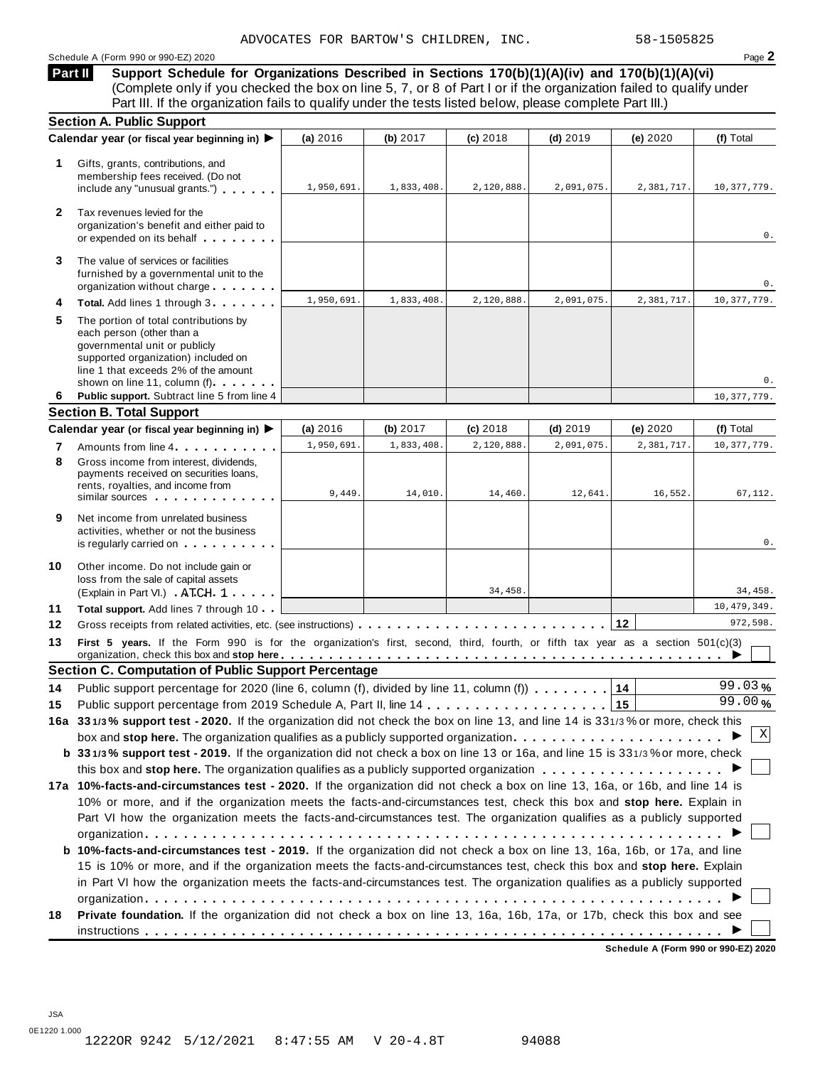#### Schedule <sup>A</sup> (Form <sup>990</sup> or 990-EZ) <sup>2020</sup> Page **2**

**Support Schedule for Organizations Described in Sections 170(b)(1)(A)(iv) and 170(b)(1)(A)(vi)** (Complete only if you checked the box on line 5, 7, or 8 of Part I or if the organization failed to qualify under Part III. If the organization fails to qualify under the tests listed below, please complete Part III.) **Part II**

|              | <b>Section A. Public Support</b>                                                                                                                                                                                   |            |            |            |            |            |               |
|--------------|--------------------------------------------------------------------------------------------------------------------------------------------------------------------------------------------------------------------|------------|------------|------------|------------|------------|---------------|
|              | Calendar year (or fiscal year beginning in) ▶                                                                                                                                                                      | (a) 2016   | (b) 2017   | $(c)$ 2018 | $(d)$ 2019 | (e) 2020   | (f) Total     |
| 1            | Gifts, grants, contributions, and<br>membership fees received. (Do not<br>include any "unusual grants.")                                                                                                           | 1,950,691. | 1,833,408. | 2,120,888. | 2,091,075. | 2,381,717. | 10,377,779.   |
| $\mathbf{2}$ | Tax revenues levied for the<br>organization's benefit and either paid to<br>or expended on its behalf                                                                                                              |            |            |            |            |            | 0.            |
| 3            | The value of services or facilities<br>furnished by a governmental unit to the<br>organization without charge                                                                                                      |            |            |            |            |            | 0.            |
| 4            | Total. Add lines 1 through 3                                                                                                                                                                                       | 1,950,691. | 1,833,408. | 2,120,888. | 2,091,075. | 2,381,717. | 10, 377, 779. |
| 5            | The portion of total contributions by<br>each person (other than a<br>governmental unit or publicly<br>supported organization) included on<br>line 1 that exceeds 2% of the amount<br>shown on line 11, column (f) |            |            |            |            |            | 0.            |
| 6            | Public support. Subtract line 5 from line 4                                                                                                                                                                        |            |            |            |            |            | 10, 377, 779. |
|              | <b>Section B. Total Support</b>                                                                                                                                                                                    |            |            |            |            |            |               |
|              | Calendar year (or fiscal year beginning in) ▶                                                                                                                                                                      | (a) 2016   | (b) 2017   | $(c)$ 2018 | $(d)$ 2019 | (e) 2020   | (f) Total     |
| 7            | Amounts from line 4                                                                                                                                                                                                | 1,950,691. | 1,833,408. | 2,120,888. | 2,091,075  | 2,381,717. | 10, 377, 779. |
| 8            | Gross income from interest, dividends.<br>payments received on securities loans,<br>rents, royalties, and income from<br>similar sources experiences                                                               | 9,449.     | 14,010.    | 14,460.    | 12,641     | 16,552.    | 67, 112.      |
| 9            | Net income from unrelated business<br>activities, whether or not the business<br>is regularly carried on the control of the set of the set of the set of the set of the set of the set of the s                    |            |            |            |            |            | 0.            |
| 10           | Other income. Do not include gain or<br>loss from the sale of capital assets<br>(Explain in Part VI.) ATCH 1                                                                                                       |            |            | 34, 458.   |            |            | 34,458.       |
| 11           | Total support. Add lines 7 through 10                                                                                                                                                                              |            |            |            |            |            | 10, 479, 349. |
| 12           |                                                                                                                                                                                                                    |            |            |            |            |            | 972,598.      |
| 13           | First 5 years. If the Form 990 is for the organization's first, second, third, fourth, or fifth tax year as a section 501(c)(3)                                                                                    |            |            |            |            |            |               |
|              | <b>Section C. Computation of Public Support Percentage</b>                                                                                                                                                         |            |            |            |            |            |               |
| 14           | Public support percentage for 2020 (line 6, column (f), divided by line 11, column (f)                                                                                                                             |            |            |            |            | 14         | 99.03%        |
| 15           |                                                                                                                                                                                                                    |            |            |            |            | 15         | 99.00%        |
|              | 16a 331/3% support test - 2020. If the organization did not check the box on line 13, and line 14 is 331/3% or more, check this                                                                                    |            |            |            |            |            |               |
|              |                                                                                                                                                                                                                    |            |            |            |            |            | Χ             |
|              |                                                                                                                                                                                                                    |            |            |            |            |            |               |
|              | box and stop here. The organization qualifies as a publicly supported organization $\ldots \ldots \ldots \ldots \ldots \ldots \ldots$                                                                              |            |            |            |            |            |               |
|              | b 331/3% support test - 2019. If the organization did not check a box on line 13 or 16a, and line 15 is 331/3% or more, check                                                                                      |            |            |            |            |            |               |
|              | 17a 10%-facts-and-circumstances test - 2020. If the organization did not check a box on line 13, 16a, or 16b, and line 14 is                                                                                       |            |            |            |            |            |               |
|              | 10% or more, and if the organization meets the facts-and-circumstances test, check this box and stop here. Explain in                                                                                              |            |            |            |            |            |               |
|              | Part VI how the organization meets the facts-and-circumstances test. The organization qualifies as a publicly supported                                                                                            |            |            |            |            |            |               |
|              |                                                                                                                                                                                                                    |            |            |            |            |            |               |
|              | b 10%-facts-and-circumstances test - 2019. If the organization did not check a box on line 13, 16a, 16b, or 17a, and line                                                                                          |            |            |            |            |            |               |
|              | 15 is 10% or more, and if the organization meets the facts-and-circumstances test, check this box and stop here. Explain                                                                                           |            |            |            |            |            |               |
|              | in Part VI how the organization meets the facts-and-circumstances test. The organization qualifies as a publicly supported                                                                                         |            |            |            |            |            |               |
| 18           | Private foundation. If the organization did not check a box on line 13, 16a, 16b, 17a, or 17b, check this box and see                                                                                              |            |            |            |            |            |               |

**Schedule A (Form 990 or 990-EZ) 2020**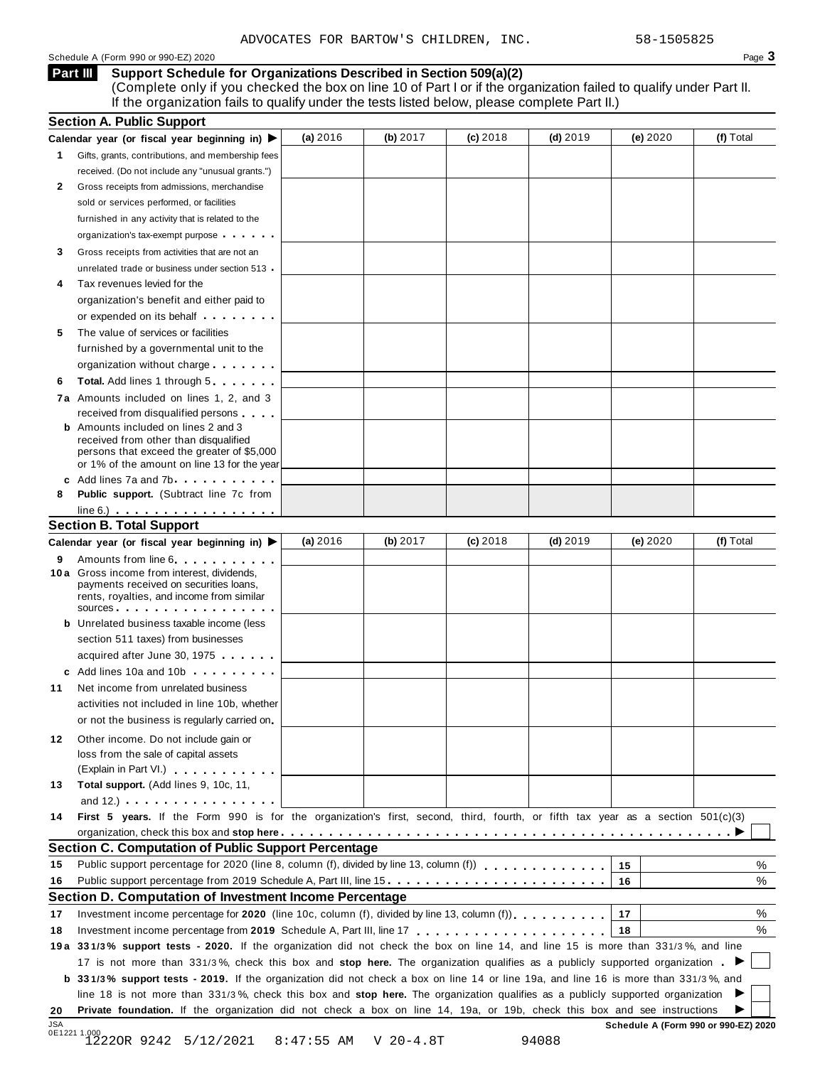#### Schedule <sup>A</sup> (Form <sup>990</sup> or 990-EZ) <sup>2020</sup> Page **3**

**Support Schedule for Organizations Described in Section 509(a)(2) Part III**

(Complete only if you checked the box on line 10 of Part I or if the organization failed to qualify under Part II. If the organization fails to qualify under the tests listed below, please complete Part II.)

| (a) 2016<br>$(c)$ 2018<br>$(d)$ 2019<br>(e) 2020<br>(b) $2017$<br>Calendar year (or fiscal year beginning in)<br>Gifts, grants, contributions, and membership fees<br>1.<br>received. (Do not include any "unusual grants.")<br>Gross receipts from admissions, merchandise<br>2<br>sold or services performed, or facilities<br>furnished in any activity that is related to the<br>organization's tax-exempt purpose<br>Gross receipts from activities that are not an<br>3<br>unrelated trade or business under section 513<br>Tax revenues levied for the<br>organization's benefit and either paid to<br>or expended on its behalf<br>The value of services or facilities<br>5<br>furnished by a governmental unit to the<br>organization without charge<br><b>Total.</b> Add lines 1 through 5<br>6<br><b>7a</b> Amounts included on lines 1, 2, and 3<br>received from disqualified persons<br><b>b</b> Amounts included on lines 2 and 3<br>received from other than disqualified<br>persons that exceed the greater of \$5,000<br>or 1% of the amount on line 13 for the year<br>c Add lines 7a and 7b.<br>Public support. (Subtract line 7c from<br>8<br>$line 6.)$<br><b>Section B. Total Support</b><br>(a) 2016<br>$(c)$ 2018<br>$(d)$ 2019<br>(e) 2020<br>(b) $2017$<br>Calendar year (or fiscal year beginning in)<br>Amounts from line 6<br>9<br>10 a Gross income from interest, dividends,<br>payments received on securities loans,<br>rents, royalties, and income from similar<br>sources<br><b>b</b> Unrelated business taxable income (less<br>section 511 taxes) from businesses<br>acquired after June 30, 1975<br>c Add lines 10a and 10b<br>Net income from unrelated business<br>11<br>activities not included in line 10b, whether<br>or not the business is regularly carried on<br>Other income. Do not include gain or<br>12<br>loss from the sale of capital assets<br>(Explain in Part VI.) Canada and The Part 1.<br>Total support. (Add lines 9, 10c, 11,<br>13<br>and $12.$ )<br>First 5 years. If the Form 990 is for the organization's first, second, third, fourth, or fifth tax year as a section $501(c)(3)$<br>14<br><b>Section C. Computation of Public Support Percentage</b><br>Public support percentage for 2020 (line 8, column (f), divided by line 13, column (f) [1] [1] [1] Public support percentage for 2020 (line 8, column (f), divided by line 13, column (f)<br>15<br>15<br>Public support percentage from 2019 Schedule A, Part III, line 15.<br>16<br>16<br>Section D. Computation of Investment Income Percentage<br>Investment income percentage for 2020 (line 10c, column (f), divided by line 13, column (f)).<br>17<br>17<br>18<br>18<br>19a 331/3% support tests - 2020. If the organization did not check the box on line 14, and line 15 is more than 331/3%, and line<br>17 is not more than 331/3%, check this box and stop here. The organization qualifies as a publicly supported organization<br>b 331/3% support tests - 2019. If the organization did not check a box on line 14 or line 19a, and line 16 is more than 331/3%, and<br>line 18 is not more than 331/3%, check this box and stop here. The organization qualifies as a publicly supported organization<br>Private foundation. If the organization did not check a box on line 14, 19a, or 19b, check this box and see instructions<br>20<br>JSA<br>Schedule A (Form 990 or 990-EZ) 2020 | <b>Section A. Public Support</b>      |  |  |           |
|--------------------------------------------------------------------------------------------------------------------------------------------------------------------------------------------------------------------------------------------------------------------------------------------------------------------------------------------------------------------------------------------------------------------------------------------------------------------------------------------------------------------------------------------------------------------------------------------------------------------------------------------------------------------------------------------------------------------------------------------------------------------------------------------------------------------------------------------------------------------------------------------------------------------------------------------------------------------------------------------------------------------------------------------------------------------------------------------------------------------------------------------------------------------------------------------------------------------------------------------------------------------------------------------------------------------------------------------------------------------------------------------------------------------------------------------------------------------------------------------------------------------------------------------------------------------------------------------------------------------------------------------------------------------------------------------------------------------------------------------------------------------------------------------------------------------------------------------------------------------------------------------------------------------------------------------------------------------------------------------------------------------------------------------------------------------------------------------------------------------------------------------------------------------------------------------------------------------------------------------------------------------------------------------------------------------------------------------------------------------------------------------------------------------------------------------------------------------------------------------------------------------------------------------------------------------------------------------------------------------------------------------------------------------------------------------------------------------------------------------------------------------------------------------------------------------------------------------------------------------------------------------------------------------------------------------------------------------------------------------------------------------------------------------------------------------------------------------------------------------------------------------------------------------------------------------------------------------------------------------------------------------------------------------------------------------------------------------------------------------------------------------------------------------------------------|---------------------------------------|--|--|-----------|
|                                                                                                                                                                                                                                                                                                                                                                                                                                                                                                                                                                                                                                                                                                                                                                                                                                                                                                                                                                                                                                                                                                                                                                                                                                                                                                                                                                                                                                                                                                                                                                                                                                                                                                                                                                                                                                                                                                                                                                                                                                                                                                                                                                                                                                                                                                                                                                                                                                                                                                                                                                                                                                                                                                                                                                                                                                                                                                                                                                                                                                                                                                                                                                                                                                                                                                                                                                                                                                      |                                       |  |  | (f) Total |
|                                                                                                                                                                                                                                                                                                                                                                                                                                                                                                                                                                                                                                                                                                                                                                                                                                                                                                                                                                                                                                                                                                                                                                                                                                                                                                                                                                                                                                                                                                                                                                                                                                                                                                                                                                                                                                                                                                                                                                                                                                                                                                                                                                                                                                                                                                                                                                                                                                                                                                                                                                                                                                                                                                                                                                                                                                                                                                                                                                                                                                                                                                                                                                                                                                                                                                                                                                                                                                      |                                       |  |  |           |
|                                                                                                                                                                                                                                                                                                                                                                                                                                                                                                                                                                                                                                                                                                                                                                                                                                                                                                                                                                                                                                                                                                                                                                                                                                                                                                                                                                                                                                                                                                                                                                                                                                                                                                                                                                                                                                                                                                                                                                                                                                                                                                                                                                                                                                                                                                                                                                                                                                                                                                                                                                                                                                                                                                                                                                                                                                                                                                                                                                                                                                                                                                                                                                                                                                                                                                                                                                                                                                      |                                       |  |  |           |
|                                                                                                                                                                                                                                                                                                                                                                                                                                                                                                                                                                                                                                                                                                                                                                                                                                                                                                                                                                                                                                                                                                                                                                                                                                                                                                                                                                                                                                                                                                                                                                                                                                                                                                                                                                                                                                                                                                                                                                                                                                                                                                                                                                                                                                                                                                                                                                                                                                                                                                                                                                                                                                                                                                                                                                                                                                                                                                                                                                                                                                                                                                                                                                                                                                                                                                                                                                                                                                      |                                       |  |  |           |
|                                                                                                                                                                                                                                                                                                                                                                                                                                                                                                                                                                                                                                                                                                                                                                                                                                                                                                                                                                                                                                                                                                                                                                                                                                                                                                                                                                                                                                                                                                                                                                                                                                                                                                                                                                                                                                                                                                                                                                                                                                                                                                                                                                                                                                                                                                                                                                                                                                                                                                                                                                                                                                                                                                                                                                                                                                                                                                                                                                                                                                                                                                                                                                                                                                                                                                                                                                                                                                      |                                       |  |  |           |
|                                                                                                                                                                                                                                                                                                                                                                                                                                                                                                                                                                                                                                                                                                                                                                                                                                                                                                                                                                                                                                                                                                                                                                                                                                                                                                                                                                                                                                                                                                                                                                                                                                                                                                                                                                                                                                                                                                                                                                                                                                                                                                                                                                                                                                                                                                                                                                                                                                                                                                                                                                                                                                                                                                                                                                                                                                                                                                                                                                                                                                                                                                                                                                                                                                                                                                                                                                                                                                      |                                       |  |  |           |
|                                                                                                                                                                                                                                                                                                                                                                                                                                                                                                                                                                                                                                                                                                                                                                                                                                                                                                                                                                                                                                                                                                                                                                                                                                                                                                                                                                                                                                                                                                                                                                                                                                                                                                                                                                                                                                                                                                                                                                                                                                                                                                                                                                                                                                                                                                                                                                                                                                                                                                                                                                                                                                                                                                                                                                                                                                                                                                                                                                                                                                                                                                                                                                                                                                                                                                                                                                                                                                      |                                       |  |  |           |
|                                                                                                                                                                                                                                                                                                                                                                                                                                                                                                                                                                                                                                                                                                                                                                                                                                                                                                                                                                                                                                                                                                                                                                                                                                                                                                                                                                                                                                                                                                                                                                                                                                                                                                                                                                                                                                                                                                                                                                                                                                                                                                                                                                                                                                                                                                                                                                                                                                                                                                                                                                                                                                                                                                                                                                                                                                                                                                                                                                                                                                                                                                                                                                                                                                                                                                                                                                                                                                      |                                       |  |  |           |
|                                                                                                                                                                                                                                                                                                                                                                                                                                                                                                                                                                                                                                                                                                                                                                                                                                                                                                                                                                                                                                                                                                                                                                                                                                                                                                                                                                                                                                                                                                                                                                                                                                                                                                                                                                                                                                                                                                                                                                                                                                                                                                                                                                                                                                                                                                                                                                                                                                                                                                                                                                                                                                                                                                                                                                                                                                                                                                                                                                                                                                                                                                                                                                                                                                                                                                                                                                                                                                      |                                       |  |  |           |
|                                                                                                                                                                                                                                                                                                                                                                                                                                                                                                                                                                                                                                                                                                                                                                                                                                                                                                                                                                                                                                                                                                                                                                                                                                                                                                                                                                                                                                                                                                                                                                                                                                                                                                                                                                                                                                                                                                                                                                                                                                                                                                                                                                                                                                                                                                                                                                                                                                                                                                                                                                                                                                                                                                                                                                                                                                                                                                                                                                                                                                                                                                                                                                                                                                                                                                                                                                                                                                      |                                       |  |  |           |
|                                                                                                                                                                                                                                                                                                                                                                                                                                                                                                                                                                                                                                                                                                                                                                                                                                                                                                                                                                                                                                                                                                                                                                                                                                                                                                                                                                                                                                                                                                                                                                                                                                                                                                                                                                                                                                                                                                                                                                                                                                                                                                                                                                                                                                                                                                                                                                                                                                                                                                                                                                                                                                                                                                                                                                                                                                                                                                                                                                                                                                                                                                                                                                                                                                                                                                                                                                                                                                      |                                       |  |  |           |
|                                                                                                                                                                                                                                                                                                                                                                                                                                                                                                                                                                                                                                                                                                                                                                                                                                                                                                                                                                                                                                                                                                                                                                                                                                                                                                                                                                                                                                                                                                                                                                                                                                                                                                                                                                                                                                                                                                                                                                                                                                                                                                                                                                                                                                                                                                                                                                                                                                                                                                                                                                                                                                                                                                                                                                                                                                                                                                                                                                                                                                                                                                                                                                                                                                                                                                                                                                                                                                      |                                       |  |  |           |
|                                                                                                                                                                                                                                                                                                                                                                                                                                                                                                                                                                                                                                                                                                                                                                                                                                                                                                                                                                                                                                                                                                                                                                                                                                                                                                                                                                                                                                                                                                                                                                                                                                                                                                                                                                                                                                                                                                                                                                                                                                                                                                                                                                                                                                                                                                                                                                                                                                                                                                                                                                                                                                                                                                                                                                                                                                                                                                                                                                                                                                                                                                                                                                                                                                                                                                                                                                                                                                      |                                       |  |  |           |
|                                                                                                                                                                                                                                                                                                                                                                                                                                                                                                                                                                                                                                                                                                                                                                                                                                                                                                                                                                                                                                                                                                                                                                                                                                                                                                                                                                                                                                                                                                                                                                                                                                                                                                                                                                                                                                                                                                                                                                                                                                                                                                                                                                                                                                                                                                                                                                                                                                                                                                                                                                                                                                                                                                                                                                                                                                                                                                                                                                                                                                                                                                                                                                                                                                                                                                                                                                                                                                      |                                       |  |  |           |
|                                                                                                                                                                                                                                                                                                                                                                                                                                                                                                                                                                                                                                                                                                                                                                                                                                                                                                                                                                                                                                                                                                                                                                                                                                                                                                                                                                                                                                                                                                                                                                                                                                                                                                                                                                                                                                                                                                                                                                                                                                                                                                                                                                                                                                                                                                                                                                                                                                                                                                                                                                                                                                                                                                                                                                                                                                                                                                                                                                                                                                                                                                                                                                                                                                                                                                                                                                                                                                      |                                       |  |  |           |
|                                                                                                                                                                                                                                                                                                                                                                                                                                                                                                                                                                                                                                                                                                                                                                                                                                                                                                                                                                                                                                                                                                                                                                                                                                                                                                                                                                                                                                                                                                                                                                                                                                                                                                                                                                                                                                                                                                                                                                                                                                                                                                                                                                                                                                                                                                                                                                                                                                                                                                                                                                                                                                                                                                                                                                                                                                                                                                                                                                                                                                                                                                                                                                                                                                                                                                                                                                                                                                      |                                       |  |  |           |
|                                                                                                                                                                                                                                                                                                                                                                                                                                                                                                                                                                                                                                                                                                                                                                                                                                                                                                                                                                                                                                                                                                                                                                                                                                                                                                                                                                                                                                                                                                                                                                                                                                                                                                                                                                                                                                                                                                                                                                                                                                                                                                                                                                                                                                                                                                                                                                                                                                                                                                                                                                                                                                                                                                                                                                                                                                                                                                                                                                                                                                                                                                                                                                                                                                                                                                                                                                                                                                      |                                       |  |  |           |
|                                                                                                                                                                                                                                                                                                                                                                                                                                                                                                                                                                                                                                                                                                                                                                                                                                                                                                                                                                                                                                                                                                                                                                                                                                                                                                                                                                                                                                                                                                                                                                                                                                                                                                                                                                                                                                                                                                                                                                                                                                                                                                                                                                                                                                                                                                                                                                                                                                                                                                                                                                                                                                                                                                                                                                                                                                                                                                                                                                                                                                                                                                                                                                                                                                                                                                                                                                                                                                      |                                       |  |  |           |
|                                                                                                                                                                                                                                                                                                                                                                                                                                                                                                                                                                                                                                                                                                                                                                                                                                                                                                                                                                                                                                                                                                                                                                                                                                                                                                                                                                                                                                                                                                                                                                                                                                                                                                                                                                                                                                                                                                                                                                                                                                                                                                                                                                                                                                                                                                                                                                                                                                                                                                                                                                                                                                                                                                                                                                                                                                                                                                                                                                                                                                                                                                                                                                                                                                                                                                                                                                                                                                      |                                       |  |  |           |
|                                                                                                                                                                                                                                                                                                                                                                                                                                                                                                                                                                                                                                                                                                                                                                                                                                                                                                                                                                                                                                                                                                                                                                                                                                                                                                                                                                                                                                                                                                                                                                                                                                                                                                                                                                                                                                                                                                                                                                                                                                                                                                                                                                                                                                                                                                                                                                                                                                                                                                                                                                                                                                                                                                                                                                                                                                                                                                                                                                                                                                                                                                                                                                                                                                                                                                                                                                                                                                      |                                       |  |  |           |
|                                                                                                                                                                                                                                                                                                                                                                                                                                                                                                                                                                                                                                                                                                                                                                                                                                                                                                                                                                                                                                                                                                                                                                                                                                                                                                                                                                                                                                                                                                                                                                                                                                                                                                                                                                                                                                                                                                                                                                                                                                                                                                                                                                                                                                                                                                                                                                                                                                                                                                                                                                                                                                                                                                                                                                                                                                                                                                                                                                                                                                                                                                                                                                                                                                                                                                                                                                                                                                      |                                       |  |  |           |
|                                                                                                                                                                                                                                                                                                                                                                                                                                                                                                                                                                                                                                                                                                                                                                                                                                                                                                                                                                                                                                                                                                                                                                                                                                                                                                                                                                                                                                                                                                                                                                                                                                                                                                                                                                                                                                                                                                                                                                                                                                                                                                                                                                                                                                                                                                                                                                                                                                                                                                                                                                                                                                                                                                                                                                                                                                                                                                                                                                                                                                                                                                                                                                                                                                                                                                                                                                                                                                      |                                       |  |  |           |
|                                                                                                                                                                                                                                                                                                                                                                                                                                                                                                                                                                                                                                                                                                                                                                                                                                                                                                                                                                                                                                                                                                                                                                                                                                                                                                                                                                                                                                                                                                                                                                                                                                                                                                                                                                                                                                                                                                                                                                                                                                                                                                                                                                                                                                                                                                                                                                                                                                                                                                                                                                                                                                                                                                                                                                                                                                                                                                                                                                                                                                                                                                                                                                                                                                                                                                                                                                                                                                      |                                       |  |  |           |
|                                                                                                                                                                                                                                                                                                                                                                                                                                                                                                                                                                                                                                                                                                                                                                                                                                                                                                                                                                                                                                                                                                                                                                                                                                                                                                                                                                                                                                                                                                                                                                                                                                                                                                                                                                                                                                                                                                                                                                                                                                                                                                                                                                                                                                                                                                                                                                                                                                                                                                                                                                                                                                                                                                                                                                                                                                                                                                                                                                                                                                                                                                                                                                                                                                                                                                                                                                                                                                      |                                       |  |  |           |
|                                                                                                                                                                                                                                                                                                                                                                                                                                                                                                                                                                                                                                                                                                                                                                                                                                                                                                                                                                                                                                                                                                                                                                                                                                                                                                                                                                                                                                                                                                                                                                                                                                                                                                                                                                                                                                                                                                                                                                                                                                                                                                                                                                                                                                                                                                                                                                                                                                                                                                                                                                                                                                                                                                                                                                                                                                                                                                                                                                                                                                                                                                                                                                                                                                                                                                                                                                                                                                      |                                       |  |  |           |
|                                                                                                                                                                                                                                                                                                                                                                                                                                                                                                                                                                                                                                                                                                                                                                                                                                                                                                                                                                                                                                                                                                                                                                                                                                                                                                                                                                                                                                                                                                                                                                                                                                                                                                                                                                                                                                                                                                                                                                                                                                                                                                                                                                                                                                                                                                                                                                                                                                                                                                                                                                                                                                                                                                                                                                                                                                                                                                                                                                                                                                                                                                                                                                                                                                                                                                                                                                                                                                      |                                       |  |  | (f) Total |
|                                                                                                                                                                                                                                                                                                                                                                                                                                                                                                                                                                                                                                                                                                                                                                                                                                                                                                                                                                                                                                                                                                                                                                                                                                                                                                                                                                                                                                                                                                                                                                                                                                                                                                                                                                                                                                                                                                                                                                                                                                                                                                                                                                                                                                                                                                                                                                                                                                                                                                                                                                                                                                                                                                                                                                                                                                                                                                                                                                                                                                                                                                                                                                                                                                                                                                                                                                                                                                      |                                       |  |  |           |
|                                                                                                                                                                                                                                                                                                                                                                                                                                                                                                                                                                                                                                                                                                                                                                                                                                                                                                                                                                                                                                                                                                                                                                                                                                                                                                                                                                                                                                                                                                                                                                                                                                                                                                                                                                                                                                                                                                                                                                                                                                                                                                                                                                                                                                                                                                                                                                                                                                                                                                                                                                                                                                                                                                                                                                                                                                                                                                                                                                                                                                                                                                                                                                                                                                                                                                                                                                                                                                      |                                       |  |  |           |
|                                                                                                                                                                                                                                                                                                                                                                                                                                                                                                                                                                                                                                                                                                                                                                                                                                                                                                                                                                                                                                                                                                                                                                                                                                                                                                                                                                                                                                                                                                                                                                                                                                                                                                                                                                                                                                                                                                                                                                                                                                                                                                                                                                                                                                                                                                                                                                                                                                                                                                                                                                                                                                                                                                                                                                                                                                                                                                                                                                                                                                                                                                                                                                                                                                                                                                                                                                                                                                      |                                       |  |  |           |
|                                                                                                                                                                                                                                                                                                                                                                                                                                                                                                                                                                                                                                                                                                                                                                                                                                                                                                                                                                                                                                                                                                                                                                                                                                                                                                                                                                                                                                                                                                                                                                                                                                                                                                                                                                                                                                                                                                                                                                                                                                                                                                                                                                                                                                                                                                                                                                                                                                                                                                                                                                                                                                                                                                                                                                                                                                                                                                                                                                                                                                                                                                                                                                                                                                                                                                                                                                                                                                      |                                       |  |  |           |
|                                                                                                                                                                                                                                                                                                                                                                                                                                                                                                                                                                                                                                                                                                                                                                                                                                                                                                                                                                                                                                                                                                                                                                                                                                                                                                                                                                                                                                                                                                                                                                                                                                                                                                                                                                                                                                                                                                                                                                                                                                                                                                                                                                                                                                                                                                                                                                                                                                                                                                                                                                                                                                                                                                                                                                                                                                                                                                                                                                                                                                                                                                                                                                                                                                                                                                                                                                                                                                      |                                       |  |  |           |
|                                                                                                                                                                                                                                                                                                                                                                                                                                                                                                                                                                                                                                                                                                                                                                                                                                                                                                                                                                                                                                                                                                                                                                                                                                                                                                                                                                                                                                                                                                                                                                                                                                                                                                                                                                                                                                                                                                                                                                                                                                                                                                                                                                                                                                                                                                                                                                                                                                                                                                                                                                                                                                                                                                                                                                                                                                                                                                                                                                                                                                                                                                                                                                                                                                                                                                                                                                                                                                      |                                       |  |  |           |
|                                                                                                                                                                                                                                                                                                                                                                                                                                                                                                                                                                                                                                                                                                                                                                                                                                                                                                                                                                                                                                                                                                                                                                                                                                                                                                                                                                                                                                                                                                                                                                                                                                                                                                                                                                                                                                                                                                                                                                                                                                                                                                                                                                                                                                                                                                                                                                                                                                                                                                                                                                                                                                                                                                                                                                                                                                                                                                                                                                                                                                                                                                                                                                                                                                                                                                                                                                                                                                      |                                       |  |  |           |
|                                                                                                                                                                                                                                                                                                                                                                                                                                                                                                                                                                                                                                                                                                                                                                                                                                                                                                                                                                                                                                                                                                                                                                                                                                                                                                                                                                                                                                                                                                                                                                                                                                                                                                                                                                                                                                                                                                                                                                                                                                                                                                                                                                                                                                                                                                                                                                                                                                                                                                                                                                                                                                                                                                                                                                                                                                                                                                                                                                                                                                                                                                                                                                                                                                                                                                                                                                                                                                      |                                       |  |  |           |
|                                                                                                                                                                                                                                                                                                                                                                                                                                                                                                                                                                                                                                                                                                                                                                                                                                                                                                                                                                                                                                                                                                                                                                                                                                                                                                                                                                                                                                                                                                                                                                                                                                                                                                                                                                                                                                                                                                                                                                                                                                                                                                                                                                                                                                                                                                                                                                                                                                                                                                                                                                                                                                                                                                                                                                                                                                                                                                                                                                                                                                                                                                                                                                                                                                                                                                                                                                                                                                      |                                       |  |  |           |
|                                                                                                                                                                                                                                                                                                                                                                                                                                                                                                                                                                                                                                                                                                                                                                                                                                                                                                                                                                                                                                                                                                                                                                                                                                                                                                                                                                                                                                                                                                                                                                                                                                                                                                                                                                                                                                                                                                                                                                                                                                                                                                                                                                                                                                                                                                                                                                                                                                                                                                                                                                                                                                                                                                                                                                                                                                                                                                                                                                                                                                                                                                                                                                                                                                                                                                                                                                                                                                      |                                       |  |  |           |
|                                                                                                                                                                                                                                                                                                                                                                                                                                                                                                                                                                                                                                                                                                                                                                                                                                                                                                                                                                                                                                                                                                                                                                                                                                                                                                                                                                                                                                                                                                                                                                                                                                                                                                                                                                                                                                                                                                                                                                                                                                                                                                                                                                                                                                                                                                                                                                                                                                                                                                                                                                                                                                                                                                                                                                                                                                                                                                                                                                                                                                                                                                                                                                                                                                                                                                                                                                                                                                      |                                       |  |  |           |
|                                                                                                                                                                                                                                                                                                                                                                                                                                                                                                                                                                                                                                                                                                                                                                                                                                                                                                                                                                                                                                                                                                                                                                                                                                                                                                                                                                                                                                                                                                                                                                                                                                                                                                                                                                                                                                                                                                                                                                                                                                                                                                                                                                                                                                                                                                                                                                                                                                                                                                                                                                                                                                                                                                                                                                                                                                                                                                                                                                                                                                                                                                                                                                                                                                                                                                                                                                                                                                      |                                       |  |  |           |
|                                                                                                                                                                                                                                                                                                                                                                                                                                                                                                                                                                                                                                                                                                                                                                                                                                                                                                                                                                                                                                                                                                                                                                                                                                                                                                                                                                                                                                                                                                                                                                                                                                                                                                                                                                                                                                                                                                                                                                                                                                                                                                                                                                                                                                                                                                                                                                                                                                                                                                                                                                                                                                                                                                                                                                                                                                                                                                                                                                                                                                                                                                                                                                                                                                                                                                                                                                                                                                      |                                       |  |  |           |
|                                                                                                                                                                                                                                                                                                                                                                                                                                                                                                                                                                                                                                                                                                                                                                                                                                                                                                                                                                                                                                                                                                                                                                                                                                                                                                                                                                                                                                                                                                                                                                                                                                                                                                                                                                                                                                                                                                                                                                                                                                                                                                                                                                                                                                                                                                                                                                                                                                                                                                                                                                                                                                                                                                                                                                                                                                                                                                                                                                                                                                                                                                                                                                                                                                                                                                                                                                                                                                      |                                       |  |  |           |
|                                                                                                                                                                                                                                                                                                                                                                                                                                                                                                                                                                                                                                                                                                                                                                                                                                                                                                                                                                                                                                                                                                                                                                                                                                                                                                                                                                                                                                                                                                                                                                                                                                                                                                                                                                                                                                                                                                                                                                                                                                                                                                                                                                                                                                                                                                                                                                                                                                                                                                                                                                                                                                                                                                                                                                                                                                                                                                                                                                                                                                                                                                                                                                                                                                                                                                                                                                                                                                      |                                       |  |  |           |
|                                                                                                                                                                                                                                                                                                                                                                                                                                                                                                                                                                                                                                                                                                                                                                                                                                                                                                                                                                                                                                                                                                                                                                                                                                                                                                                                                                                                                                                                                                                                                                                                                                                                                                                                                                                                                                                                                                                                                                                                                                                                                                                                                                                                                                                                                                                                                                                                                                                                                                                                                                                                                                                                                                                                                                                                                                                                                                                                                                                                                                                                                                                                                                                                                                                                                                                                                                                                                                      |                                       |  |  |           |
|                                                                                                                                                                                                                                                                                                                                                                                                                                                                                                                                                                                                                                                                                                                                                                                                                                                                                                                                                                                                                                                                                                                                                                                                                                                                                                                                                                                                                                                                                                                                                                                                                                                                                                                                                                                                                                                                                                                                                                                                                                                                                                                                                                                                                                                                                                                                                                                                                                                                                                                                                                                                                                                                                                                                                                                                                                                                                                                                                                                                                                                                                                                                                                                                                                                                                                                                                                                                                                      |                                       |  |  |           |
|                                                                                                                                                                                                                                                                                                                                                                                                                                                                                                                                                                                                                                                                                                                                                                                                                                                                                                                                                                                                                                                                                                                                                                                                                                                                                                                                                                                                                                                                                                                                                                                                                                                                                                                                                                                                                                                                                                                                                                                                                                                                                                                                                                                                                                                                                                                                                                                                                                                                                                                                                                                                                                                                                                                                                                                                                                                                                                                                                                                                                                                                                                                                                                                                                                                                                                                                                                                                                                      |                                       |  |  |           |
|                                                                                                                                                                                                                                                                                                                                                                                                                                                                                                                                                                                                                                                                                                                                                                                                                                                                                                                                                                                                                                                                                                                                                                                                                                                                                                                                                                                                                                                                                                                                                                                                                                                                                                                                                                                                                                                                                                                                                                                                                                                                                                                                                                                                                                                                                                                                                                                                                                                                                                                                                                                                                                                                                                                                                                                                                                                                                                                                                                                                                                                                                                                                                                                                                                                                                                                                                                                                                                      |                                       |  |  |           |
|                                                                                                                                                                                                                                                                                                                                                                                                                                                                                                                                                                                                                                                                                                                                                                                                                                                                                                                                                                                                                                                                                                                                                                                                                                                                                                                                                                                                                                                                                                                                                                                                                                                                                                                                                                                                                                                                                                                                                                                                                                                                                                                                                                                                                                                                                                                                                                                                                                                                                                                                                                                                                                                                                                                                                                                                                                                                                                                                                                                                                                                                                                                                                                                                                                                                                                                                                                                                                                      |                                       |  |  |           |
|                                                                                                                                                                                                                                                                                                                                                                                                                                                                                                                                                                                                                                                                                                                                                                                                                                                                                                                                                                                                                                                                                                                                                                                                                                                                                                                                                                                                                                                                                                                                                                                                                                                                                                                                                                                                                                                                                                                                                                                                                                                                                                                                                                                                                                                                                                                                                                                                                                                                                                                                                                                                                                                                                                                                                                                                                                                                                                                                                                                                                                                                                                                                                                                                                                                                                                                                                                                                                                      |                                       |  |  | %         |
|                                                                                                                                                                                                                                                                                                                                                                                                                                                                                                                                                                                                                                                                                                                                                                                                                                                                                                                                                                                                                                                                                                                                                                                                                                                                                                                                                                                                                                                                                                                                                                                                                                                                                                                                                                                                                                                                                                                                                                                                                                                                                                                                                                                                                                                                                                                                                                                                                                                                                                                                                                                                                                                                                                                                                                                                                                                                                                                                                                                                                                                                                                                                                                                                                                                                                                                                                                                                                                      |                                       |  |  | %         |
|                                                                                                                                                                                                                                                                                                                                                                                                                                                                                                                                                                                                                                                                                                                                                                                                                                                                                                                                                                                                                                                                                                                                                                                                                                                                                                                                                                                                                                                                                                                                                                                                                                                                                                                                                                                                                                                                                                                                                                                                                                                                                                                                                                                                                                                                                                                                                                                                                                                                                                                                                                                                                                                                                                                                                                                                                                                                                                                                                                                                                                                                                                                                                                                                                                                                                                                                                                                                                                      |                                       |  |  |           |
|                                                                                                                                                                                                                                                                                                                                                                                                                                                                                                                                                                                                                                                                                                                                                                                                                                                                                                                                                                                                                                                                                                                                                                                                                                                                                                                                                                                                                                                                                                                                                                                                                                                                                                                                                                                                                                                                                                                                                                                                                                                                                                                                                                                                                                                                                                                                                                                                                                                                                                                                                                                                                                                                                                                                                                                                                                                                                                                                                                                                                                                                                                                                                                                                                                                                                                                                                                                                                                      |                                       |  |  | %         |
|                                                                                                                                                                                                                                                                                                                                                                                                                                                                                                                                                                                                                                                                                                                                                                                                                                                                                                                                                                                                                                                                                                                                                                                                                                                                                                                                                                                                                                                                                                                                                                                                                                                                                                                                                                                                                                                                                                                                                                                                                                                                                                                                                                                                                                                                                                                                                                                                                                                                                                                                                                                                                                                                                                                                                                                                                                                                                                                                                                                                                                                                                                                                                                                                                                                                                                                                                                                                                                      |                                       |  |  | %         |
|                                                                                                                                                                                                                                                                                                                                                                                                                                                                                                                                                                                                                                                                                                                                                                                                                                                                                                                                                                                                                                                                                                                                                                                                                                                                                                                                                                                                                                                                                                                                                                                                                                                                                                                                                                                                                                                                                                                                                                                                                                                                                                                                                                                                                                                                                                                                                                                                                                                                                                                                                                                                                                                                                                                                                                                                                                                                                                                                                                                                                                                                                                                                                                                                                                                                                                                                                                                                                                      |                                       |  |  |           |
|                                                                                                                                                                                                                                                                                                                                                                                                                                                                                                                                                                                                                                                                                                                                                                                                                                                                                                                                                                                                                                                                                                                                                                                                                                                                                                                                                                                                                                                                                                                                                                                                                                                                                                                                                                                                                                                                                                                                                                                                                                                                                                                                                                                                                                                                                                                                                                                                                                                                                                                                                                                                                                                                                                                                                                                                                                                                                                                                                                                                                                                                                                                                                                                                                                                                                                                                                                                                                                      |                                       |  |  |           |
|                                                                                                                                                                                                                                                                                                                                                                                                                                                                                                                                                                                                                                                                                                                                                                                                                                                                                                                                                                                                                                                                                                                                                                                                                                                                                                                                                                                                                                                                                                                                                                                                                                                                                                                                                                                                                                                                                                                                                                                                                                                                                                                                                                                                                                                                                                                                                                                                                                                                                                                                                                                                                                                                                                                                                                                                                                                                                                                                                                                                                                                                                                                                                                                                                                                                                                                                                                                                                                      |                                       |  |  |           |
|                                                                                                                                                                                                                                                                                                                                                                                                                                                                                                                                                                                                                                                                                                                                                                                                                                                                                                                                                                                                                                                                                                                                                                                                                                                                                                                                                                                                                                                                                                                                                                                                                                                                                                                                                                                                                                                                                                                                                                                                                                                                                                                                                                                                                                                                                                                                                                                                                                                                                                                                                                                                                                                                                                                                                                                                                                                                                                                                                                                                                                                                                                                                                                                                                                                                                                                                                                                                                                      |                                       |  |  |           |
|                                                                                                                                                                                                                                                                                                                                                                                                                                                                                                                                                                                                                                                                                                                                                                                                                                                                                                                                                                                                                                                                                                                                                                                                                                                                                                                                                                                                                                                                                                                                                                                                                                                                                                                                                                                                                                                                                                                                                                                                                                                                                                                                                                                                                                                                                                                                                                                                                                                                                                                                                                                                                                                                                                                                                                                                                                                                                                                                                                                                                                                                                                                                                                                                                                                                                                                                                                                                                                      |                                       |  |  |           |
|                                                                                                                                                                                                                                                                                                                                                                                                                                                                                                                                                                                                                                                                                                                                                                                                                                                                                                                                                                                                                                                                                                                                                                                                                                                                                                                                                                                                                                                                                                                                                                                                                                                                                                                                                                                                                                                                                                                                                                                                                                                                                                                                                                                                                                                                                                                                                                                                                                                                                                                                                                                                                                                                                                                                                                                                                                                                                                                                                                                                                                                                                                                                                                                                                                                                                                                                                                                                                                      | 0E1221 1.000<br>1222OR 9242 5/12/2021 |  |  |           |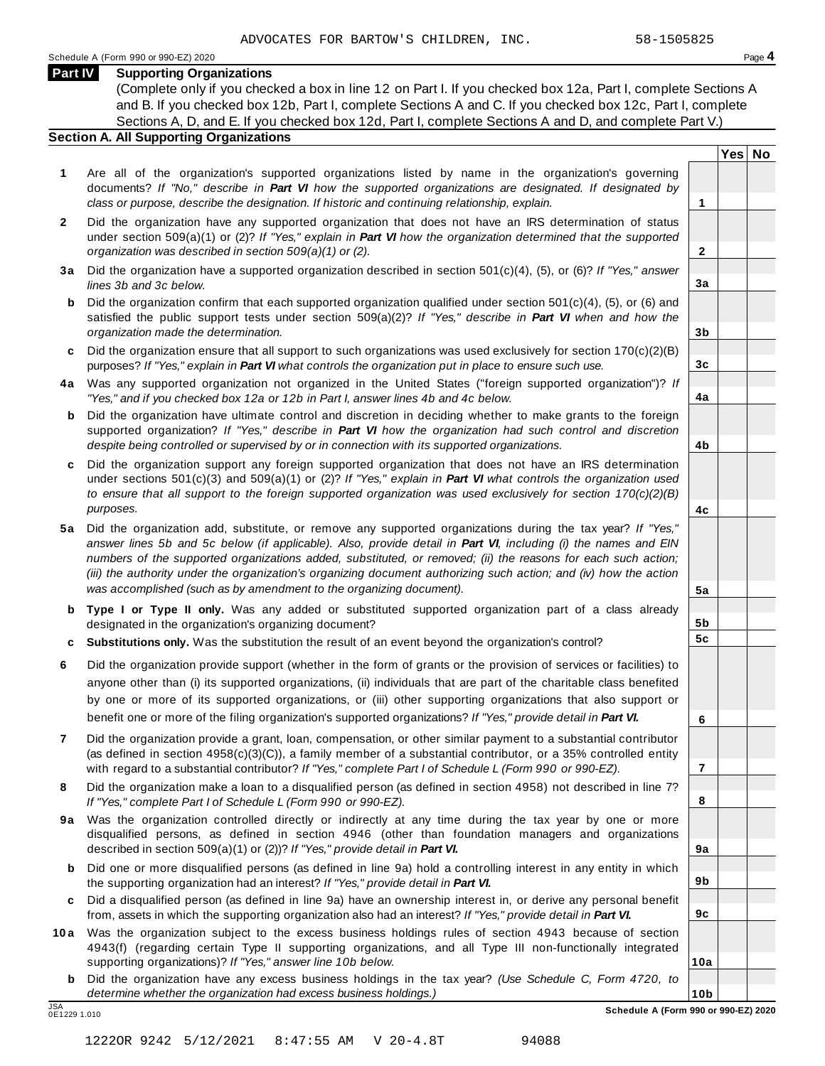#### **Part IV Supporting Organizations**

(Complete only if you checked a box in line 12 on Part I. If you checked box 12a, Part I, complete Sections A and B. If you checked box 12b, Part I, complete Sections A and C. If you checked box 12c, Part I, complete Sections A, D, and E. If you checked box 12d, Part I, complete Sections A and D, and complete Part V.)

#### **Section A. All Supporting Organizations**

- **1** Are all of the organization's supported organizations listed by name in the organization's governing documents? *If "No," describe in Part VI how the supported organizations are designated. If designated by class or purpose, describe the designation. If historic and continuing relationship, explain.* **1**
- **2** Did the organization have any supported organization that does not have an IRS determination of status under section 509(a)(1) or (2)? *If"Yes," explain in Part VI how the organization determined that the supported organization was described in section 509(a)(1) or (2).*
- **3 a** Did the organization have a supported organization described in section 501(c)(4), (5), or (6)? *If "Yes," answer lines 3b and 3c below.*
- **b** Did the organization confirm that each supported organization qualified under section 501(c)(4), (5), or (6) and | satisfied the public support tests under section 509(a)(2)? *If "Yes," describe in Part VI when and how the organization made the determination.*
- **c** Did the organization ensure that all support to such organizations was used exclusively for section 170(c)(2)(B) purposes? *If"Yes," explain in Part VI what controls the organization put in place to ensure such use.*
- **4 a** Was any supported organization not organized in the United States ("foreign supported organization")? *If "Yes," and if you checked box 12a or 12b in Part I, answer lines 4b and 4c below.*
- **b** Did the organization have ultimate control and discretion in deciding whether to make grants to the foreign | supported organization? *If "Yes," describe in Part VI how the organization had such control and discretion despite being controlled or supervised by or in connection with its supported organizations.*
- **c** Did the organization support any foreign supported organization that does not have an IRS determination | under sections 501(c)(3) and 509(a)(1) or (2)? *If "Yes," explain in Part VI what controls the organization used to ensure that all support to the foreign supported organization was used exclusively for section 170(c)(2)(B) purposes.*
- **5 a** Did the organization add, substitute, or remove any supported organizations during the tax year? *If "Yes,"* answer lines 5b and 5c below (if applicable). Also, provide detail in Part VI, including (i) the names and EIN *numbers of the supported organizations added, substituted, or removed; (ii) the reasons for each such action;* (iii) the authority under the organization's organizing document authorizing such action; and (iv) how the action *was accomplished (such as by amendment to the organizing document).*
- **b Type I or Type II only.** Was any added or substituted supported organization part of a class already designated in the organization's organizing document?
- **c Substitutions only.** Was the substitution the result of an event beyond the organization's control?
- **6** Did the organization provide support (whether in the form of grants or the provision of services or facilities) to anyone other than (i) its supported organizations, (ii) individuals that are part of the charitable class benefited by one or more of its supported organizations, or (iii) other supporting organizations that also support or benefit one or more of the filing organization's supported organizations? *If"Yes," provide detail in Part VI.*
- **7** Did the organization provide a grant, loan, compensation, or other similar payment to a substantial contributor (as defined in section 4958(c)(3)(C)), a family member of a substantial contributor, or a 35% controlled entity with regard to a substantial contributor? *If"Yes," complete Part I of Schedule L (Form 990 or 990-EZ).*
- **8** Did the organization make a loan to a disqualified person (as defined in section 4958) not described in line 7? *If "Yes," complete Part I of Schedule L (Form 990 or 990-EZ).*
- **9a** Was the organization controlled directly or indirectly at any time during the tax year by one or more | disqualified persons, as defined in section 4946 (other than foundation managers and organizations described in section 509(a)(1) or (2))? *If"Yes," provide detail in Part VI.*
- **b** Did one or more disqualified persons (as defined in line 9a) hold a controlling interest in any entity in which | the supporting organization had an interest? *If"Yes," provide detail in Part VI.*
- **c** Did a disqualified person (as defined in line 9a) have an ownership interest in, or derive any personal benefit from, assets in which the supporting organization also had an interest? *If"Yes," provide detail in Part VI.*
- **10a** Was the organization subject to the excess business holdings rules of section 4943 because of section | 4943(f) (regarding certain Type II supporting organizations, and all Type III non-functionally integrated supporting organizations)? *If"Yes," answer line 10b below.*
- **b** Did the organization have any excess business holdings in the tax year? *(Use Schedule C, Form 4720, to determine whether the organization had excess business holdings.)*

0E1229 1.010

**10b** JSA **Schedule A (Form 990 or 990-EZ) 2020**

**Yes No**

**2**

**3a**

**3b**

**3c**

**4a**

**4b**

**4c**

**5a**

**5b 5c**

**6**

**7**

**8**

**9a**

**9b**

**9c**

**10a**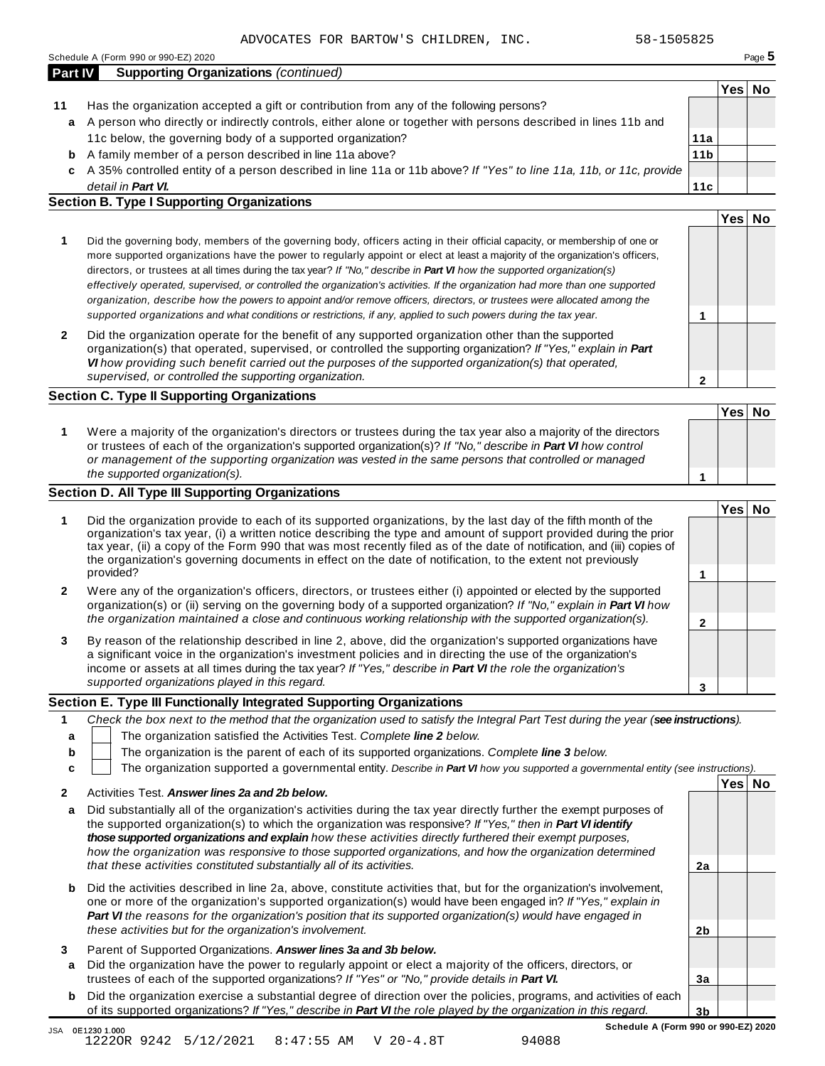|              |                                                                                                                                                                                                                                                                                                                                                                                                                                                                                                                                                                                                                                                                                                                                                                                 | Yes∣ |  |
|--------------|---------------------------------------------------------------------------------------------------------------------------------------------------------------------------------------------------------------------------------------------------------------------------------------------------------------------------------------------------------------------------------------------------------------------------------------------------------------------------------------------------------------------------------------------------------------------------------------------------------------------------------------------------------------------------------------------------------------------------------------------------------------------------------|------|--|
|              | Did the governing body, members of the governing body, officers acting in their official capacity, or membership of one or<br>more supported organizations have the power to regularly appoint or elect at least a majority of the organization's officers,<br>directors, or trustees at all times during the tax year? If "No," describe in <b>Part VI</b> how the supported organization(s)<br>effectively operated, supervised, or controlled the organization's activities. If the organization had more than one supported<br>organization, describe how the powers to appoint and/or remove officers, directors, or trustees were allocated among the<br>supported organizations and what conditions or restrictions, if any, applied to such powers during the tax year. |      |  |
| $\mathbf{2}$ | Did the organization operate for the benefit of any supported organization other than the supported<br>organization(s) that operated, supervised, or controlled the supporting organization? If "Yes," explain in Part<br>VI how providing such benefit carried out the purposes of the supported organization(s) that operated,<br>supervised, or controlled the supporting organization.                                                                                                                                                                                                                                                                                                                                                                                      |      |  |

#### **Section C. Type II Supporting Organizations**

**1 Yes No 1** Were a majority of the organization's directors or trustees during the tax year also a majority of the directors or trustees of each of the organization's supported organization(s)? *If"No," describe in Part VI how control or management of the supporting organization was vested in the same persons that controlled or managed the supported organization(s).*

#### **Section D. All Type III Supporting Organizations**

|              |                                                                                                                                                                                                                                                                                                                                                                                                                                                                                          | Yes⊺ |  |
|--------------|------------------------------------------------------------------------------------------------------------------------------------------------------------------------------------------------------------------------------------------------------------------------------------------------------------------------------------------------------------------------------------------------------------------------------------------------------------------------------------------|------|--|
| 1            | Did the organization provide to each of its supported organizations, by the last day of the fifth month of the<br>organization's tax year, (i) a written notice describing the type and amount of support provided during the prior<br>tax year, (ii) a copy of the Form 990 that was most recently filed as of the date of notification, and (iii) copies of<br>the organization's governing documents in effect on the date of notification, to the extent not previously<br>provided? |      |  |
| $\mathbf{2}$ | Were any of the organization's officers, directors, or trustees either (i) appointed or elected by the supported<br>organization(s) or (ii) serving on the governing body of a supported organization? If "No," explain in <b>Part VI</b> how<br>the organization maintained a close and continuous working relationship with the supported organization(s).                                                                                                                             |      |  |
| 3            | By reason of the relationship described in line 2, above, did the organization's supported organizations have<br>a significant voice in the organization's investment policies and in directing the use of the organization's<br>income or assets at all times during the tax year? If "Yes," describe in Part VI the role the organization's                                                                                                                                            |      |  |
|              | supported organizations played in this regard.                                                                                                                                                                                                                                                                                                                                                                                                                                           |      |  |

#### **Section E. Type III Functionally Integrated Supporting Organizations**

|   | Check the box next to the method that the organization used to satisfy the Integral Part Test during the year (see instructions). |  |  |  |  |  |
|---|-----------------------------------------------------------------------------------------------------------------------------------|--|--|--|--|--|
|   | The organization satisfied the Activities Test. Complete line 2 below.                                                            |  |  |  |  |  |
| b | The organization is the parent of each of its supported organizations. Complete line 3 below.                                     |  |  |  |  |  |
|   | The organization supported a governmental entity. Describe in Part VI how you supported a governmental entity (see instructions). |  |  |  |  |  |
|   | Yes <sub>l</sub><br>Nο<br>Activities Test. Answer lines 2a and 2b below.                                                          |  |  |  |  |  |

- **a** Did substantially all of the organization's activities during the tax year directly further the exempt purposes of the supported organization(s) to which the organization was responsive? *If "Yes," then in Part VI identify those supported organizations and explain how these activities directly furthered their exempt purposes, how the organization was responsive to those supported organizations, and how the organization determined that these activities constituted substantially all of its activities.* **2a**
- **b** Did the activities described in line 2a, above, constitute activities that, but for the organization's involvement, one or more of the organization's supported organization(s) would have been engaged in? *If "Yes," explain in Part VI the reasons for the organization's position that its supported organization(s) would have engaged in these activities but for the organization's involvement.*
- **3** Parent of Supported Organizations. *Answer lines 3a and 3b below.*
- **a** Did the organization have the power to regularly appoint or elect a majority of the officers, directors, or trustees of each of the supported organizations? *If"Yes" or "No," provide details in Part VI.*
- **b** Did the organization exercise a substantial degree of direction over the policies, programs, and activities of each of its supported organizations? *If"Yes," describe in Part VI the role played by the organization in this regard.*

**3b Schedule A (Form 990 or 990-EZ) 2020**

**2b**

**3a**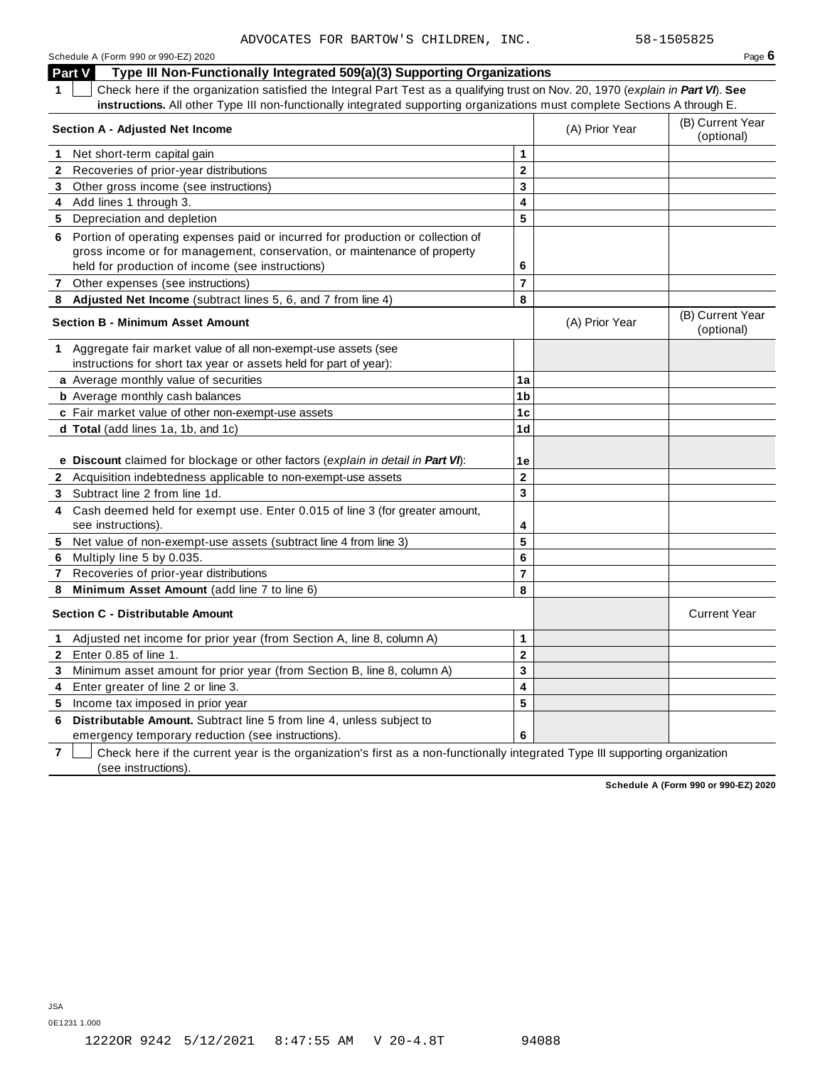| Schedule A (Form 990 or 990-EZ) 2020 | Page 6 |
|--------------------------------------|--------|
|--------------------------------------|--------|

**Part V Type III Non-Functionally Integrated 509(a)(3) Supporting Organizations**

**1** Check here if the organization satisfied the Integral Part Test as a qualifying trust on Nov. 20, 1970 (*explain in Part VI*). **See instructions.** All other Type III non-functionally integrated supporting organizations must complete Sections A through E.

|                | <b>Section A - Adjusted Net Income</b>                                                              | (A) Prior Year          | (B) Current Year<br>(optional) |                                |
|----------------|-----------------------------------------------------------------------------------------------------|-------------------------|--------------------------------|--------------------------------|
| 1.             | Net short-term capital gain                                                                         | 1                       |                                |                                |
|                | 2 Recoveries of prior-year distributions                                                            | $\mathbf{2}$            |                                |                                |
|                | 3 Other gross income (see instructions)                                                             | $\overline{\mathbf{3}}$ |                                |                                |
|                | 4 Add lines 1 through 3.                                                                            | $\overline{\mathbf{4}}$ |                                |                                |
|                | 5 Depreciation and depletion                                                                        | 5                       |                                |                                |
|                | 6 Portion of operating expenses paid or incurred for production or collection of                    |                         |                                |                                |
|                | gross income or for management, conservation, or maintenance of property                            |                         |                                |                                |
|                | held for production of income (see instructions)                                                    | 6                       |                                |                                |
| $\mathbf{7}$   | Other expenses (see instructions)                                                                   | $\overline{7}$          |                                |                                |
| 8              | Adjusted Net Income (subtract lines 5, 6, and 7 from line 4)                                        | 8                       |                                |                                |
|                | <b>Section B - Minimum Asset Amount</b>                                                             |                         | (A) Prior Year                 | (B) Current Year<br>(optional) |
|                | 1 Aggregate fair market value of all non-exempt-use assets (see                                     |                         |                                |                                |
|                | instructions for short tax year or assets held for part of year):                                   |                         |                                |                                |
|                | a Average monthly value of securities                                                               | 1a                      |                                |                                |
|                | <b>b</b> Average monthly cash balances                                                              | 1 <sub>b</sub>          |                                |                                |
|                | c Fair market value of other non-exempt-use assets                                                  | 1 <sub>c</sub>          |                                |                                |
|                | d Total (add lines 1a, 1b, and 1c)                                                                  | 1 <sub>d</sub>          |                                |                                |
|                | e Discount claimed for blockage or other factors (explain in detail in Part VI):                    | 1e                      |                                |                                |
|                | 2 Acquisition indebtedness applicable to non-exempt-use assets                                      | $\overline{2}$          |                                |                                |
| 3              | Subtract line 2 from line 1d.                                                                       | $\mathbf{3}$            |                                |                                |
|                | 4 Cash deemed held for exempt use. Enter 0.015 of line 3 (for greater amount,<br>see instructions). | 4                       |                                |                                |
| 5.             | Net value of non-exempt-use assets (subtract line 4 from line 3)                                    | 5                       |                                |                                |
| 6              | Multiply line 5 by 0.035.                                                                           | 6                       |                                |                                |
| $\overline{7}$ | Recoveries of prior-year distributions                                                              | $\overline{7}$          |                                |                                |
| 8              | Minimum Asset Amount (add line 7 to line 6)                                                         | 8                       |                                |                                |
|                | <b>Section C - Distributable Amount</b>                                                             |                         |                                | <b>Current Year</b>            |
| $\mathbf 1$    | Adjusted net income for prior year (from Section A, line 8, column A)                               | $\mathbf{1}$            |                                |                                |
|                | 2 Enter 0.85 of line 1.                                                                             | $\mathbf 2$             |                                |                                |
| 3              | Minimum asset amount for prior year (from Section B, line 8, column A)                              | $\overline{3}$          |                                |                                |
| 4              | Enter greater of line 2 or line 3.                                                                  | $\overline{\mathbf{4}}$ |                                |                                |
|                | 5 Income tax imposed in prior year                                                                  | 5                       |                                |                                |
| 6              | Distributable Amount. Subtract line 5 from line 4, unless subject to                                |                         |                                |                                |
|                | emergency temporary reduction (see instructions).                                                   | 6                       |                                |                                |

**7** Check here if the current year is the organization's first as a non-functionally integrated Type III supporting organization (see instructions).

**Schedule A (Form 990 or 990-EZ) 2020**

0E1231 1.000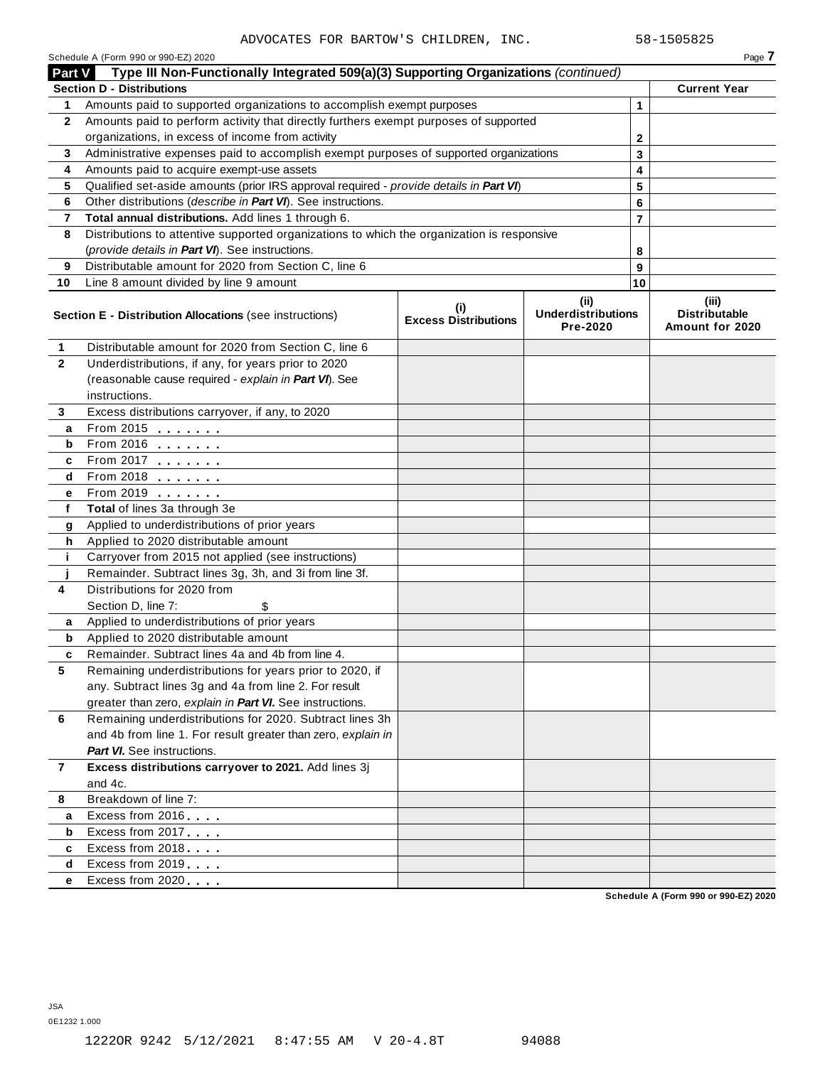|                | Schedule A (Form 990 or 990-EZ) 2020                                                       |                                    |                                               |    | Page 7                                           |
|----------------|--------------------------------------------------------------------------------------------|------------------------------------|-----------------------------------------------|----|--------------------------------------------------|
| <b>Part V</b>  | Type III Non-Functionally Integrated 509(a)(3) Supporting Organizations (continued)        |                                    |                                               |    |                                                  |
|                | <b>Section D - Distributions</b>                                                           |                                    |                                               |    | <b>Current Year</b>                              |
| 1              | Amounts paid to supported organizations to accomplish exempt purposes                      |                                    |                                               | 1  |                                                  |
| $\mathbf{2}$   | Amounts paid to perform activity that directly furthers exempt purposes of supported       |                                    |                                               |    |                                                  |
|                | organizations, in excess of income from activity                                           |                                    |                                               | 2  |                                                  |
| 3              | Administrative expenses paid to accomplish exempt purposes of supported organizations      |                                    |                                               | 3  |                                                  |
| 4              | Amounts paid to acquire exempt-use assets                                                  |                                    |                                               | 4  |                                                  |
| 5              | Qualified set-aside amounts (prior IRS approval required - provide details in Part VI)     |                                    |                                               | 5  |                                                  |
| 6              | Other distributions (describe in Part VI). See instructions.                               |                                    |                                               | 6  |                                                  |
| 7              | Total annual distributions. Add lines 1 through 6.                                         |                                    |                                               | 7  |                                                  |
| 8              | Distributions to attentive supported organizations to which the organization is responsive |                                    |                                               |    |                                                  |
|                | (provide details in Part VI). See instructions.                                            |                                    |                                               | 8  |                                                  |
| 9              | Distributable amount for 2020 from Section C, line 6                                       |                                    |                                               | 9  |                                                  |
| 10             | Line 8 amount divided by line 9 amount                                                     |                                    |                                               | 10 |                                                  |
|                | Section E - Distribution Allocations (see instructions)                                    | (i)<br><b>Excess Distributions</b> | (ii)<br><b>Underdistributions</b><br>Pre-2020 |    | (iii)<br><b>Distributable</b><br>Amount for 2020 |
| 1              | Distributable amount for 2020 from Section C, line 6                                       |                                    |                                               |    |                                                  |
| $\mathbf{2}$   | Underdistributions, if any, for years prior to 2020                                        |                                    |                                               |    |                                                  |
|                | (reasonable cause required - explain in Part VI). See                                      |                                    |                                               |    |                                                  |
|                | instructions.                                                                              |                                    |                                               |    |                                                  |
| 3              | Excess distributions carryover, if any, to 2020                                            |                                    |                                               |    |                                                  |
| а              | From 2015 $\frac{1}{2}$                                                                    |                                    |                                               |    |                                                  |
| b              | From 2016 $\frac{2016}{200}$                                                               |                                    |                                               |    |                                                  |
| c              | From 2017 $\frac{1}{2}$                                                                    |                                    |                                               |    |                                                  |
| d              | From 2018 $\frac{2018}{200}$                                                               |                                    |                                               |    |                                                  |
| е              | From 2019 <b>Figure 1.1 Figure 1.1</b>                                                     |                                    |                                               |    |                                                  |
| f              | Total of lines 3a through 3e                                                               |                                    |                                               |    |                                                  |
| g              | Applied to underdistributions of prior years                                               |                                    |                                               |    |                                                  |
| h              | Applied to 2020 distributable amount                                                       |                                    |                                               |    |                                                  |
| j.             | Carryover from 2015 not applied (see instructions)                                         |                                    |                                               |    |                                                  |
|                | Remainder. Subtract lines 3g, 3h, and 3i from line 3f.                                     |                                    |                                               |    |                                                  |
| 4              | Distributions for 2020 from                                                                |                                    |                                               |    |                                                  |
|                | Section D, line 7:<br>\$                                                                   |                                    |                                               |    |                                                  |
| a              | Applied to underdistributions of prior years                                               |                                    |                                               |    |                                                  |
| b              | Applied to 2020 distributable amount                                                       |                                    |                                               |    |                                                  |
| c              | Remainder. Subtract lines 4a and 4b from line 4.                                           |                                    |                                               |    |                                                  |
| 5              | Remaining underdistributions for years prior to 2020, if                                   |                                    |                                               |    |                                                  |
|                | any. Subtract lines 3g and 4a from line 2. For result                                      |                                    |                                               |    |                                                  |
|                | greater than zero, explain in Part VI. See instructions.                                   |                                    |                                               |    |                                                  |
| 6              | Remaining underdistributions for 2020. Subtract lines 3h                                   |                                    |                                               |    |                                                  |
|                | and 4b from line 1. For result greater than zero, explain in                               |                                    |                                               |    |                                                  |
|                | <b>Part VI.</b> See instructions.                                                          |                                    |                                               |    |                                                  |
| $\overline{7}$ | Excess distributions carryover to 2021. Add lines 3j                                       |                                    |                                               |    |                                                  |
|                | and 4c.                                                                                    |                                    |                                               |    |                                                  |
| 8              | Breakdown of line 7:                                                                       |                                    |                                               |    |                                                  |
| а              | Excess from 2016                                                                           |                                    |                                               |    |                                                  |
| b              | Excess from 2017                                                                           |                                    |                                               |    |                                                  |
| c              | Excess from 2018                                                                           |                                    |                                               |    |                                                  |
| d              | Excess from 2019                                                                           |                                    |                                               |    |                                                  |
| е              | Excess from 2020                                                                           |                                    |                                               |    |                                                  |
|                |                                                                                            |                                    |                                               |    | Schedule A (Form 990 or 990-EZ) 2020             |

JSA 0E1232 1.000 1222OR 9242 5/12/2021 8:47:55 AM V 20-4.8T 94088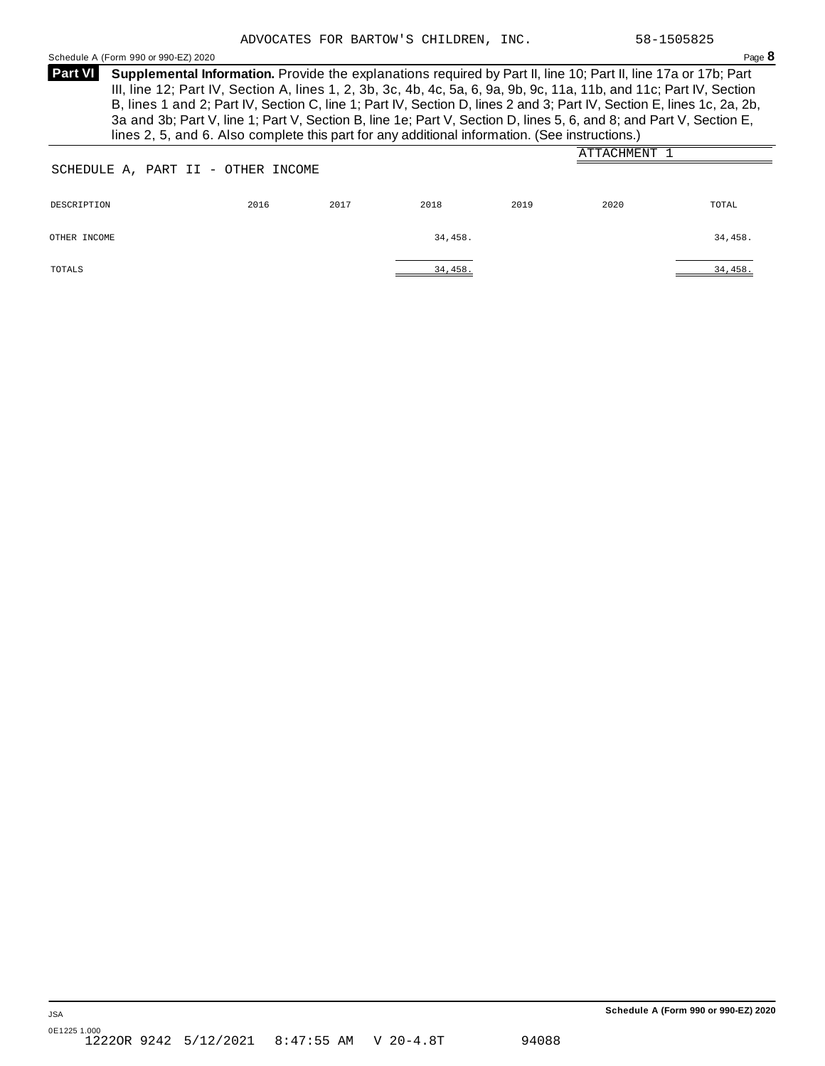<span id="page-19-0"></span>Schedule <sup>A</sup> (Form <sup>990</sup> or 990-EZ) <sup>2020</sup> Page **8**

**Supplemental Information.** Provide the explanations required by Part II, line 10; Part II, line 17a or 17b; Part **Part VI** III, line 12; Part IV, Section A, lines 1, 2, 3b, 3c, 4b, 4c, 5a, 6, 9a, 9b, 9c, 11a, 11b, and 11c; Part IV, Section B, lines 1 and 2; Part IV, Section C, line 1; Part IV, Section D, lines 2 and 3; Part IV, Section E, lines 1c, 2a, 2b, 3a and 3b; Part V, line 1; Part V, Section B, line 1e; Part V, Section D, lines 5, 6, and 8; and Part V, Section E, lines 2, 5, and 6. Also complete this part for any additional information. (See instructions.)

| SCHEDULE A, PART II - OTHER INCOME |      |      |         |      | ATTACHMENT |         |
|------------------------------------|------|------|---------|------|------------|---------|
|                                    |      |      |         |      |            |         |
| DESCRIPTION                        | 2016 | 2017 | 2018    | 2019 | 2020       | TOTAL   |
| OTHER INCOME                       |      |      | 34,458. |      |            | 34,458. |
| TOTALS                             |      |      | 34,458. |      |            | 34,458. |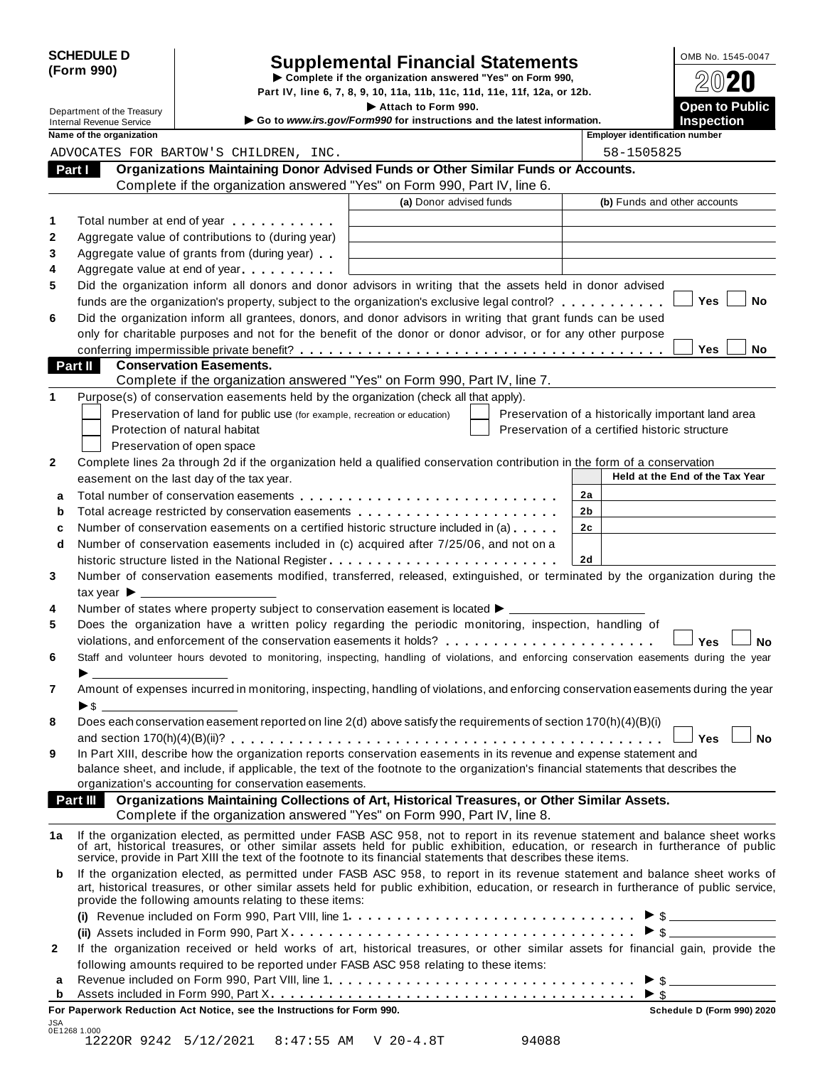| <b>SCHEDULE D</b> |  |
|-------------------|--|
| (Form 990)        |  |

# SCHEDULE D<br>
Supplemental Financial Statements<br>
Form 990)<br>
Part IV, line 6, 7, 8, 9, 10, 11a, 11b, 11c, 11d, 11e, 11f, 12a, or 12b.<br>
Part IV, line 6, 7, 8, 9, 10, 11a, 11b, 11c, 11d, 11e, 11f, 12a, or 12b.

|                |                                                               |                                                                                                                                                                                                                               | Part IV, line 6, 7, 8, 9, 10, 11a, 11b, 11c, 11d, 11e, 11f, 12a, or 12b.                      |                |                                                                                                                                                                                                                                                                        |
|----------------|---------------------------------------------------------------|-------------------------------------------------------------------------------------------------------------------------------------------------------------------------------------------------------------------------------|-----------------------------------------------------------------------------------------------|----------------|------------------------------------------------------------------------------------------------------------------------------------------------------------------------------------------------------------------------------------------------------------------------|
|                | Department of the Treasury<br><b>Internal Revenue Service</b> |                                                                                                                                                                                                                               | Attach to Form 990.<br>Go to www.irs.gov/Form990 for instructions and the latest information. |                | <b>Open to Public</b><br><b>Inspection</b>                                                                                                                                                                                                                             |
|                | Name of the organization                                      |                                                                                                                                                                                                                               |                                                                                               |                | <b>Employer identification number</b>                                                                                                                                                                                                                                  |
|                |                                                               | ADVOCATES FOR BARTOW'S CHILDREN, INC.                                                                                                                                                                                         |                                                                                               |                | 58-1505825                                                                                                                                                                                                                                                             |
| Part I         |                                                               | Organizations Maintaining Donor Advised Funds or Other Similar Funds or Accounts.                                                                                                                                             |                                                                                               |                |                                                                                                                                                                                                                                                                        |
|                |                                                               | Complete if the organization answered "Yes" on Form 990, Part IV, line 6.                                                                                                                                                     |                                                                                               |                |                                                                                                                                                                                                                                                                        |
|                |                                                               |                                                                                                                                                                                                                               | (a) Donor advised funds                                                                       |                | (b) Funds and other accounts                                                                                                                                                                                                                                           |
| 1              |                                                               | Total number at end of year entitled as a set of the set of the set of the set of the set of the set of the set of the set of the set of the set of the set of the set of the set of the set of the set of the set of the set |                                                                                               |                |                                                                                                                                                                                                                                                                        |
| 2              |                                                               | Aggregate value of contributions to (during year)                                                                                                                                                                             |                                                                                               |                |                                                                                                                                                                                                                                                                        |
| 3              |                                                               | Aggregate value of grants from (during year)                                                                                                                                                                                  |                                                                                               |                |                                                                                                                                                                                                                                                                        |
| 4              |                                                               | Aggregate value at end of year                                                                                                                                                                                                |                                                                                               |                |                                                                                                                                                                                                                                                                        |
| 5              |                                                               | Did the organization inform all donors and donor advisors in writing that the assets held in donor advised                                                                                                                    |                                                                                               |                |                                                                                                                                                                                                                                                                        |
|                |                                                               | funds are the organization's property, subject to the organization's exclusive legal control?                                                                                                                                 |                                                                                               |                | Yes<br>No                                                                                                                                                                                                                                                              |
| 6              |                                                               | Did the organization inform all grantees, donors, and donor advisors in writing that grant funds can be used                                                                                                                  |                                                                                               |                |                                                                                                                                                                                                                                                                        |
|                |                                                               | only for charitable purposes and not for the benefit of the donor or donor advisor, or for any other purpose                                                                                                                  |                                                                                               |                |                                                                                                                                                                                                                                                                        |
|                |                                                               |                                                                                                                                                                                                                               |                                                                                               |                | Yes<br>No.                                                                                                                                                                                                                                                             |
| <b>Part II</b> |                                                               | <b>Conservation Easements.</b>                                                                                                                                                                                                |                                                                                               |                |                                                                                                                                                                                                                                                                        |
|                |                                                               | Complete if the organization answered "Yes" on Form 990, Part IV, line 7.                                                                                                                                                     |                                                                                               |                |                                                                                                                                                                                                                                                                        |
| 1              |                                                               | Purpose(s) of conservation easements held by the organization (check all that apply).                                                                                                                                         |                                                                                               |                |                                                                                                                                                                                                                                                                        |
|                |                                                               | Preservation of land for public use (for example, recreation or education)                                                                                                                                                    |                                                                                               |                | Preservation of a historically important land area                                                                                                                                                                                                                     |
|                |                                                               | Protection of natural habitat                                                                                                                                                                                                 |                                                                                               |                | Preservation of a certified historic structure                                                                                                                                                                                                                         |
|                |                                                               | Preservation of open space                                                                                                                                                                                                    |                                                                                               |                |                                                                                                                                                                                                                                                                        |
| 2              |                                                               | Complete lines 2a through 2d if the organization held a qualified conservation contribution in the form of a conservation                                                                                                     |                                                                                               |                |                                                                                                                                                                                                                                                                        |
|                |                                                               | easement on the last day of the tax year.                                                                                                                                                                                     |                                                                                               |                | Held at the End of the Tax Year                                                                                                                                                                                                                                        |
| a              |                                                               |                                                                                                                                                                                                                               |                                                                                               | 2a             |                                                                                                                                                                                                                                                                        |
| b              |                                                               | Total acreage restricted by conservation easements                                                                                                                                                                            |                                                                                               | 2b             |                                                                                                                                                                                                                                                                        |
| c              |                                                               | Number of conservation easements on a certified historic structure included in (a)                                                                                                                                            |                                                                                               | 2 <sub>c</sub> |                                                                                                                                                                                                                                                                        |
| d              |                                                               | Number of conservation easements included in (c) acquired after 7/25/06, and not on a                                                                                                                                         |                                                                                               |                |                                                                                                                                                                                                                                                                        |
|                |                                                               |                                                                                                                                                                                                                               |                                                                                               | 2d             |                                                                                                                                                                                                                                                                        |
| 3              |                                                               |                                                                                                                                                                                                                               |                                                                                               |                | Number of conservation easements modified, transferred, released, extinguished, or terminated by the organization during the                                                                                                                                           |
|                | tax year $\blacktriangleright$ $\lrcorner$                    |                                                                                                                                                                                                                               |                                                                                               |                |                                                                                                                                                                                                                                                                        |
| 4              |                                                               | Number of states where property subject to conservation easement is located ▶ __________                                                                                                                                      |                                                                                               |                |                                                                                                                                                                                                                                                                        |
| 5              |                                                               | Does the organization have a written policy regarding the periodic monitoring, inspection, handling of                                                                                                                        |                                                                                               |                |                                                                                                                                                                                                                                                                        |
|                |                                                               | violations, and enforcement of the conservation easements it holds?                                                                                                                                                           |                                                                                               |                | Yes<br><b>No</b>                                                                                                                                                                                                                                                       |
| 6              |                                                               | Staff and volunteer hours devoted to monitoring, inspecting, handling of violations, and enforcing conservation easements during the year                                                                                     |                                                                                               |                |                                                                                                                                                                                                                                                                        |
| 7              |                                                               | Amount of expenses incurred in monitoring, inspecting, handling of violations, and enforcing conservation easements during the year                                                                                           |                                                                                               |                |                                                                                                                                                                                                                                                                        |
| 8              |                                                               | Does each conservation easement reported on line 2(d) above satisfy the requirements of section 170(h)(4)(B)(i)                                                                                                               |                                                                                               |                |                                                                                                                                                                                                                                                                        |
|                |                                                               |                                                                                                                                                                                                                               |                                                                                               |                | <b>No</b><br><b>Yes</b>                                                                                                                                                                                                                                                |
| 9              |                                                               | In Part XIII, describe how the organization reports conservation easements in its revenue and expense statement and                                                                                                           |                                                                                               |                |                                                                                                                                                                                                                                                                        |
|                |                                                               | balance sheet, and include, if applicable, the text of the footnote to the organization's financial statements that describes the                                                                                             |                                                                                               |                |                                                                                                                                                                                                                                                                        |
|                |                                                               | organization's accounting for conservation easements.                                                                                                                                                                         |                                                                                               |                |                                                                                                                                                                                                                                                                        |
| Part III       |                                                               | Organizations Maintaining Collections of Art, Historical Treasures, or Other Similar Assets.                                                                                                                                  |                                                                                               |                |                                                                                                                                                                                                                                                                        |
|                |                                                               | Complete if the organization answered "Yes" on Form 990, Part IV, line 8.                                                                                                                                                     |                                                                                               |                |                                                                                                                                                                                                                                                                        |
| 1a             |                                                               | service, provide in Part XIII the text of the footnote to its financial statements that describes these items.                                                                                                                |                                                                                               |                | If the organization elected, as permitted under FASB ASC 958, not to report in its revenue statement and balance sheet works<br>of art, historical treasures, or other similar assets held for public exhibition, education, or r                                      |
| b              |                                                               | provide the following amounts relating to these items:                                                                                                                                                                        |                                                                                               |                | If the organization elected, as permitted under FASB ASC 958, to report in its revenue statement and balance sheet works of<br>art, historical treasures, or other similar assets held for public exhibition, education, or research in furtherance of public service, |
|                |                                                               |                                                                                                                                                                                                                               |                                                                                               |                | $\triangleright$ \$                                                                                                                                                                                                                                                    |
|                |                                                               |                                                                                                                                                                                                                               |                                                                                               |                | $\triangleright$ \$                                                                                                                                                                                                                                                    |
| 2              |                                                               |                                                                                                                                                                                                                               |                                                                                               |                | If the organization received or held works of art, historical treasures, or other similar assets for financial gain, provide the                                                                                                                                       |
|                |                                                               | following amounts required to be reported under FASB ASC 958 relating to these items:                                                                                                                                         |                                                                                               |                |                                                                                                                                                                                                                                                                        |
| а              |                                                               |                                                                                                                                                                                                                               |                                                                                               |                | $\triangleright$ \$                                                                                                                                                                                                                                                    |
| b              |                                                               |                                                                                                                                                                                                                               |                                                                                               |                | $\triangleright$ \$                                                                                                                                                                                                                                                    |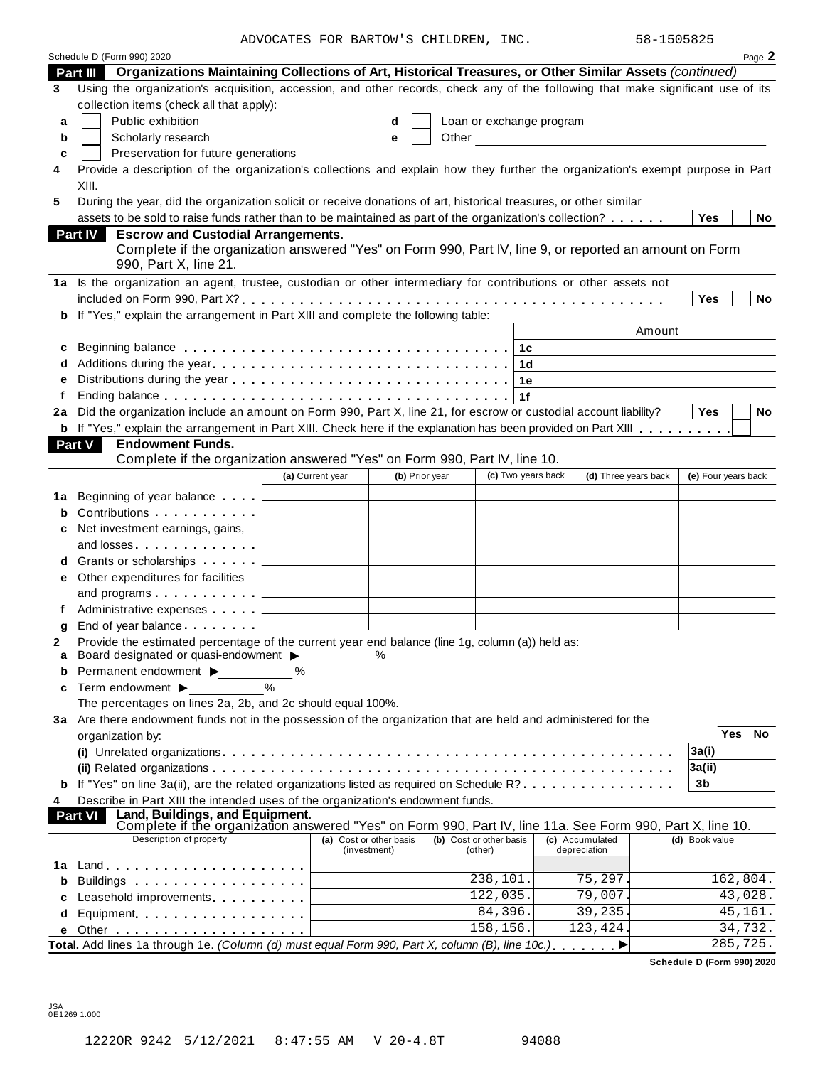ADVOCATES FOR BARTOW'S CHILDREN, INC. 58-1505825

|    | Schedule D (Form 990) 2020                                                                                                                                                                                                     |                         |                |                         |           |                          |                                                  |                |                     | Page 2  |
|----|--------------------------------------------------------------------------------------------------------------------------------------------------------------------------------------------------------------------------------|-------------------------|----------------|-------------------------|-----------|--------------------------|--------------------------------------------------|----------------|---------------------|---------|
|    | Organizations Maintaining Collections of Art, Historical Treasures, or Other Similar Assets (continued)<br><b>Part III</b>                                                                                                     |                         |                |                         |           |                          |                                                  |                |                     |         |
| 3  | Using the organization's acquisition, accession, and other records, check any of the following that make significant use of its                                                                                                |                         |                |                         |           |                          |                                                  |                |                     |         |
|    | collection items (check all that apply):                                                                                                                                                                                       |                         |                |                         |           |                          |                                                  |                |                     |         |
| a  | Public exhibition                                                                                                                                                                                                              |                         | d              |                         |           | Loan or exchange program |                                                  |                |                     |         |
| b  | Scholarly research                                                                                                                                                                                                             |                         | е              | Other                   |           |                          | <u> 1980 - Jan Barbara Barbara, prima popula</u> |                |                     |         |
| c  | Preservation for future generations                                                                                                                                                                                            |                         |                |                         |           |                          |                                                  |                |                     |         |
| 4  | Provide a description of the organization's collections and explain how they further the organization's exempt purpose in Part                                                                                                 |                         |                |                         |           |                          |                                                  |                |                     |         |
|    | XIII.                                                                                                                                                                                                                          |                         |                |                         |           |                          |                                                  |                |                     |         |
| 5  | During the year, did the organization solicit or receive donations of art, historical treasures, or other similar                                                                                                              |                         |                |                         |           |                          |                                                  |                |                     |         |
|    | assets to be sold to raise funds rather than to be maintained as part of the organization's collection?                                                                                                                        |                         |                |                         |           |                          |                                                  |                | Yes                 | No      |
|    | <b>Escrow and Custodial Arrangements.</b><br><b>Part IV</b>                                                                                                                                                                    |                         |                |                         |           |                          |                                                  |                |                     |         |
|    | Complete if the organization answered "Yes" on Form 990, Part IV, line 9, or reported an amount on Form                                                                                                                        |                         |                |                         |           |                          |                                                  |                |                     |         |
|    | 990, Part X, line 21.                                                                                                                                                                                                          |                         |                |                         |           |                          |                                                  |                |                     |         |
|    | 1a Is the organization an agent, trustee, custodian or other intermediary for contributions or other assets not                                                                                                                |                         |                |                         |           |                          |                                                  |                |                     |         |
|    |                                                                                                                                                                                                                                |                         |                |                         |           |                          |                                                  |                | Yes                 | No      |
| b  | If "Yes," explain the arrangement in Part XIII and complete the following table:                                                                                                                                               |                         |                |                         |           |                          |                                                  |                |                     |         |
|    |                                                                                                                                                                                                                                |                         |                |                         |           |                          |                                                  | Amount         |                     |         |
| c  | Beginning balance enterpreteration of the set of the set of the set of the set of the set of the set of the set of the set of the set of the set of the set of the set of the set of the set of the set of the set of the set  |                         |                |                         |           | 1c                       |                                                  |                |                     |         |
|    |                                                                                                                                                                                                                                |                         |                |                         |           | 1 <sub>d</sub>           |                                                  |                |                     |         |
|    |                                                                                                                                                                                                                                |                         |                |                         |           | 1e                       |                                                  |                |                     |         |
|    |                                                                                                                                                                                                                                |                         |                |                         |           | 1f                       |                                                  |                |                     |         |
| 2a | Did the organization include an amount on Form 990, Part X, line 21, for escrow or custodial account liability?                                                                                                                |                         |                |                         |           |                          |                                                  |                | Yes                 | No      |
|    | <b>b</b> If "Yes," explain the arrangement in Part XIII. Check here if the explanation has been provided on Part XIII                                                                                                          |                         |                |                         |           |                          |                                                  |                |                     |         |
|    | Part V<br><b>Endowment Funds.</b>                                                                                                                                                                                              |                         |                |                         |           |                          |                                                  |                |                     |         |
|    | Complete if the organization answered "Yes" on Form 990, Part IV, line 10.                                                                                                                                                     |                         |                |                         |           |                          |                                                  |                |                     |         |
|    |                                                                                                                                                                                                                                | (a) Current year        | (b) Prior year |                         |           | (c) Two years back       | (d) Three years back                             |                | (e) Four years back |         |
|    |                                                                                                                                                                                                                                |                         |                |                         |           |                          |                                                  |                |                     |         |
|    | 1a Beginning of year balance                                                                                                                                                                                                   |                         |                |                         |           |                          |                                                  |                |                     |         |
| b  | Contributions <b>Contributions</b>                                                                                                                                                                                             |                         |                |                         |           |                          |                                                  |                |                     |         |
| c  | Net investment earnings, gains,                                                                                                                                                                                                |                         |                |                         |           |                          |                                                  |                |                     |         |
|    | and losses in the set of the set of the set of the set of the set of the set of the set of the set o                                                                                                                           |                         |                |                         |           |                          |                                                  |                |                     |         |
| d  | Grants or scholarships <b>Contains</b>                                                                                                                                                                                         |                         |                |                         |           |                          |                                                  |                |                     |         |
| е  | Other expenditures for facilities                                                                                                                                                                                              |                         |                |                         |           |                          |                                                  |                |                     |         |
|    | and programs $\ldots$ $\ldots$ $\ldots$ $\ldots$                                                                                                                                                                               |                         |                |                         |           |                          |                                                  |                |                     |         |
|    | Administrative expenses example and a series of the series of the series and a series of the series of the series of the series of the series of the series of the series of the series of the series of the series of the ser |                         |                |                         |           |                          |                                                  |                |                     |         |
| g  | End of year balance [1]                                                                                                                                                                                                        |                         |                |                         |           |                          |                                                  |                |                     |         |
| 2  | Provide the estimated percentage of the current year end balance (line 1g, column (a)) held as:                                                                                                                                |                         |                |                         |           |                          |                                                  |                |                     |         |
| a  | Board designated or quasi-endowment $\blacktriangleright$                                                                                                                                                                      |                         |                |                         |           |                          |                                                  |                |                     |         |
|    | Permanent endowment ▶                                                                                                                                                                                                          | ℅                       |                |                         |           |                          |                                                  |                |                     |         |
| c  | Term endowment ▶                                                                                                                                                                                                               | $\frac{1}{2}$           |                |                         |           |                          |                                                  |                |                     |         |
|    | The percentages on lines 2a, 2b, and 2c should equal 100%.                                                                                                                                                                     |                         |                |                         |           |                          |                                                  |                |                     |         |
|    | 3a Are there endowment funds not in the possession of the organization that are held and administered for the                                                                                                                  |                         |                |                         |           |                          |                                                  |                | <b>Yes</b>          |         |
|    | organization by:                                                                                                                                                                                                               |                         |                |                         |           |                          |                                                  |                |                     | No      |
|    |                                                                                                                                                                                                                                |                         |                |                         |           |                          |                                                  | 3a(i)          |                     |         |
|    |                                                                                                                                                                                                                                |                         |                |                         |           |                          |                                                  |                | 3a(ii)              |         |
|    | If "Yes" on line 3a(ii), are the related organizations listed as required on Schedule R?                                                                                                                                       |                         |                |                         |           |                          |                                                  | 3 <sub>b</sub> |                     |         |
| 4  | Describe in Part XIII the intended uses of the organization's endowment funds.                                                                                                                                                 |                         |                |                         |           |                          |                                                  |                |                     |         |
|    | Land, Buildings, and Equipment.<br>Part VI<br>Complete if the organization answered "Yes" on Form 990, Part IV, line 11a. See Form 990, Part X, line 10.                                                                       |                         |                |                         |           |                          |                                                  |                |                     |         |
|    | Description of property                                                                                                                                                                                                        | (a) Cost or other basis |                | (b) Cost or other basis |           |                          | (c) Accumulated                                  |                | (d) Book value      |         |
|    |                                                                                                                                                                                                                                | (investment)            |                |                         | (other)   |                          | depreciation                                     |                |                     |         |
| 1a |                                                                                                                                                                                                                                |                         |                |                         |           |                          |                                                  |                |                     |         |
| b  | Buildings and the service of the service of the service of the service of the service of the service of the service of the service of the service of the service of the service of the service of the service of the service o |                         |                |                         | 238,101.  |                          | 75,297                                           |                | 162,804.            |         |
| c  | Leasehold improvements entitled as a set of the set of the set of the set of the set of the set of the set of the set of the set of the set of the set of the set of the set of the set of the set of the set of the set of th |                         |                |                         | 122,035.  |                          | 79,007                                           |                |                     | 43,028. |
| d  | Equipment                                                                                                                                                                                                                      |                         |                |                         | 84,396.   |                          | 39,235                                           |                |                     | 45,161. |
|    |                                                                                                                                                                                                                                |                         |                |                         | 158, 156. |                          | 123,424                                          |                |                     | 34,732. |
|    | Total. Add lines 1a through 1e. (Column (d) must equal Form 990, Part X, column (B), line 10c.)                                                                                                                                |                         |                |                         |           |                          |                                                  |                | 285,725.            |         |

**Schedule D (Form 990) 2020**

JSA 0E1269 1.000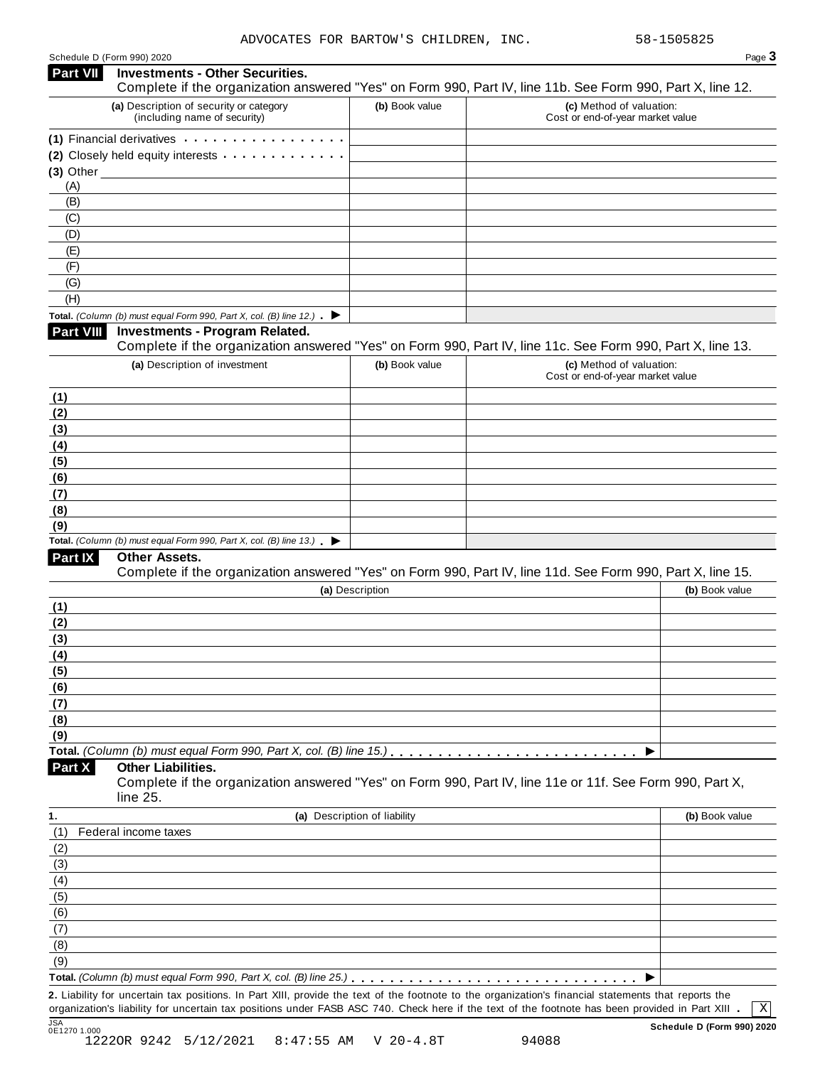|  | Schedule D (Form 990) 2020 |  |  |  |  |
|--|----------------------------|--|--|--|--|
|--|----------------------------|--|--|--|--|

|                   | Schedule D (Form 990) 2020                                                               |                              | Page 3                                                                                                                                               |
|-------------------|------------------------------------------------------------------------------------------|------------------------------|------------------------------------------------------------------------------------------------------------------------------------------------------|
| <b>Part VII</b>   | <b>Investments - Other Securities.</b>                                                   |                              | Complete if the organization answered "Yes" on Form 990, Part IV, line 11b. See Form 990, Part X, line 12.                                           |
|                   | (a) Description of security or category<br>(including name of security)                  | (b) Book value               | (c) Method of valuation:<br>Cost or end-of-year market value                                                                                         |
|                   | (1) Financial derivatives                                                                |                              |                                                                                                                                                      |
|                   | (2) Closely held equity interests                                                        |                              |                                                                                                                                                      |
| $(3)$ Other $\_\$ |                                                                                          |                              |                                                                                                                                                      |
| (A)               |                                                                                          |                              |                                                                                                                                                      |
| (B)               |                                                                                          |                              |                                                                                                                                                      |
| (C)               |                                                                                          |                              |                                                                                                                                                      |
| (D)               |                                                                                          |                              |                                                                                                                                                      |
| (E)               |                                                                                          |                              |                                                                                                                                                      |
| (F)<br>(G)        |                                                                                          |                              |                                                                                                                                                      |
| (H)               |                                                                                          |                              |                                                                                                                                                      |
|                   | Total. (Column (b) must equal Form 990, Part X, col. (B) line 12.) $\blacktriangleright$ |                              |                                                                                                                                                      |
| Part VIII         | <b>Investments - Program Related.</b>                                                    |                              | Complete if the organization answered "Yes" on Form 990, Part IV, line 11c. See Form 990, Part X, line 13.                                           |
|                   | (a) Description of investment                                                            | (b) Book value               | (c) Method of valuation:                                                                                                                             |
|                   |                                                                                          |                              | Cost or end-of-year market value                                                                                                                     |
| (1)               |                                                                                          |                              |                                                                                                                                                      |
| (2)               |                                                                                          |                              |                                                                                                                                                      |
| (3)               |                                                                                          |                              |                                                                                                                                                      |
| (4)<br>(5)        |                                                                                          |                              |                                                                                                                                                      |
| (6)               |                                                                                          |                              |                                                                                                                                                      |
| (7)               |                                                                                          |                              |                                                                                                                                                      |
| (8)               |                                                                                          |                              |                                                                                                                                                      |
| (9)               |                                                                                          |                              |                                                                                                                                                      |
|                   | Total. (Column (b) must equal Form 990, Part X, col. (B) line $13$ .)                    |                              |                                                                                                                                                      |
| Part IX           | <b>Other Assets.</b>                                                                     |                              | Complete if the organization answered "Yes" on Form 990, Part IV, line 11d. See Form 990, Part X, line 15.                                           |
|                   |                                                                                          | (a) Description              | (b) Book value                                                                                                                                       |
| (1)               |                                                                                          |                              |                                                                                                                                                      |
| (2)               |                                                                                          |                              |                                                                                                                                                      |
| (3)               |                                                                                          |                              |                                                                                                                                                      |
| (4)               |                                                                                          |                              |                                                                                                                                                      |
| (5)               |                                                                                          |                              |                                                                                                                                                      |
| (6)               |                                                                                          |                              |                                                                                                                                                      |
| (7)<br>(8)        |                                                                                          |                              |                                                                                                                                                      |
| (9)               |                                                                                          |                              |                                                                                                                                                      |
|                   |                                                                                          |                              |                                                                                                                                                      |
| Part X            | <b>Other Liabilities.</b><br>line 25.                                                    |                              | Complete if the organization answered "Yes" on Form 990, Part IV, line 11e or 11f. See Form 990, Part X,                                             |
| 1.                |                                                                                          | (a) Description of liability | (b) Book value                                                                                                                                       |
| (1)               | Federal income taxes                                                                     |                              |                                                                                                                                                      |
| (2)               |                                                                                          |                              |                                                                                                                                                      |
| (3)               |                                                                                          |                              |                                                                                                                                                      |
| (4)               |                                                                                          |                              |                                                                                                                                                      |
| (5)               |                                                                                          |                              |                                                                                                                                                      |
| (6)               |                                                                                          |                              |                                                                                                                                                      |
| (7)               |                                                                                          |                              |                                                                                                                                                      |
| (8)               |                                                                                          |                              |                                                                                                                                                      |
| (9)               |                                                                                          |                              |                                                                                                                                                      |
|                   |                                                                                          |                              |                                                                                                                                                      |
|                   |                                                                                          |                              | 2. Liability for uncertain tax positions. In Part XIII, provide the text of the footnote to the organization's financial statements that reports the |
|                   |                                                                                          |                              | organization's liability for uncertain tax positions under FASB ASC 740. Check here if the text of the footnote has been provided in Part XIII.<br>Χ |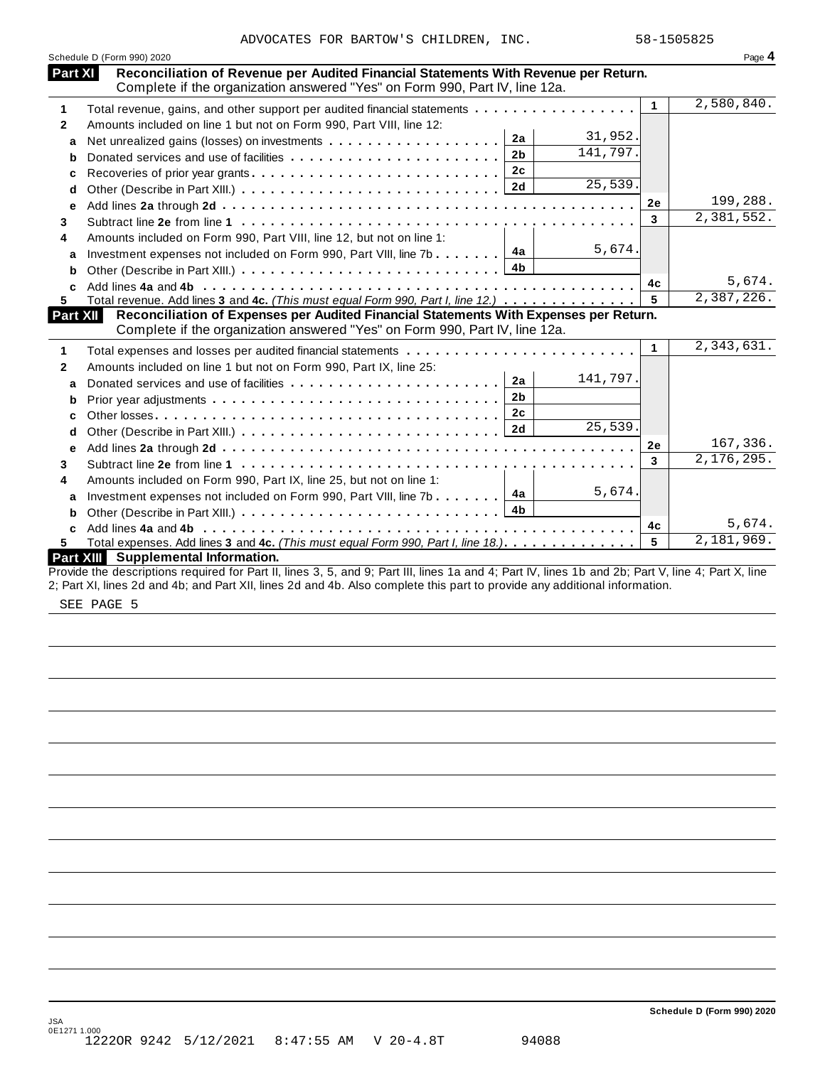|                 | Schedule D (Form 990) 2020                                                                                                                                         |              | Page 4     |
|-----------------|--------------------------------------------------------------------------------------------------------------------------------------------------------------------|--------------|------------|
| <b>Part XI</b>  | Reconciliation of Revenue per Audited Financial Statements With Revenue per Return.<br>Complete if the organization answered "Yes" on Form 990, Part IV, line 12a. |              |            |
| 1               | Total revenue, gains, and other support per audited financial statements                                                                                           | $\mathbf{1}$ | 2,580,840. |
| $\mathbf{2}$    | Amounts included on line 1 but not on Form 990, Part VIII, line 12:                                                                                                |              |            |
| a               | 31,952.<br>2a                                                                                                                                                      |              |            |
| b               | 141,797.<br>2 <sub>b</sub>                                                                                                                                         |              |            |
| c               | 2c<br>Recoveries of prior year grants                                                                                                                              |              |            |
| d               | 25,539.                                                                                                                                                            |              |            |
| е               |                                                                                                                                                                    | 2e           | 199,288.   |
| 3               |                                                                                                                                                                    | 3            | 2,381,552. |
| 4               | Amounts included on Form 990, Part VIII, line 12, but not on line 1:                                                                                               |              |            |
| a               | 5,674.<br>4a<br>Investment expenses not included on Form 990, Part VIII, line 7b                                                                                   |              |            |
| b               | 4b                                                                                                                                                                 |              |            |
|                 |                                                                                                                                                                    | 4c           | 5,674.     |
| 5.              | Total revenue. Add lines 3 and 4c. (This must equal Form 990, Part I, line 12.)                                                                                    |              | 2,387,226. |
| <b>Part XII</b> | Reconciliation of Expenses per Audited Financial Statements With Expenses per Return.                                                                              |              |            |
|                 | Complete if the organization answered "Yes" on Form 990, Part IV, line 12a.                                                                                        |              |            |
| 1               |                                                                                                                                                                    | $\mathbf{1}$ | 2,343,631. |
| $\mathbf{2}$    | Amounts included on line 1 but not on Form 990, Part IX, line 25:                                                                                                  |              |            |
| a               | 141,797.<br>2a                                                                                                                                                     |              |            |
| b               | 2 <sub>b</sub>                                                                                                                                                     |              |            |
| c               | 2 <sub>c</sub>                                                                                                                                                     |              |            |
| d               | 25,539.<br>2d                                                                                                                                                      |              |            |
| e               |                                                                                                                                                                    | 2e           | 167,336.   |
| 3               |                                                                                                                                                                    | 3            | 2,176,295. |
| 4               | Amounts included on Form 990, Part IX, line 25, but not on line 1:                                                                                                 |              |            |
| a               | 5,674.<br>4a<br>Investment expenses not included on Form 990, Part VIII, line 7b                                                                                   |              |            |
| b               | 4b                                                                                                                                                                 |              |            |
| C               |                                                                                                                                                                    | 4с           | 5,674.     |
| 5               | Total expenses. Add lines 3 and 4c. (This must equal Form 990, Part I, line 18.)                                                                                   | 5            | 2,181,969. |
|                 | Part XIII<br><b>Supplemental Information.</b>                                                                                                                      |              |            |
|                 | Provide the descriptions required for Part II, lines 3, 5, and 9; Part III, lines 1a and 4; Part IV, lines 1b and 2b; Part V, line 4; Part X, line                 |              |            |
|                 | 2; Part XI, lines 2d and 4b; and Part XII, lines 2d and 4b. Also complete this part to provide any additional information.                                         |              |            |

SEE PAGE 5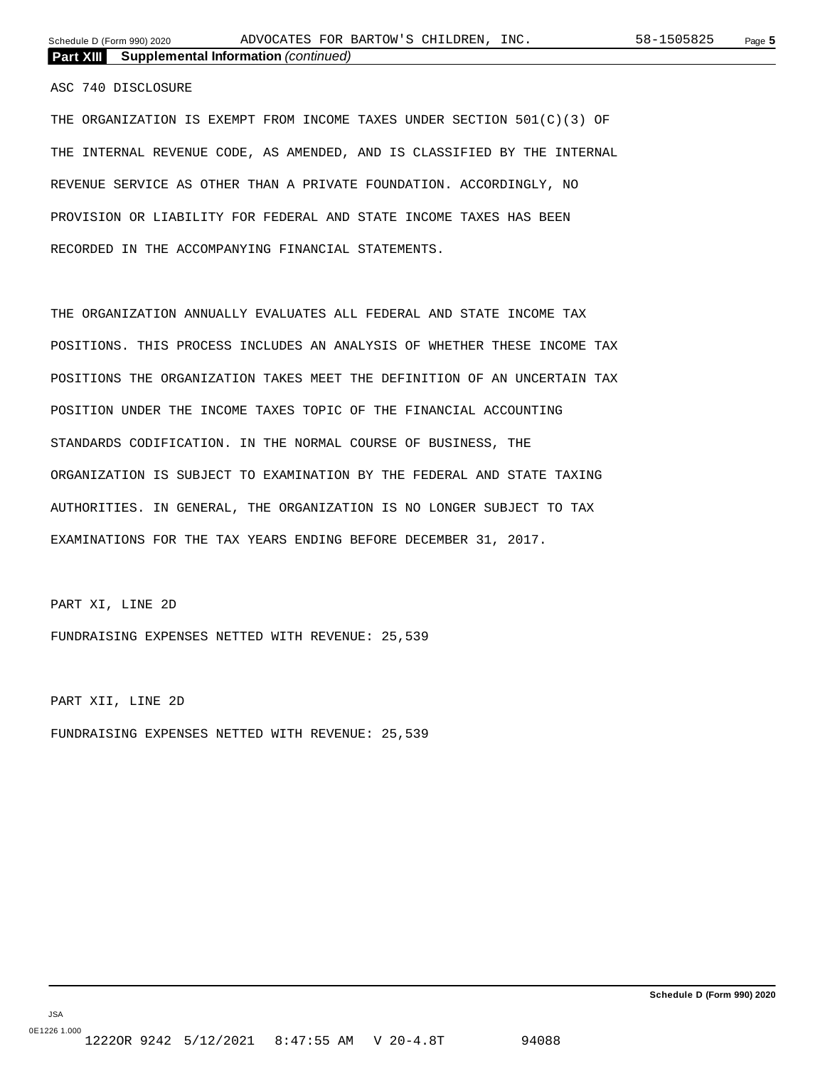#### ASC 740 DISCLOSURE

THE ORGANIZATION IS EXEMPT FROM INCOME TAXES UNDER SECTION 501(C)(3) OF THE INTERNAL REVENUE CODE, AS AMENDED, AND IS CLASSIFIED BY THE INTERNAL REVENUE SERVICE AS OTHER THAN A PRIVATE FOUNDATION. ACCORDINGLY, NO PROVISION OR LIABILITY FOR FEDERAL AND STATE INCOME TAXES HAS BEEN RECORDED IN THE ACCOMPANYING FINANCIAL STATEMENTS.

THE ORGANIZATION ANNUALLY EVALUATES ALL FEDERAL AND STATE INCOME TAX POSITIONS. THIS PROCESS INCLUDES AN ANALYSIS OF WHETHER THESE INCOME TAX POSITIONS THE ORGANIZATION TAKES MEET THE DEFINITION OF AN UNCERTAIN TAX POSITION UNDER THE INCOME TAXES TOPIC OF THE FINANCIAL ACCOUNTING STANDARDS CODIFICATION. IN THE NORMAL COURSE OF BUSINESS, THE ORGANIZATION IS SUBJECT TO EXAMINATION BY THE FEDERAL AND STATE TAXING AUTHORITIES. IN GENERAL, THE ORGANIZATION IS NO LONGER SUBJECT TO TAX EXAMINATIONS FOR THE TAX YEARS ENDING BEFORE DECEMBER 31, 2017.

PART XI, LINE 2D

FUNDRAISING EXPENSES NETTED WITH REVENUE: 25,539

PART XII, LINE 2D

FUNDRAISING EXPENSES NETTED WITH REVENUE: 25,539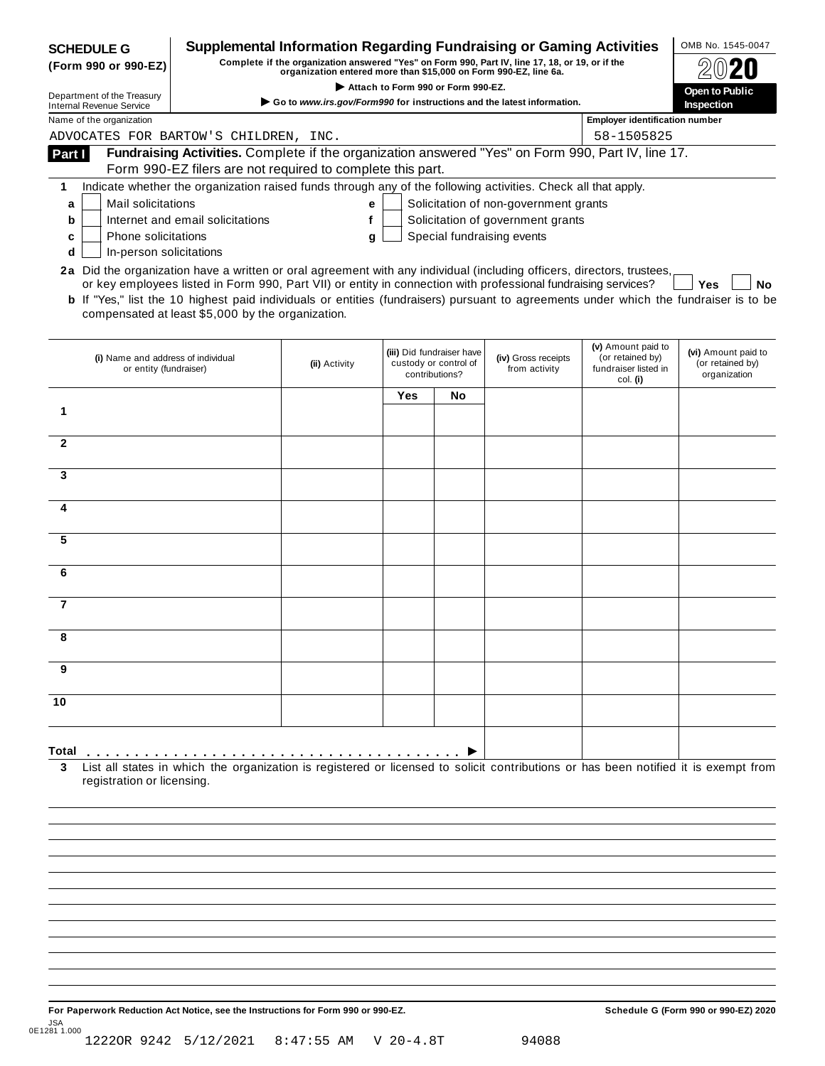| <b>SCHEDULE G</b><br>(Form 990 or 990-EZ)                                                                              |                                                                                                                                                                                                                                                                                                                     | <b>Supplemental Information Regarding Fundraising or Gaming Activities</b><br>Complete if the organization answered "Yes" on Form 990, Part IV, line 17, 18, or 19, or if the<br>organization entered more than \$15,000 on Form 990-EZ, line 6a. |     |                                                                      |                                       |                                                                            | OMB No. 1545-0047                                       |
|------------------------------------------------------------------------------------------------------------------------|---------------------------------------------------------------------------------------------------------------------------------------------------------------------------------------------------------------------------------------------------------------------------------------------------------------------|---------------------------------------------------------------------------------------------------------------------------------------------------------------------------------------------------------------------------------------------------|-----|----------------------------------------------------------------------|---------------------------------------|----------------------------------------------------------------------------|---------------------------------------------------------|
| Department of the Treasury<br><b>Internal Revenue Service</b>                                                          |                                                                                                                                                                                                                                                                                                                     | Go to www.irs.gov/Form990 for instructions and the latest information.                                                                                                                                                                            |     | Attach to Form 990 or Form 990-EZ.                                   |                                       |                                                                            | Open to Public<br>Inspection                            |
| Name of the organization                                                                                               |                                                                                                                                                                                                                                                                                                                     |                                                                                                                                                                                                                                                   |     |                                                                      |                                       | <b>Employer identification number</b>                                      |                                                         |
| ADVOCATES FOR BARTOW'S CHILDREN, INC.                                                                                  |                                                                                                                                                                                                                                                                                                                     |                                                                                                                                                                                                                                                   |     |                                                                      |                                       | 58-1505825                                                                 |                                                         |
| Part I                                                                                                                 | Fundraising Activities. Complete if the organization answered "Yes" on Form 990, Part IV, line 17.                                                                                                                                                                                                                  |                                                                                                                                                                                                                                                   |     |                                                                      |                                       |                                                                            |                                                         |
|                                                                                                                        | Form 990-EZ filers are not required to complete this part.                                                                                                                                                                                                                                                          |                                                                                                                                                                                                                                                   |     |                                                                      |                                       |                                                                            |                                                         |
| 1                                                                                                                      | Indicate whether the organization raised funds through any of the following activities. Check all that apply.                                                                                                                                                                                                       |                                                                                                                                                                                                                                                   |     |                                                                      |                                       |                                                                            |                                                         |
| Mail solicitations<br>a                                                                                                |                                                                                                                                                                                                                                                                                                                     | е                                                                                                                                                                                                                                                 |     |                                                                      | Solicitation of non-government grants |                                                                            |                                                         |
| b                                                                                                                      | Internet and email solicitations                                                                                                                                                                                                                                                                                    | f                                                                                                                                                                                                                                                 |     |                                                                      | Solicitation of government grants     |                                                                            |                                                         |
| <b>Phone solicitations</b><br>c                                                                                        |                                                                                                                                                                                                                                                                                                                     | g                                                                                                                                                                                                                                                 |     |                                                                      | Special fundraising events            |                                                                            |                                                         |
| In-person solicitations<br>d                                                                                           |                                                                                                                                                                                                                                                                                                                     |                                                                                                                                                                                                                                                   |     |                                                                      |                                       |                                                                            |                                                         |
| 2a Did the organization have a written or oral agreement with any individual (including officers, directors, trustees, | or key employees listed in Form 990, Part VII) or entity in connection with professional fundraising services?<br><b>b</b> If "Yes," list the 10 highest paid individuals or entities (fundraisers) pursuant to agreements under which the fundraiser is to be<br>compensated at least \$5,000 by the organization. |                                                                                                                                                                                                                                                   |     |                                                                      |                                       |                                                                            | Yes<br>No                                               |
| (i) Name and address of individual<br>or entity (fundraiser)                                                           |                                                                                                                                                                                                                                                                                                                     | (ii) Activity                                                                                                                                                                                                                                     |     | (iii) Did fundraiser have<br>custody or control of<br>contributions? | (iv) Gross receipts<br>from activity  | (v) Amount paid to<br>(or retained by)<br>fundraiser listed in<br>col. (i) | (vi) Amount paid to<br>(or retained by)<br>organization |
|                                                                                                                        |                                                                                                                                                                                                                                                                                                                     |                                                                                                                                                                                                                                                   | Yes | No                                                                   |                                       |                                                                            |                                                         |
| 1                                                                                                                      |                                                                                                                                                                                                                                                                                                                     |                                                                                                                                                                                                                                                   |     |                                                                      |                                       |                                                                            |                                                         |
|                                                                                                                        |                                                                                                                                                                                                                                                                                                                     |                                                                                                                                                                                                                                                   |     |                                                                      |                                       |                                                                            |                                                         |
| $\mathbf{2}$                                                                                                           |                                                                                                                                                                                                                                                                                                                     |                                                                                                                                                                                                                                                   |     |                                                                      |                                       |                                                                            |                                                         |
|                                                                                                                        |                                                                                                                                                                                                                                                                                                                     |                                                                                                                                                                                                                                                   |     |                                                                      |                                       |                                                                            |                                                         |
| 3                                                                                                                      |                                                                                                                                                                                                                                                                                                                     |                                                                                                                                                                                                                                                   |     |                                                                      |                                       |                                                                            |                                                         |
|                                                                                                                        |                                                                                                                                                                                                                                                                                                                     |                                                                                                                                                                                                                                                   |     |                                                                      |                                       |                                                                            |                                                         |
| 4                                                                                                                      |                                                                                                                                                                                                                                                                                                                     |                                                                                                                                                                                                                                                   |     |                                                                      |                                       |                                                                            |                                                         |
|                                                                                                                        |                                                                                                                                                                                                                                                                                                                     |                                                                                                                                                                                                                                                   |     |                                                                      |                                       |                                                                            |                                                         |
| 5                                                                                                                      |                                                                                                                                                                                                                                                                                                                     |                                                                                                                                                                                                                                                   |     |                                                                      |                                       |                                                                            |                                                         |
| 6                                                                                                                      |                                                                                                                                                                                                                                                                                                                     |                                                                                                                                                                                                                                                   |     |                                                                      |                                       |                                                                            |                                                         |
|                                                                                                                        |                                                                                                                                                                                                                                                                                                                     |                                                                                                                                                                                                                                                   |     |                                                                      |                                       |                                                                            |                                                         |
| $\overline{7}$                                                                                                         |                                                                                                                                                                                                                                                                                                                     |                                                                                                                                                                                                                                                   |     |                                                                      |                                       |                                                                            |                                                         |
|                                                                                                                        |                                                                                                                                                                                                                                                                                                                     |                                                                                                                                                                                                                                                   |     |                                                                      |                                       |                                                                            |                                                         |
| <b>Q</b>                                                                                                               |                                                                                                                                                                                                                                                                                                                     |                                                                                                                                                                                                                                                   |     |                                                                      |                                       |                                                                            |                                                         |
|                                                                                                                        |                                                                                                                                                                                                                                                                                                                     |                                                                                                                                                                                                                                                   |     |                                                                      |                                       |                                                                            |                                                         |
| 9                                                                                                                      |                                                                                                                                                                                                                                                                                                                     |                                                                                                                                                                                                                                                   |     |                                                                      |                                       |                                                                            |                                                         |
|                                                                                                                        |                                                                                                                                                                                                                                                                                                                     |                                                                                                                                                                                                                                                   |     |                                                                      |                                       |                                                                            |                                                         |
| 10                                                                                                                     |                                                                                                                                                                                                                                                                                                                     |                                                                                                                                                                                                                                                   |     |                                                                      |                                       |                                                                            |                                                         |
|                                                                                                                        |                                                                                                                                                                                                                                                                                                                     |                                                                                                                                                                                                                                                   |     |                                                                      |                                       |                                                                            |                                                         |
| Total                                                                                                                  | List all states in which the organization is registered or licensed to solicit contributions or has been notified it is exempt from                                                                                                                                                                                 |                                                                                                                                                                                                                                                   |     |                                                                      |                                       |                                                                            |                                                         |
| registration or licensing.                                                                                             |                                                                                                                                                                                                                                                                                                                     |                                                                                                                                                                                                                                                   |     |                                                                      |                                       |                                                                            |                                                         |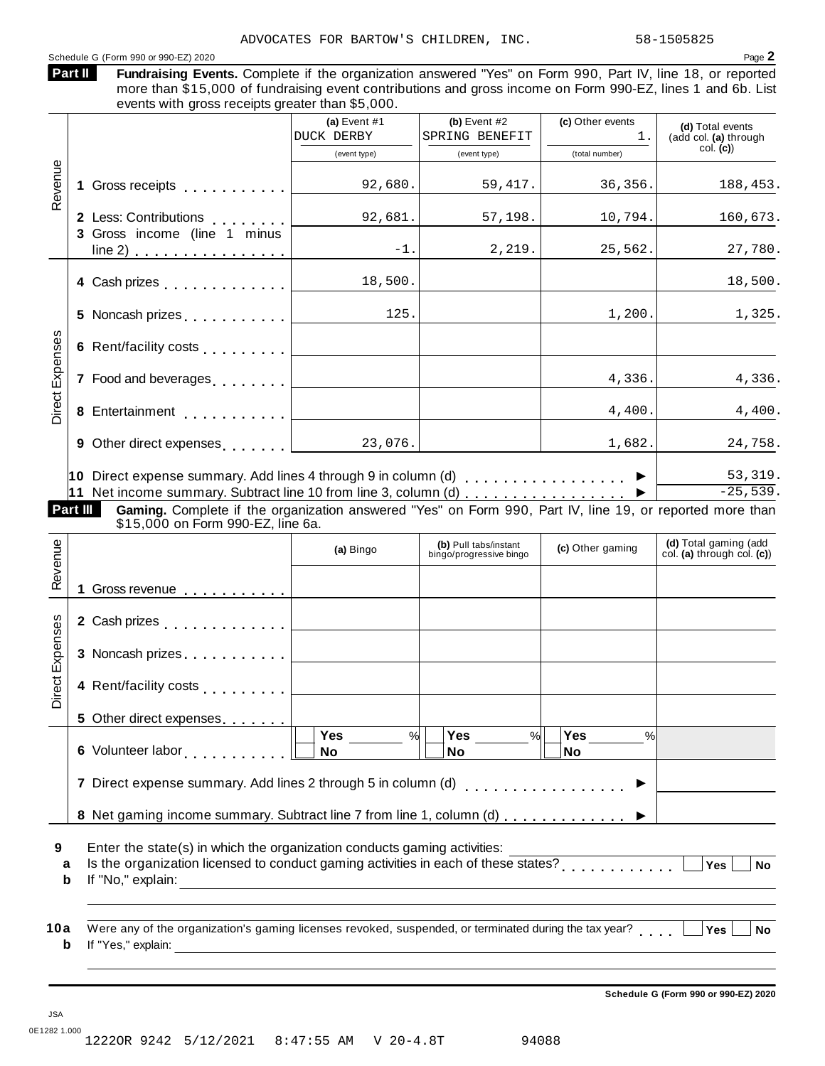#### Schedule <sup>G</sup> (Form <sup>990</sup> or 990-EZ) <sup>2020</sup> Page **2**

Fundraising Events. Complete if the organization answered "Yes" on Form 990, Part IV, line 18, or reported more than \$15,000 of fundraising event contributions and gross income on Form 990-EZ, lines 1 and 6b. List events with gross receipts greater than \$5,000. **Part II**

|                                                      | DUCK DERBY                                                                 | SPRING BENEFIT                                                                                                       |                                                                                          |                                                                                                                                                                                                                                                                                                                                                                                                                                                                                                                                                                                                                            |
|------------------------------------------------------|----------------------------------------------------------------------------|----------------------------------------------------------------------------------------------------------------------|------------------------------------------------------------------------------------------|----------------------------------------------------------------------------------------------------------------------------------------------------------------------------------------------------------------------------------------------------------------------------------------------------------------------------------------------------------------------------------------------------------------------------------------------------------------------------------------------------------------------------------------------------------------------------------------------------------------------------|
|                                                      |                                                                            |                                                                                                                      | 1.                                                                                       | (add col. (a) through<br>col. (c)                                                                                                                                                                                                                                                                                                                                                                                                                                                                                                                                                                                          |
|                                                      | (event type)                                                               | (event type)                                                                                                         | (total number)                                                                           |                                                                                                                                                                                                                                                                                                                                                                                                                                                                                                                                                                                                                            |
|                                                      | 92,680.                                                                    | 59,417.                                                                                                              | 36,356.                                                                                  | 188,453.                                                                                                                                                                                                                                                                                                                                                                                                                                                                                                                                                                                                                   |
| 2 Less: Contributions                                | 92,681.                                                                    | 57,198.                                                                                                              | 10,794.                                                                                  | 160,673.                                                                                                                                                                                                                                                                                                                                                                                                                                                                                                                                                                                                                   |
| line 2) $\ldots$ $\ldots$ $\ldots$ $\ldots$ $\ldots$ | $-1$ .                                                                     | 2,219.                                                                                                               | 25,562.                                                                                  | 27,780.                                                                                                                                                                                                                                                                                                                                                                                                                                                                                                                                                                                                                    |
|                                                      | 18,500.                                                                    |                                                                                                                      |                                                                                          | 18,500.                                                                                                                                                                                                                                                                                                                                                                                                                                                                                                                                                                                                                    |
|                                                      | 125.                                                                       |                                                                                                                      | 1,200.                                                                                   | 1,325.                                                                                                                                                                                                                                                                                                                                                                                                                                                                                                                                                                                                                     |
| 6 Rent/facility costs                                |                                                                            |                                                                                                                      |                                                                                          |                                                                                                                                                                                                                                                                                                                                                                                                                                                                                                                                                                                                                            |
| 7 Food and beverages [1, 1, 1, 1, 1]                 |                                                                            |                                                                                                                      | 4,336.                                                                                   | 4,336.                                                                                                                                                                                                                                                                                                                                                                                                                                                                                                                                                                                                                     |
|                                                      |                                                                            |                                                                                                                      | 4,400.                                                                                   | 4,400.                                                                                                                                                                                                                                                                                                                                                                                                                                                                                                                                                                                                                     |
|                                                      |                                                                            |                                                                                                                      | 1,682.                                                                                   | 24,758.                                                                                                                                                                                                                                                                                                                                                                                                                                                                                                                                                                                                                    |
|                                                      |                                                                            |                                                                                                                      |                                                                                          | 53,319.<br>$-25,539.$                                                                                                                                                                                                                                                                                                                                                                                                                                                                                                                                                                                                      |
| Part III                                             |                                                                            |                                                                                                                      |                                                                                          |                                                                                                                                                                                                                                                                                                                                                                                                                                                                                                                                                                                                                            |
|                                                      | (a) Bingo                                                                  | (b) Pull tabs/instant<br>bingo/progressive bingo                                                                     | (c) Other gaming                                                                         | (d) Total gaming (add<br>col. (a) through col. (c))                                                                                                                                                                                                                                                                                                                                                                                                                                                                                                                                                                        |
|                                                      |                                                                            |                                                                                                                      |                                                                                          |                                                                                                                                                                                                                                                                                                                                                                                                                                                                                                                                                                                                                            |
|                                                      |                                                                            |                                                                                                                      |                                                                                          |                                                                                                                                                                                                                                                                                                                                                                                                                                                                                                                                                                                                                            |
|                                                      |                                                                            |                                                                                                                      |                                                                                          |                                                                                                                                                                                                                                                                                                                                                                                                                                                                                                                                                                                                                            |
| 3 Noncash prizes                                     |                                                                            |                                                                                                                      |                                                                                          |                                                                                                                                                                                                                                                                                                                                                                                                                                                                                                                                                                                                                            |
| 4 Rent/facility costs                                |                                                                            |                                                                                                                      |                                                                                          |                                                                                                                                                                                                                                                                                                                                                                                                                                                                                                                                                                                                                            |
| 5 Other direct expenses                              |                                                                            |                                                                                                                      |                                                                                          |                                                                                                                                                                                                                                                                                                                                                                                                                                                                                                                                                                                                                            |
|                                                      | No                                                                         | No                                                                                                                   | No                                                                                       |                                                                                                                                                                                                                                                                                                                                                                                                                                                                                                                                                                                                                            |
|                                                      |                                                                            |                                                                                                                      |                                                                                          |                                                                                                                                                                                                                                                                                                                                                                                                                                                                                                                                                                                                                            |
|                                                      |                                                                            |                                                                                                                      |                                                                                          |                                                                                                                                                                                                                                                                                                                                                                                                                                                                                                                                                                                                                            |
|                                                      |                                                                            |                                                                                                                      |                                                                                          | Yes<br><b>No</b>                                                                                                                                                                                                                                                                                                                                                                                                                                                                                                                                                                                                           |
|                                                      |                                                                            |                                                                                                                      |                                                                                          | Yes<br><b>No</b>                                                                                                                                                                                                                                                                                                                                                                                                                                                                                                                                                                                                           |
|                                                      | 3 Gross income (line 1 minus<br>1 Gross revenue <b>container</b> container | 5 Noncash prizes [1, 1, 1, 1, 1, 1]<br>9 Other direct expenses<br>\$15,000 on Form 990-EZ, line 6a.<br>2 Cash prizes | 23,076.<br>%<br>Enter the state(s) in which the organization conducts gaming activities: | 10 Direct expense summary. Add lines 4 through 9 in column (d) $\ldots$<br>11 Net income summary. Subtract line 10 from line 3, column (d)<br>Gaming. Complete if the organization answered "Yes" on Form 990, Part IV, line 19, or reported more than<br>$\%$<br>$\frac{0}{0}$<br>7 Direct expense summary. Add lines 2 through 5 in column (d)<br>8 Net gaming income summary. Subtract line 7 from line 1, column (d)  ▶<br>Is the organization licensed to conduct gaming activities in each of these states?<br>Were any of the organization's gaming licenses revoked, suspended, or terminated during the tax year? |

JSA 0E1282 1.000 1222OR 9242 5/12/2021 8:47:55 AM V 20-4.8T 94088 **Schedule G (Form 990 or 990-EZ) 2020**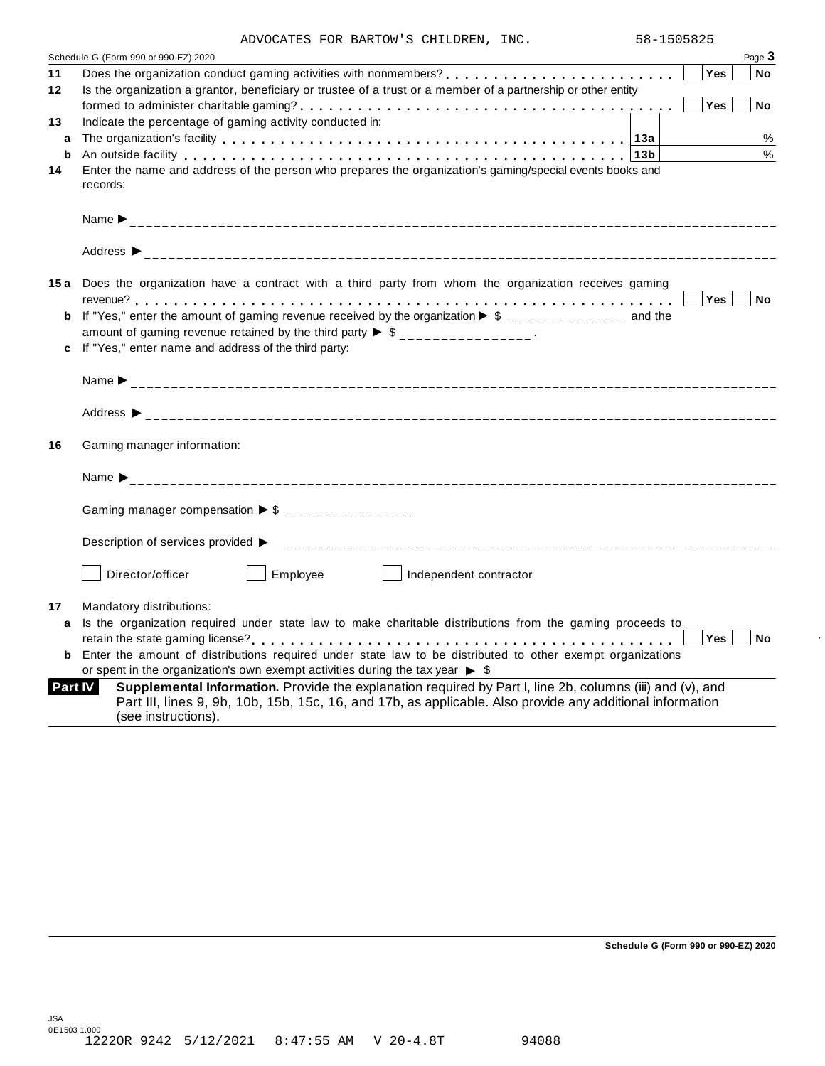| ADVOCATES FOR BARTOW'S CHILDREN, INC. |  |  |  |  | 58-1505825 |
|---------------------------------------|--|--|--|--|------------|
|---------------------------------------|--|--|--|--|------------|

| <b>Yes</b><br>Does the organization conduct gaming activities with nonmembers?<br>No<br>Is the organization a grantor, beneficiary or trustee of a trust or a member of a partnership or other entity<br>Yes<br><b>No</b><br>℅<br>$\%$<br>An outside facility enterpreteration of the control of the control of the control of the control of the control of the control of the control of the control of the control of the control of the control of the control of th<br>Enter the name and address of the person who prepares the organization's gaming/special events books and<br>15a Does the organization have a contract with a third party from whom the organization receives gaming<br>Yes <sub>1</sub><br><b>No</b><br><b>b</b> If "Yes," enter the amount of gaming revenue received by the organization $\triangleright$ \$ ______________ and the<br>amount of gaming revenue retained by the third party $\triangleright$ \$ _______________. |
|----------------------------------------------------------------------------------------------------------------------------------------------------------------------------------------------------------------------------------------------------------------------------------------------------------------------------------------------------------------------------------------------------------------------------------------------------------------------------------------------------------------------------------------------------------------------------------------------------------------------------------------------------------------------------------------------------------------------------------------------------------------------------------------------------------------------------------------------------------------------------------------------------------------------------------------------------------------|
|                                                                                                                                                                                                                                                                                                                                                                                                                                                                                                                                                                                                                                                                                                                                                                                                                                                                                                                                                                |
|                                                                                                                                                                                                                                                                                                                                                                                                                                                                                                                                                                                                                                                                                                                                                                                                                                                                                                                                                                |
|                                                                                                                                                                                                                                                                                                                                                                                                                                                                                                                                                                                                                                                                                                                                                                                                                                                                                                                                                                |
|                                                                                                                                                                                                                                                                                                                                                                                                                                                                                                                                                                                                                                                                                                                                                                                                                                                                                                                                                                |
|                                                                                                                                                                                                                                                                                                                                                                                                                                                                                                                                                                                                                                                                                                                                                                                                                                                                                                                                                                |
|                                                                                                                                                                                                                                                                                                                                                                                                                                                                                                                                                                                                                                                                                                                                                                                                                                                                                                                                                                |
|                                                                                                                                                                                                                                                                                                                                                                                                                                                                                                                                                                                                                                                                                                                                                                                                                                                                                                                                                                |
|                                                                                                                                                                                                                                                                                                                                                                                                                                                                                                                                                                                                                                                                                                                                                                                                                                                                                                                                                                |
|                                                                                                                                                                                                                                                                                                                                                                                                                                                                                                                                                                                                                                                                                                                                                                                                                                                                                                                                                                |
|                                                                                                                                                                                                                                                                                                                                                                                                                                                                                                                                                                                                                                                                                                                                                                                                                                                                                                                                                                |
|                                                                                                                                                                                                                                                                                                                                                                                                                                                                                                                                                                                                                                                                                                                                                                                                                                                                                                                                                                |
|                                                                                                                                                                                                                                                                                                                                                                                                                                                                                                                                                                                                                                                                                                                                                                                                                                                                                                                                                                |
|                                                                                                                                                                                                                                                                                                                                                                                                                                                                                                                                                                                                                                                                                                                                                                                                                                                                                                                                                                |
|                                                                                                                                                                                                                                                                                                                                                                                                                                                                                                                                                                                                                                                                                                                                                                                                                                                                                                                                                                |
|                                                                                                                                                                                                                                                                                                                                                                                                                                                                                                                                                                                                                                                                                                                                                                                                                                                                                                                                                                |
|                                                                                                                                                                                                                                                                                                                                                                                                                                                                                                                                                                                                                                                                                                                                                                                                                                                                                                                                                                |
|                                                                                                                                                                                                                                                                                                                                                                                                                                                                                                                                                                                                                                                                                                                                                                                                                                                                                                                                                                |
|                                                                                                                                                                                                                                                                                                                                                                                                                                                                                                                                                                                                                                                                                                                                                                                                                                                                                                                                                                |
|                                                                                                                                                                                                                                                                                                                                                                                                                                                                                                                                                                                                                                                                                                                                                                                                                                                                                                                                                                |
|                                                                                                                                                                                                                                                                                                                                                                                                                                                                                                                                                                                                                                                                                                                                                                                                                                                                                                                                                                |
|                                                                                                                                                                                                                                                                                                                                                                                                                                                                                                                                                                                                                                                                                                                                                                                                                                                                                                                                                                |
|                                                                                                                                                                                                                                                                                                                                                                                                                                                                                                                                                                                                                                                                                                                                                                                                                                                                                                                                                                |
|                                                                                                                                                                                                                                                                                                                                                                                                                                                                                                                                                                                                                                                                                                                                                                                                                                                                                                                                                                |
| Gaming manager compensation $\triangleright$ \$ _______________                                                                                                                                                                                                                                                                                                                                                                                                                                                                                                                                                                                                                                                                                                                                                                                                                                                                                                |
|                                                                                                                                                                                                                                                                                                                                                                                                                                                                                                                                                                                                                                                                                                                                                                                                                                                                                                                                                                |
|                                                                                                                                                                                                                                                                                                                                                                                                                                                                                                                                                                                                                                                                                                                                                                                                                                                                                                                                                                |
|                                                                                                                                                                                                                                                                                                                                                                                                                                                                                                                                                                                                                                                                                                                                                                                                                                                                                                                                                                |
| Independent contractor                                                                                                                                                                                                                                                                                                                                                                                                                                                                                                                                                                                                                                                                                                                                                                                                                                                                                                                                         |
|                                                                                                                                                                                                                                                                                                                                                                                                                                                                                                                                                                                                                                                                                                                                                                                                                                                                                                                                                                |
|                                                                                                                                                                                                                                                                                                                                                                                                                                                                                                                                                                                                                                                                                                                                                                                                                                                                                                                                                                |
| Is the organization required under state law to make charitable distributions from the gaming proceeds to                                                                                                                                                                                                                                                                                                                                                                                                                                                                                                                                                                                                                                                                                                                                                                                                                                                      |
| Yes<br><b>No</b>                                                                                                                                                                                                                                                                                                                                                                                                                                                                                                                                                                                                                                                                                                                                                                                                                                                                                                                                               |
| Enter the amount of distributions required under state law to be distributed to other exempt organizations                                                                                                                                                                                                                                                                                                                                                                                                                                                                                                                                                                                                                                                                                                                                                                                                                                                     |
| or spent in the organization's own exempt activities during the tax year $\triangleright$ \$                                                                                                                                                                                                                                                                                                                                                                                                                                                                                                                                                                                                                                                                                                                                                                                                                                                                   |
| Supplemental Information. Provide the explanation required by Part I, line 2b, columns (iii) and (v), and<br>Part III, lines 9, 9b, 10b, 15b, 15c, 16, and 17b, as applicable. Also provide any additional information                                                                                                                                                                                                                                                                                                                                                                                                                                                                                                                                                                                                                                                                                                                                         |
|                                                                                                                                                                                                                                                                                                                                                                                                                                                                                                                                                                                                                                                                                                                                                                                                                                                                                                                                                                |

**Schedule G (Form 990 or 990-EZ) 2020**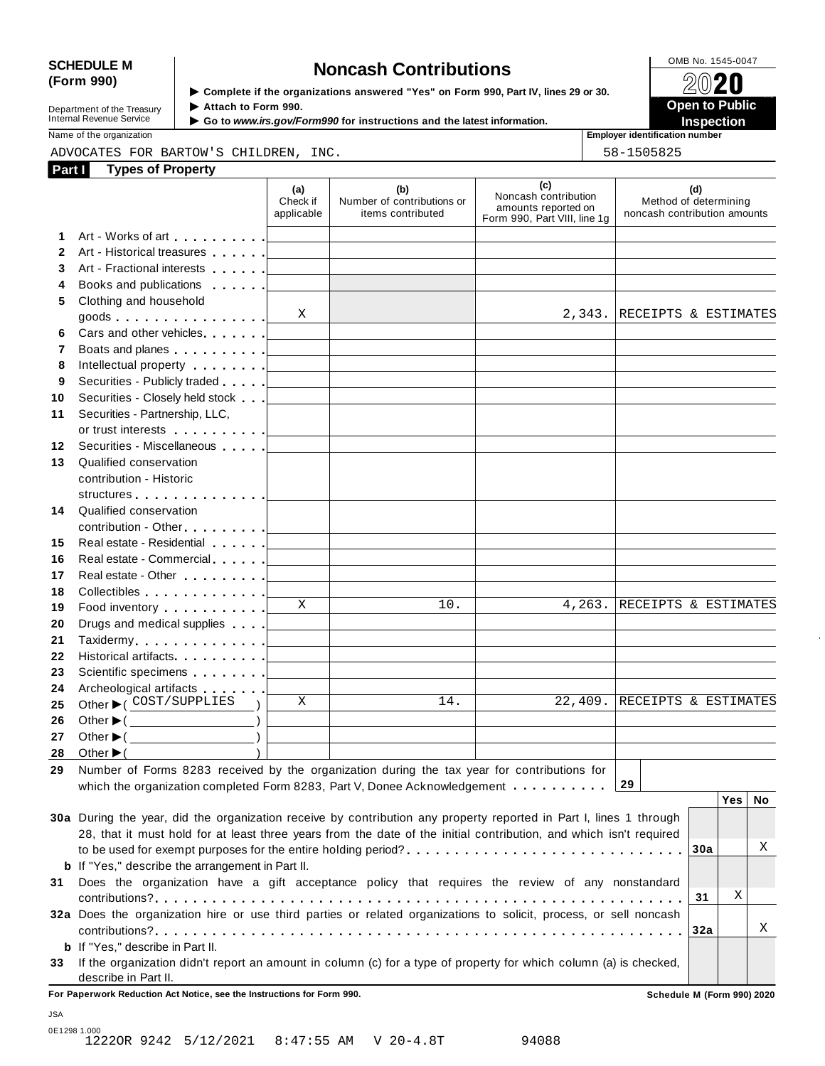# SCHEDULE M<br>  $(Form 990)$  
<br>  $\triangleright$  Complete if the organizations answered "Yes" on Form 990, Part IV, lines 29 or 30.

| Department of the Treasury |  |
|----------------------------|--|
| Internal Revenue Service   |  |

**Examplete** if the organizations answered "Yes" on Form 990, Part Ⅳ, lines 29 or 30. 
<br>
■ **Open to Public**  $\blacktriangleright$  Attach to Form 990. **Department of the Treasury ▶ Attach to Form 990.**<br>Internal Revenue Service ▶ Go to *www.irs.gov/Form990* for instructions and the latest information.<br>Nome of the organization aumhor

Name of the organization **intervalse of the organization intervalse of the organization <b>intervalse of the organization intervalse of the organization intervalse of the organization intervalse of the organization**

### ADVOCATES FOR BARTOW'S CHILDREN, INC. 58-1505825

| Part I       | <b>Types of Property</b>                                                                                                                                                                                                      |                               |                                                                            |                                                                                    |                                                              |
|--------------|-------------------------------------------------------------------------------------------------------------------------------------------------------------------------------------------------------------------------------|-------------------------------|----------------------------------------------------------------------------|------------------------------------------------------------------------------------|--------------------------------------------------------------|
|              |                                                                                                                                                                                                                               | (a)<br>Check if<br>applicable | (b)<br>Number of contributions or<br>items contributed                     | (c)<br>Noncash contribution<br>amounts reported on<br>Form 990, Part VIII, line 1g | (d)<br>Method of determining<br>noncash contribution amounts |
| 1.           |                                                                                                                                                                                                                               |                               | <u> 1980 - Johann Barbara, martxa alemaniar a</u>                          |                                                                                    |                                                              |
| $\mathbf{2}$ | Art - Historical treasures                                                                                                                                                                                                    |                               | the control of the control of the control of the control of the control of |                                                                                    |                                                              |
| 3            |                                                                                                                                                                                                                               |                               |                                                                            |                                                                                    |                                                              |
| 4            |                                                                                                                                                                                                                               |                               |                                                                            |                                                                                    |                                                              |
| 5            | Clothing and household                                                                                                                                                                                                        |                               |                                                                            |                                                                                    |                                                              |
|              | goods $\ldots \ldots \ldots \ldots \ldots$                                                                                                                                                                                    | X                             |                                                                            |                                                                                    | 2,343. RECEIPTS & ESTIMATES                                  |
| 6            |                                                                                                                                                                                                                               |                               |                                                                            |                                                                                    |                                                              |
| 7            |                                                                                                                                                                                                                               |                               |                                                                            |                                                                                    |                                                              |
| 8            |                                                                                                                                                                                                                               |                               |                                                                            | the control of the control of the control of the control of the control of         |                                                              |
| 9            |                                                                                                                                                                                                                               |                               |                                                                            |                                                                                    |                                                              |
| 10           |                                                                                                                                                                                                                               |                               |                                                                            |                                                                                    |                                                              |
| 11           | Securities - Partnership, LLC,                                                                                                                                                                                                |                               |                                                                            |                                                                                    |                                                              |
|              |                                                                                                                                                                                                                               |                               |                                                                            |                                                                                    |                                                              |
| $12 \,$      | Securities - Miscellaneous                                                                                                                                                                                                    |                               |                                                                            |                                                                                    |                                                              |
| 13           | Qualified conservation                                                                                                                                                                                                        |                               |                                                                            |                                                                                    |                                                              |
|              | contribution - Historic                                                                                                                                                                                                       |                               |                                                                            |                                                                                    |                                                              |
|              |                                                                                                                                                                                                                               |                               |                                                                            |                                                                                    |                                                              |
| 14           | Qualified conservation                                                                                                                                                                                                        |                               |                                                                            |                                                                                    |                                                              |
|              |                                                                                                                                                                                                                               |                               |                                                                            |                                                                                    |                                                              |
| 15           |                                                                                                                                                                                                                               |                               |                                                                            |                                                                                    |                                                              |
| 16           |                                                                                                                                                                                                                               |                               |                                                                            |                                                                                    |                                                              |
| 17           |                                                                                                                                                                                                                               |                               |                                                                            | the control of the control of the control of the control of the control of         |                                                              |
| 18           | Collectibles <u>  _ _ _ _ _</u>                                                                                                                                                                                               |                               |                                                                            |                                                                                    |                                                              |
| 19           | Food inventory exercise the set of the set of the set of the set of the set of the set of the set of the set of the set of the set of the set of the set of the set of the set of the set of the set of the set of the set of | $\overline{X}$                | 10.                                                                        | 4,263.                                                                             | RECEIPTS & ESTIMATES                                         |
| 20           |                                                                                                                                                                                                                               |                               |                                                                            |                                                                                    |                                                              |
| 21           |                                                                                                                                                                                                                               |                               |                                                                            |                                                                                    |                                                              |
| 22           |                                                                                                                                                                                                                               |                               |                                                                            |                                                                                    |                                                              |
| 23           |                                                                                                                                                                                                                               |                               |                                                                            |                                                                                    |                                                              |
| 24           | Archeological artifacts [1996]                                                                                                                                                                                                |                               |                                                                            |                                                                                    |                                                              |
| 25           | Other $\blacktriangleright$ ( COST/SUPPLIES                                                                                                                                                                                   | Χ                             | 14.                                                                        |                                                                                    | 22,409. RECEIPTS & ESTIMATES                                 |
| 26           | Other $\blacktriangleright$ ( $\_\_\_\_\_\_\_\_$ )                                                                                                                                                                            |                               |                                                                            |                                                                                    |                                                              |
| 27           | Other $\blacktriangleright$ ( $\_\_\_\_\_\_\_\_$ )                                                                                                                                                                            |                               |                                                                            |                                                                                    |                                                              |
|              | 28 Other $\blacktriangleright$ (                                                                                                                                                                                              |                               |                                                                            |                                                                                    |                                                              |
|              | 29 Number of Forms 8283 received by the organization during the tax year for contributions for                                                                                                                                |                               |                                                                            |                                                                                    |                                                              |
|              | which the organization completed Form 8283, Part V, Donee Acknowledgement                                                                                                                                                     |                               |                                                                            |                                                                                    | 29                                                           |
|              |                                                                                                                                                                                                                               |                               |                                                                            |                                                                                    | <b>Yes</b><br>No                                             |
|              | 30a During the year, did the organization receive by contribution any property reported in Part I, lines 1 through                                                                                                            |                               |                                                                            |                                                                                    |                                                              |
|              | 28, that it must hold for at least three years from the date of the initial contribution, and which isn't required                                                                                                            |                               |                                                                            |                                                                                    |                                                              |
|              |                                                                                                                                                                                                                               |                               |                                                                            |                                                                                    | Χ<br>30a                                                     |
|              | <b>b</b> If "Yes," describe the arrangement in Part II.                                                                                                                                                                       |                               |                                                                            |                                                                                    |                                                              |
| 31           | Does the organization have a gift acceptance policy that requires the review of any nonstandard                                                                                                                               |                               |                                                                            |                                                                                    |                                                              |
|              |                                                                                                                                                                                                                               |                               |                                                                            |                                                                                    | Χ<br>31                                                      |
|              | 32a Does the organization hire or use third parties or related organizations to solicit, process, or sell noncash                                                                                                             |                               |                                                                            |                                                                                    |                                                              |
|              |                                                                                                                                                                                                                               |                               |                                                                            |                                                                                    | Χ<br>32a                                                     |
|              |                                                                                                                                                                                                                               |                               |                                                                            |                                                                                    |                                                              |
|              | <b>b</b> If "Yes," describe in Part II.                                                                                                                                                                                       |                               |                                                                            |                                                                                    |                                                              |
| 33           | If the organization didn't report an amount in column (c) for a type of property for which column (a) is checked,<br>describe in Part II.                                                                                     |                               |                                                                            |                                                                                    |                                                              |

**For Paperwork Reduction Act Notice, see the Instructions for Form 990. Schedule M (Form 990) 2020**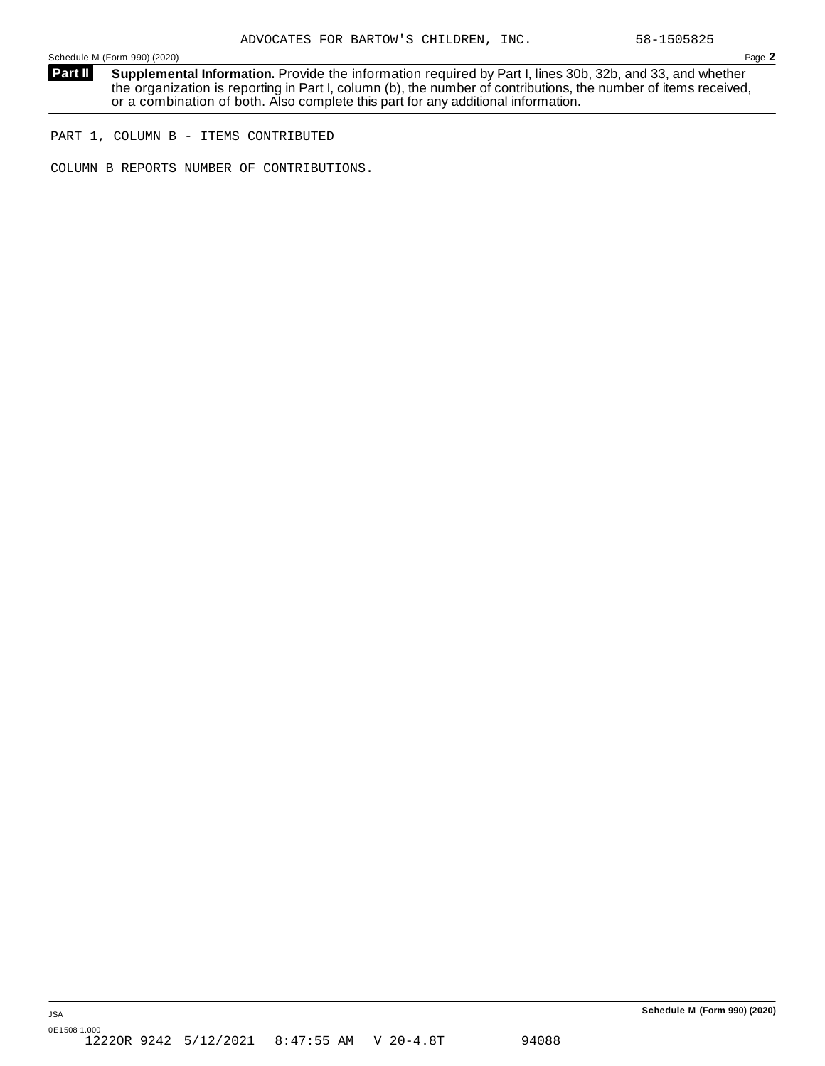**Part II**

**Supplemental Information.** Provide the information required by Part I, lines 30b, 32b, and 33, and whether the organization is reporting in Part I, column (b), the number of contributions, the number of items received, or a combination of both. Also complete this part for any additional information.

PART 1, COLUMN B - ITEMS CONTRIBUTED

COLUMN B REPORTS NUMBER OF CONTRIBUTIONS.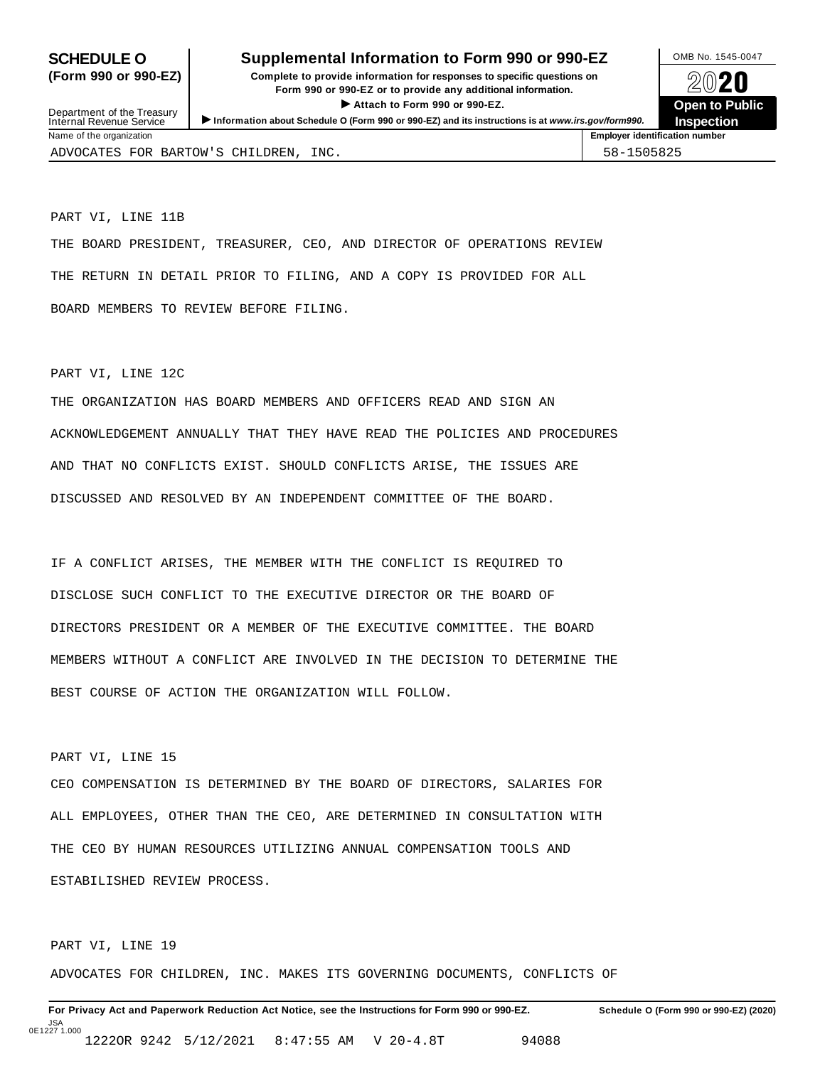### **SCHEDULE O** Supplemental Information to Form 990 or 990-EZ DAMB No. 1545-0047

**(Form 990 or 990-EZ) Complete to provide information for responses to specific questions on Form** 990 or 990-EZ or to provide any additional information. ▶ Attach to Form 990 or 990-EZ.<br>O (Form 990 or 990-EZ) and its instructions is at www.irs.gov/form990. Inspection



| Department of the Treasury | Attach to Form 990 or 990-EZ.                                                                     |                                       |  |  |  |
|----------------------------|---------------------------------------------------------------------------------------------------|---------------------------------------|--|--|--|
| Internal Revenue Service   | Information about Schedule O (Form 990 or 990-EZ) and its instructions is at www.irs.gov/form990. |                                       |  |  |  |
| Name of the organization   |                                                                                                   | <b>Employer identification number</b> |  |  |  |
|                            | ADVOCATES FOR BARTOW'S CHILDREN, INC.                                                             | 58-1505825                            |  |  |  |

PART VI, LINE 11B

THE BOARD PRESIDENT, TREASURER, CEO, AND DIRECTOR OF OPERATIONS REVIEW THE RETURN IN DETAIL PRIOR TO FILING, AND A COPY IS PROVIDED FOR ALL BOARD MEMBERS TO REVIEW BEFORE FILING.

PART VI, LINE 12C

THE ORGANIZATION HAS BOARD MEMBERS AND OFFICERS READ AND SIGN AN ACKNOWLEDGEMENT ANNUALLY THAT THEY HAVE READ THE POLICIES AND PROCEDURES AND THAT NO CONFLICTS EXIST. SHOULD CONFLICTS ARISE, THE ISSUES ARE DISCUSSED AND RESOLVED BY AN INDEPENDENT COMMITTEE OF THE BOARD.

IF A CONFLICT ARISES, THE MEMBER WITH THE CONFLICT IS REQUIRED TO DISCLOSE SUCH CONFLICT TO THE EXECUTIVE DIRECTOR OR THE BOARD OF DIRECTORS PRESIDENT OR A MEMBER OF THE EXECUTIVE COMMITTEE. THE BOARD MEMBERS WITHOUT A CONFLICT ARE INVOLVED IN THE DECISION TO DETERMINE THE BEST COURSE OF ACTION THE ORGANIZATION WILL FOLLOW.

#### PART VI, LINE 15

CEO COMPENSATION IS DETERMINED BY THE BOARD OF DIRECTORS, SALARIES FOR ALL EMPLOYEES, OTHER THAN THE CEO, ARE DETERMINED IN CONSULTATION WITH THE CEO BY HUMAN RESOURCES UTILIZING ANNUAL COMPENSATION TOOLS AND ESTABILISHED REVIEW PROCESS.

PART VI, LINE 19

ADVOCATES FOR CHILDREN, INC. MAKES ITS GOVERNING DOCUMENTS, CONFLICTS OF